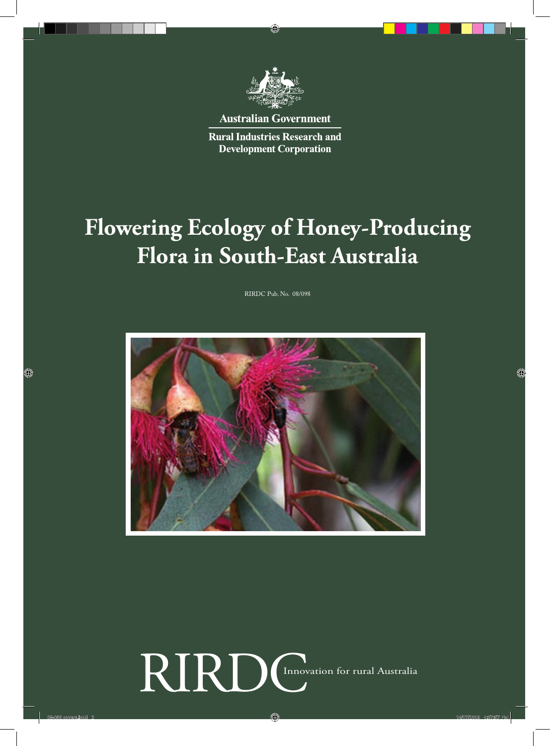

**Australian Government** 

**Rural Industries Research and Development Corporation** 

# **Flowering Ecology of Honey-Producing Flora in South-East Australia**

RIRDC Pub. No. 08/098



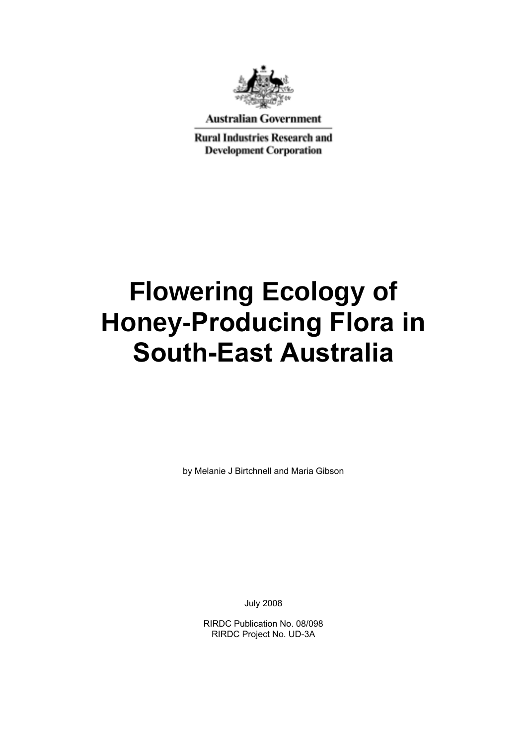

**Australian Government** 

**Rural Industries Research and Development Corporation** 

# **Flowering Ecology of Honey-Producing Flora in South-East Australia**

by Melanie J Birtchnell and Maria Gibson

July 2008

RIRDC Publication No. 08/098 RIRDC Project No. UD-3A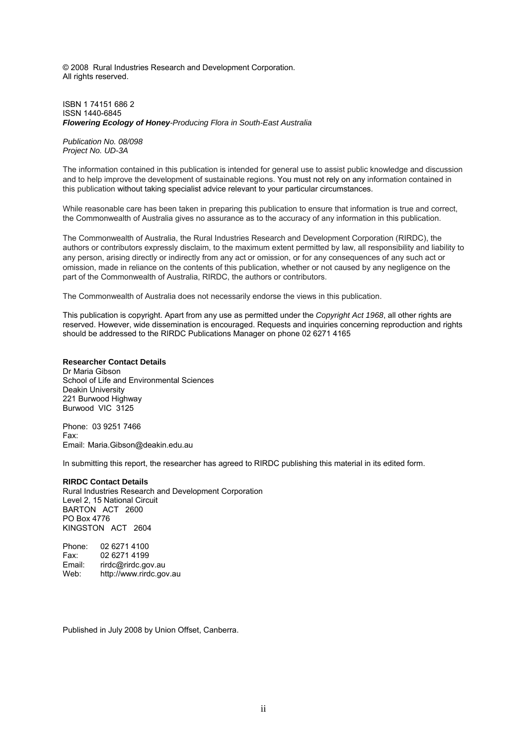© 2008 Rural Industries Research and Development Corporation. All rights reserved.

ISBN 1 74151 686 2 ISSN 1440-6845 *Flowering Ecology of Honey-Producing Flora in South-East Australia* 

*Publication No. 08/098 Project No. UD-3A* 

The information contained in this publication is intended for general use to assist public knowledge and discussion and to help improve the development of sustainable regions. You must not rely on any information contained in this publication without taking specialist advice relevant to your particular circumstances.

While reasonable care has been taken in preparing this publication to ensure that information is true and correct, the Commonwealth of Australia gives no assurance as to the accuracy of any information in this publication.

The Commonwealth of Australia, the Rural Industries Research and Development Corporation (RIRDC), the authors or contributors expressly disclaim, to the maximum extent permitted by law, all responsibility and liability to any person, arising directly or indirectly from any act or omission, or for any consequences of any such act or omission, made in reliance on the contents of this publication, whether or not caused by any negligence on the part of the Commonwealth of Australia, RIRDC, the authors or contributors.

The Commonwealth of Australia does not necessarily endorse the views in this publication.

This publication is copyright. Apart from any use as permitted under the *Copyright Act 1968*, all other rights are reserved. However, wide dissemination is encouraged. Requests and inquiries concerning reproduction and rights should be addressed to the RIRDC Publications Manager on phone 02 6271 4165

#### **Researcher Contact Details**

Dr Maria Gibson School of Life and Environmental Sciences Deakin University 221 Burwood Highway Burwood VIC 3125

Phone: 03 9251 7466 Fax: Email: Maria.Gibson@deakin.edu.au

In submitting this report, the researcher has agreed to RIRDC publishing this material in its edited form.

#### **RIRDC Contact Details**

Rural Industries Research and Development Corporation Level 2, 15 National Circuit BARTON ACT 2600 PO Box 4776 KINGSTON ACT 2604

Phone: 02 6271 4100 Fax: 02 6271 4199 Email: rirdc@rirdc.gov.au Web: http://www.rirdc.gov.au

Published in July 2008 by Union Offset, Canberra.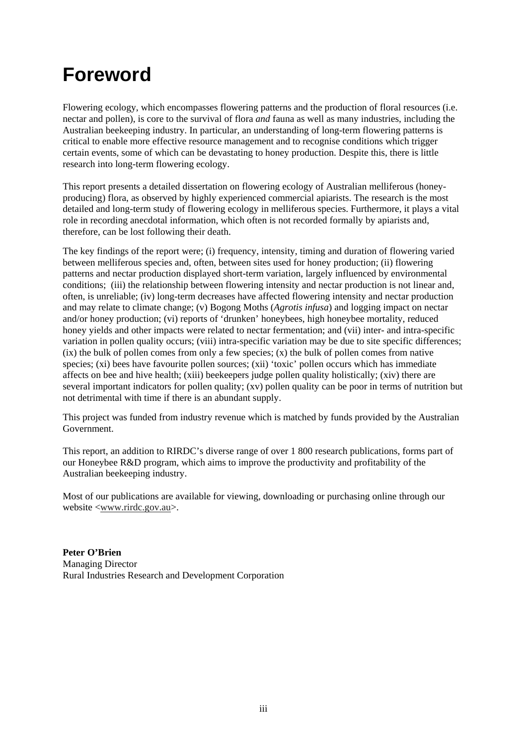### **Foreword**

Flowering ecology, which encompasses flowering patterns and the production of floral resources (i.e. nectar and pollen), is core to the survival of flora *and* fauna as well as many industries, including the Australian beekeeping industry. In particular, an understanding of long-term flowering patterns is critical to enable more effective resource management and to recognise conditions which trigger certain events, some of which can be devastating to honey production. Despite this, there is little research into long-term flowering ecology.

This report presents a detailed dissertation on flowering ecology of Australian melliferous (honeyproducing) flora, as observed by highly experienced commercial apiarists. The research is the most detailed and long-term study of flowering ecology in melliferous species. Furthermore, it plays a vital role in recording anecdotal information, which often is not recorded formally by apiarists and, therefore, can be lost following their death.

The key findings of the report were; (i) frequency, intensity, timing and duration of flowering varied between melliferous species and, often, between sites used for honey production; (ii) flowering patterns and nectar production displayed short-term variation, largely influenced by environmental conditions; (iii) the relationship between flowering intensity and nectar production is not linear and, often, is unreliable; (iv) long-term decreases have affected flowering intensity and nectar production and may relate to climate change; (v) Bogong Moths (*Agrotis infusa*) and logging impact on nectar and/or honey production; (vi) reports of 'drunken' honeybees, high honeybee mortality, reduced honey yields and other impacts were related to nectar fermentation; and (vii) inter- and intra-specific variation in pollen quality occurs; (viii) intra-specific variation may be due to site specific differences;  $(ix)$  the bulk of pollen comes from only a few species;  $(x)$  the bulk of pollen comes from native species; (xi) bees have favourite pollen sources; (xii) 'toxic' pollen occurs which has immediate affects on bee and hive health; (xiii) beekeepers judge pollen quality holistically; (xiv) there are several important indicators for pollen quality; (xv) pollen quality can be poor in terms of nutrition but not detrimental with time if there is an abundant supply.

This project was funded from industry revenue which is matched by funds provided by the Australian Government.

This report, an addition to RIRDC's diverse range of over 1 800 research publications, forms part of our Honeybee R&D program, which aims to improve the productivity and profitability of the Australian beekeeping industry.

Most of our publications are available for viewing, downloading or purchasing online through our website <www.rirdc.gov.au>.

**Peter O'Brien**  Managing Director Rural Industries Research and Development Corporation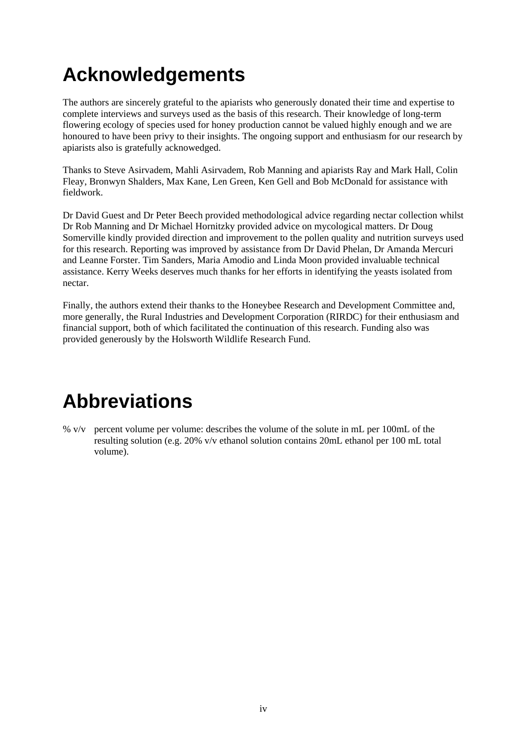# **Acknowledgements**

The authors are sincerely grateful to the apiarists who generously donated their time and expertise to complete interviews and surveys used as the basis of this research. Their knowledge of long-term flowering ecology of species used for honey production cannot be valued highly enough and we are honoured to have been privy to their insights. The ongoing support and enthusiasm for our research by apiarists also is gratefully acknowedged.

Thanks to Steve Asirvadem, Mahli Asirvadem, Rob Manning and apiarists Ray and Mark Hall, Colin Fleay, Bronwyn Shalders, Max Kane, Len Green, Ken Gell and Bob McDonald for assistance with fieldwork.

Dr David Guest and Dr Peter Beech provided methodological advice regarding nectar collection whilst Dr Rob Manning and Dr Michael Hornitzky provided advice on mycological matters. Dr Doug Somerville kindly provided direction and improvement to the pollen quality and nutrition surveys used for this research. Reporting was improved by assistance from Dr David Phelan, Dr Amanda Mercuri and Leanne Forster. Tim Sanders, Maria Amodio and Linda Moon provided invaluable technical assistance. Kerry Weeks deserves much thanks for her efforts in identifying the yeasts isolated from nectar.

Finally, the authors extend their thanks to the Honeybee Research and Development Committee and, more generally, the Rural Industries and Development Corporation (RIRDC) for their enthusiasm and financial support, both of which facilitated the continuation of this research. Funding also was provided generously by the Holsworth Wildlife Research Fund.

# **Abbreviations**

% v/v percent volume per volume: describes the volume of the solute in mL per 100mL of the resulting solution (e.g. 20% v/v ethanol solution contains 20mL ethanol per 100 mL total volume).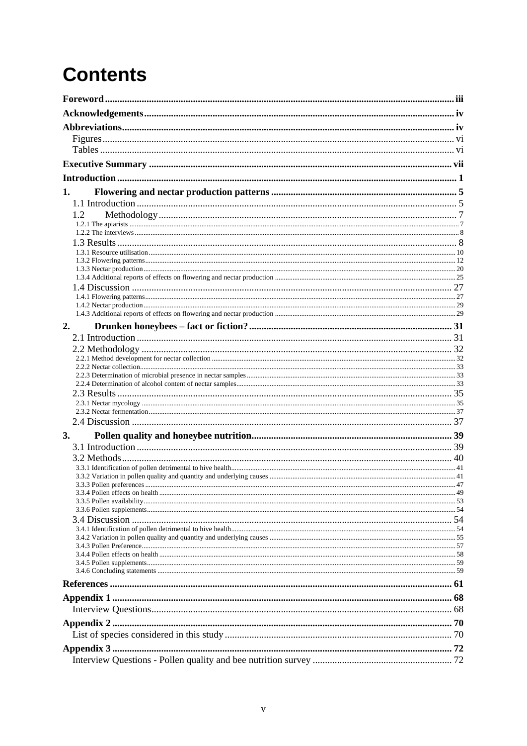# **Contents**

| 1.  |  |
|-----|--|
|     |  |
| 1.2 |  |
|     |  |
|     |  |
|     |  |
|     |  |
|     |  |
|     |  |
|     |  |
|     |  |
|     |  |
| 2.  |  |
|     |  |
|     |  |
|     |  |
|     |  |
|     |  |
|     |  |
|     |  |
|     |  |
|     |  |
| 3.  |  |
|     |  |
|     |  |
|     |  |
|     |  |
|     |  |
|     |  |
|     |  |
|     |  |
|     |  |
|     |  |
|     |  |
|     |  |
|     |  |
|     |  |
|     |  |
|     |  |
|     |  |
|     |  |
|     |  |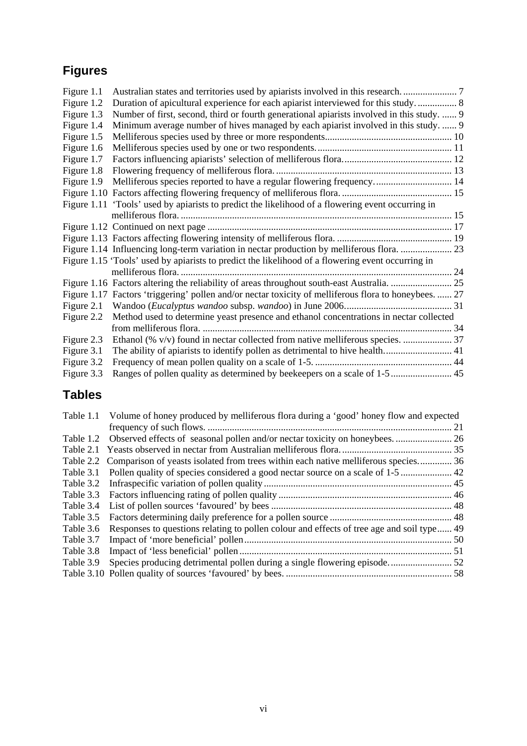### **Figures**

| Figure 1.1 |                                                                                                       |  |
|------------|-------------------------------------------------------------------------------------------------------|--|
| Figure 1.2 | Duration of apicultural experience for each apiarist interviewed for this study 8                     |  |
| Figure 1.3 | Number of first, second, third or fourth generational apiarists involved in this study.  9            |  |
| Figure 1.4 | Minimum average number of hives managed by each apiarist involved in this study.  9                   |  |
| Figure 1.5 |                                                                                                       |  |
| Figure 1.6 |                                                                                                       |  |
| Figure 1.7 |                                                                                                       |  |
| Figure 1.8 |                                                                                                       |  |
| Figure 1.9 | Melliferous species reported to have a regular flowering frequency 14                                 |  |
|            |                                                                                                       |  |
|            | Figure 1.11 'Tools' used by apiarists to predict the likelihood of a flowering event occurring in     |  |
|            |                                                                                                       |  |
|            |                                                                                                       |  |
|            |                                                                                                       |  |
|            | Figure 1.14 Influencing long-term variation in nectar production by melliferous flora.  23            |  |
|            | Figure 1.15 'Tools' used by apiarists to predict the likelihood of a flowering event occurring in     |  |
|            |                                                                                                       |  |
|            |                                                                                                       |  |
|            | Figure 1.17 Factors 'triggering' pollen and/or nectar toxicity of melliferous flora to honeybees.  27 |  |
|            |                                                                                                       |  |
| Figure 2.2 | Method used to determine yeast presence and ethanol concentrations in nectar collected                |  |
|            |                                                                                                       |  |
| Figure 2.3 | Ethanol (% v/v) found in nectar collected from native melliferous species.  37                        |  |
| Figure 3.1 |                                                                                                       |  |
| Figure 3.2 |                                                                                                       |  |
| Figure 3.3 | Ranges of pollen quality as determined by beekeepers on a scale of 1-5  45                            |  |

### **Tables**

| Table 1.1 | Volume of honey produced by melliferous flora during a 'good' honey flow and expected        |  |
|-----------|----------------------------------------------------------------------------------------------|--|
|           |                                                                                              |  |
|           |                                                                                              |  |
| Table 2.1 |                                                                                              |  |
|           | Table 2.2 Comparison of yeasts isolated from trees within each native melliferous species 36 |  |
| Table 3.1 |                                                                                              |  |
| Table 3.2 |                                                                                              |  |
| Table 3.3 |                                                                                              |  |
| Table 3.4 |                                                                                              |  |
| Table 3.5 |                                                                                              |  |
| Table 3.6 | Responses to questions relating to pollen colour and effects of tree age and soil type 49    |  |
| Table 3.7 |                                                                                              |  |
| Table 3.8 |                                                                                              |  |
| Table 3.9 |                                                                                              |  |
|           |                                                                                              |  |
|           |                                                                                              |  |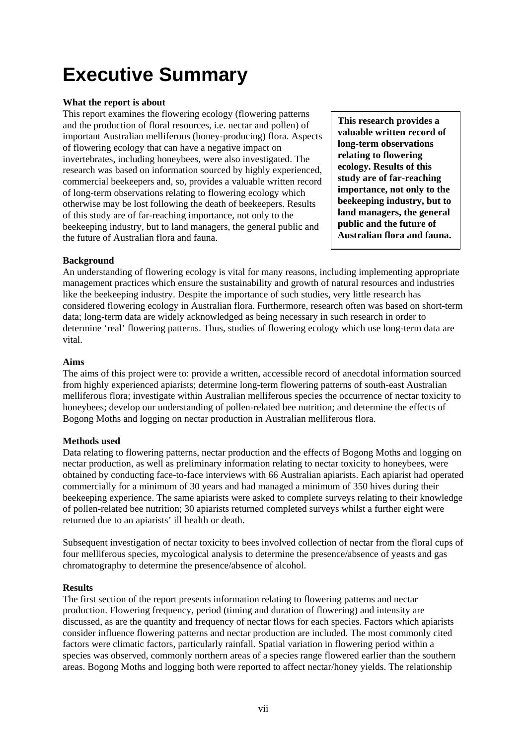# **Executive Summary**

### **What the report is about**

This report examines the flowering ecology (flowering patterns and the production of floral resources, i.e. nectar and pollen) of important Australian melliferous (honey-producing) flora. Aspects of flowering ecology that can have a negative impact on invertebrates, including honeybees, were also investigated. The research was based on information sourced by highly experienced, commercial beekeepers and, so, provides a valuable written record of long-term observations relating to flowering ecology which otherwise may be lost following the death of beekeepers. Results of this study are of far-reaching importance, not only to the beekeeping industry, but to land managers, the general public and the future of Australian flora and fauna.

**This research provides a valuable written record of long-term observations relating to flowering ecology. Results of this study are of far-reaching importance, not only to the beekeeping industry, but to land managers, the general public and the future of Australian flora and fauna.** 

### **Background**

An understanding of flowering ecology is vital for many reasons, including implementing appropriate management practices which ensure the sustainability and growth of natural resources and industries like the beekeeping industry. Despite the importance of such studies, very little research has considered flowering ecology in Australian flora. Furthermore, research often was based on short-term data; long-term data are widely acknowledged as being necessary in such research in order to determine 'real' flowering patterns. Thus, studies of flowering ecology which use long-term data are vital.

### **Aims**

The aims of this project were to: provide a written, accessible record of anecdotal information sourced from highly experienced apiarists; determine long-term flowering patterns of south-east Australian melliferous flora; investigate within Australian melliferous species the occurrence of nectar toxicity to honeybees; develop our understanding of pollen-related bee nutrition; and determine the effects of Bogong Moths and logging on nectar production in Australian melliferous flora.

### **Methods used**

Data relating to flowering patterns, nectar production and the effects of Bogong Moths and logging on nectar production, as well as preliminary information relating to nectar toxicity to honeybees, were obtained by conducting face-to-face interviews with 66 Australian apiarists. Each apiarist had operated commercially for a minimum of 30 years and had managed a minimum of 350 hives during their beekeeping experience. The same apiarists were asked to complete surveys relating to their knowledge of pollen-related bee nutrition; 30 apiarists returned completed surveys whilst a further eight were returned due to an apiarists' ill health or death.

Subsequent investigation of nectar toxicity to bees involved collection of nectar from the floral cups of four melliferous species, mycological analysis to determine the presence/absence of yeasts and gas chromatography to determine the presence/absence of alcohol.

### **Results**

The first section of the report presents information relating to flowering patterns and nectar production. Flowering frequency, period (timing and duration of flowering) and intensity are discussed, as are the quantity and frequency of nectar flows for each species. Factors which apiarists consider influence flowering patterns and nectar production are included. The most commonly cited factors were climatic factors, particularly rainfall. Spatial variation in flowering period within a species was observed, commonly northern areas of a species range flowered earlier than the southern areas. Bogong Moths and logging both were reported to affect nectar/honey yields. The relationship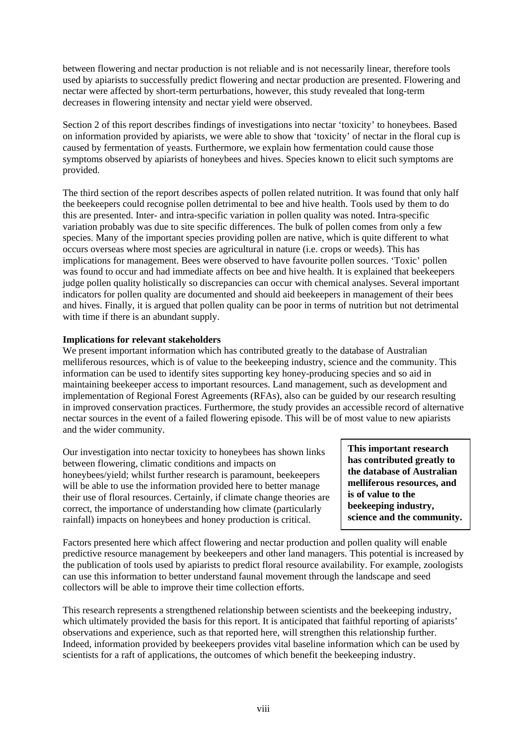between flowering and nectar production is not reliable and is not necessarily linear, therefore tools used by apiarists to successfully predict flowering and nectar production are presented. Flowering and nectar were affected by short-term perturbations, however, this study revealed that long-term decreases in flowering intensity and nectar yield were observed.

Section 2 of this report describes findings of investigations into nectar 'toxicity' to honeybees. Based on information provided by apiarists, we were able to show that 'toxicity' of nectar in the floral cup is caused by fermentation of yeasts. Furthermore, we explain how fermentation could cause those symptoms observed by apiarists of honeybees and hives. Species known to elicit such symptoms are provided.

The third section of the report describes aspects of pollen related nutrition. It was found that only half the beekeepers could recognise pollen detrimental to bee and hive health. Tools used by them to do this are presented. Inter- and intra-specific variation in pollen quality was noted. Intra-specific variation probably was due to site specific differences. The bulk of pollen comes from only a few species. Many of the important species providing pollen are native, which is quite different to what occurs overseas where most species are agricultural in nature (i.e. crops or weeds). This has implications for management. Bees were observed to have favourite pollen sources. 'Toxic' pollen was found to occur and had immediate affects on bee and hive health. It is explained that beekeepers judge pollen quality holistically so discrepancies can occur with chemical analyses. Several important indicators for pollen quality are documented and should aid beekeepers in management of their bees and hives. Finally, it is argued that pollen quality can be poor in terms of nutrition but not detrimental with time if there is an abundant supply.

### **Implications for relevant stakeholders**

We present important information which has contributed greatly to the database of Australian melliferous resources, which is of value to the beekeeping industry, science and the community. This information can be used to identify sites supporting key honey-producing species and so aid in maintaining beekeeper access to important resources. Land management, such as development and implementation of Regional Forest Agreements (RFAs), also can be guided by our research resulting in improved conservation practices. Furthermore, the study provides an accessible record of alternative nectar sources in the event of a failed flowering episode. This will be of most value to new apiarists and the wider community.

Our investigation into nectar toxicity to honeybees has shown links between flowering, climatic conditions and impacts on honeybees/yield; whilst further research is paramount, beekeepers will be able to use the information provided here to better manage their use of floral resources. Certainly, if climate change theories are correct, the importance of understanding how climate (particularly rainfall) impacts on honeybees and honey production is critical.

**This important research has contributed greatly to the database of Australian melliferous resources, and is of value to the beekeeping industry, science and the community.** 

Factors presented here which affect flowering and nectar production and pollen quality will enable predictive resource management by beekeepers and other land managers. This potential is increased by the publication of tools used by apiarists to predict floral resource availability. For example, zoologists can use this information to better understand faunal movement through the landscape and seed collectors will be able to improve their time collection efforts.

This research represents a strengthened relationship between scientists and the beekeeping industry, which ultimately provided the basis for this report. It is anticipated that faithful reporting of apiarists' observations and experience, such as that reported here, will strengthen this relationship further. Indeed, information provided by beekeepers provides vital baseline information which can be used by scientists for a raft of applications, the outcomes of which benefit the beekeeping industry.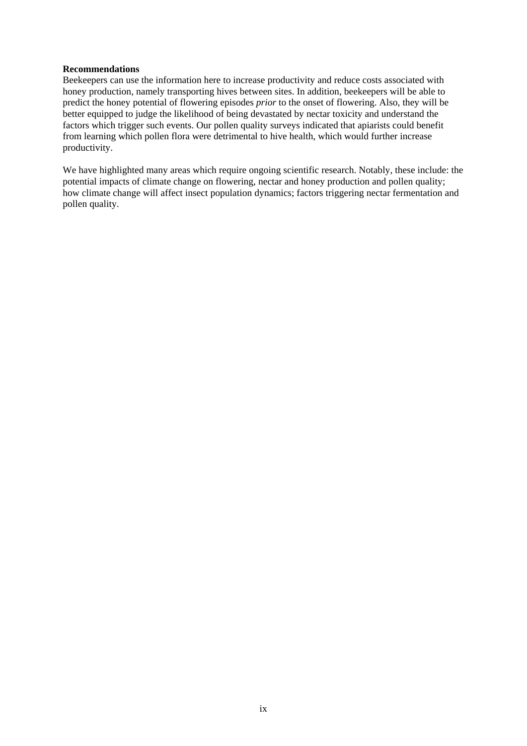#### **Recommendations**

Beekeepers can use the information here to increase productivity and reduce costs associated with honey production, namely transporting hives between sites. In addition, beekeepers will be able to predict the honey potential of flowering episodes *prior* to the onset of flowering. Also, they will be better equipped to judge the likelihood of being devastated by nectar toxicity and understand the factors which trigger such events. Our pollen quality surveys indicated that apiarists could benefit from learning which pollen flora were detrimental to hive health, which would further increase productivity.

We have highlighted many areas which require ongoing scientific research. Notably, these include: the potential impacts of climate change on flowering, nectar and honey production and pollen quality; how climate change will affect insect population dynamics; factors triggering nectar fermentation and pollen quality.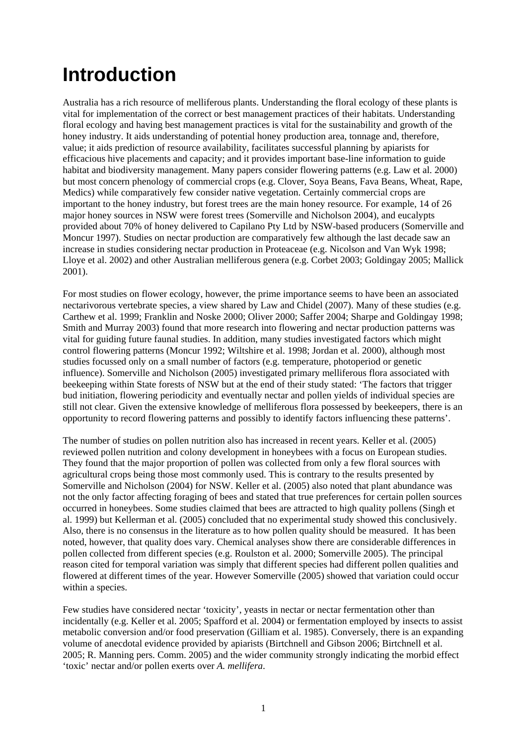# **Introduction**

Australia has a rich resource of melliferous plants. Understanding the floral ecology of these plants is vital for implementation of the correct or best management practices of their habitats. Understanding floral ecology and having best management practices is vital for the sustainability and growth of the honey industry. It aids understanding of potential honey production area, tonnage and, therefore, value; it aids prediction of resource availability, facilitates successful planning by apiarists for efficacious hive placements and capacity; and it provides important base-line information to guide habitat and biodiversity management. Many papers consider flowering patterns (e.g. Law et al. 2000) but most concern phenology of commercial crops (e.g. Clover, Soya Beans, Fava Beans, Wheat, Rape, Medics) while comparatively few consider native vegetation. Certainly commercial crops are important to the honey industry, but forest trees are the main honey resource. For example, 14 of 26 major honey sources in NSW were forest trees (Somerville and Nicholson 2004), and eucalypts provided about 70% of honey delivered to Capilano Pty Ltd by NSW-based producers (Somerville and Moncur 1997). Studies on nectar production are comparatively few although the last decade saw an increase in studies considering nectar production in Proteaceae (e.g. Nicolson and Van Wyk 1998; Lloye et al. 2002) and other Australian melliferous genera (e.g. Corbet 2003; Goldingay 2005; Mallick 2001).

For most studies on flower ecology, however, the prime importance seems to have been an associated nectarivorous vertebrate species, a view shared by Law and Chidel (2007). Many of these studies (e.g. Carthew et al. 1999; Franklin and Noske 2000; Oliver 2000; Saffer 2004; Sharpe and Goldingay 1998; Smith and Murray 2003) found that more research into flowering and nectar production patterns was vital for guiding future faunal studies. In addition, many studies investigated factors which might control flowering patterns (Moncur 1992; Wiltshire et al. 1998; Jordan et al. 2000), although most studies focussed only on a small number of factors (e.g. temperature, photoperiod or genetic influence). Somerville and Nicholson (2005) investigated primary melliferous flora associated with beekeeping within State forests of NSW but at the end of their study stated: 'The factors that trigger bud initiation, flowering periodicity and eventually nectar and pollen yields of individual species are still not clear. Given the extensive knowledge of melliferous flora possessed by beekeepers, there is an opportunity to record flowering patterns and possibly to identify factors influencing these patterns'.

The number of studies on pollen nutrition also has increased in recent years. Keller et al. (2005) reviewed pollen nutrition and colony development in honeybees with a focus on European studies. They found that the major proportion of pollen was collected from only a few floral sources with agricultural crops being those most commonly used. This is contrary to the results presented by Somerville and Nicholson (2004) for NSW. Keller et al. (2005) also noted that plant abundance was not the only factor affecting foraging of bees and stated that true preferences for certain pollen sources occurred in honeybees. Some studies claimed that bees are attracted to high quality pollens (Singh et al. 1999) but Kellerman et al. (2005) concluded that no experimental study showed this conclusively. Also, there is no consensus in the literature as to how pollen quality should be measured. It has been noted, however, that quality does vary. Chemical analyses show there are considerable differences in pollen collected from different species (e.g. Roulston et al. 2000; Somerville 2005). The principal reason cited for temporal variation was simply that different species had different pollen qualities and flowered at different times of the year. However Somerville (2005) showed that variation could occur within a species.

Few studies have considered nectar 'toxicity', yeasts in nectar or nectar fermentation other than incidentally (e.g. Keller et al. 2005; Spafford et al. 2004) or fermentation employed by insects to assist metabolic conversion and/or food preservation (Gilliam et al. 1985). Conversely, there is an expanding volume of anecdotal evidence provided by apiarists (Birtchnell and Gibson 2006; Birtchnell et al. 2005; R. Manning pers. Comm. 2005) and the wider community strongly indicating the morbid effect 'toxic' nectar and/or pollen exerts over *A. mellifera*.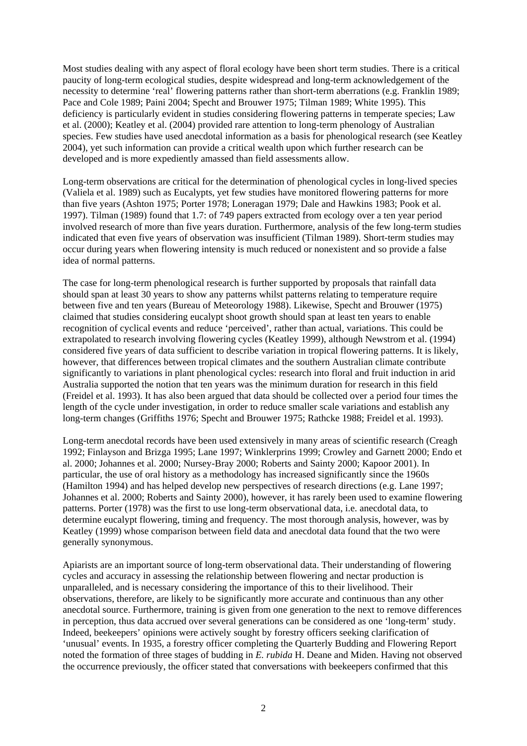Most studies dealing with any aspect of floral ecology have been short term studies. There is a critical paucity of long-term ecological studies, despite widespread and long-term acknowledgement of the necessity to determine 'real' flowering patterns rather than short-term aberrations (e.g. Franklin 1989; Pace and Cole 1989; Paini 2004; Specht and Brouwer 1975; Tilman 1989; White 1995). This deficiency is particularly evident in studies considering flowering patterns in temperate species; Law et al. (2000); Keatley et al. (2004) provided rare attention to long-term phenology of Australian species. Few studies have used anecdotal information as a basis for phenological research (see Keatley 2004), yet such information can provide a critical wealth upon which further research can be developed and is more expediently amassed than field assessments allow.

Long-term observations are critical for the determination of phenological cycles in long-lived species (Valiela et al. 1989) such as Eucalypts, yet few studies have monitored flowering patterns for more than five years (Ashton 1975; Porter 1978; Loneragan 1979; Dale and Hawkins 1983; Pook et al. 1997). Tilman (1989) found that 1.7: of 749 papers extracted from ecology over a ten year period involved research of more than five years duration. Furthermore, analysis of the few long-term studies indicated that even five years of observation was insufficient (Tilman 1989). Short-term studies may occur during years when flowering intensity is much reduced or nonexistent and so provide a false idea of normal patterns.

The case for long-term phenological research is further supported by proposals that rainfall data should span at least 30 years to show any patterns whilst patterns relating to temperature require between five and ten years (Bureau of Meteorology 1988). Likewise, Specht and Brouwer (1975) claimed that studies considering eucalypt shoot growth should span at least ten years to enable recognition of cyclical events and reduce 'perceived', rather than actual, variations. This could be extrapolated to research involving flowering cycles (Keatley 1999), although Newstrom et al. (1994) considered five years of data sufficient to describe variation in tropical flowering patterns. It is likely, however, that differences between tropical climates and the southern Australian climate contribute significantly to variations in plant phenological cycles: research into floral and fruit induction in arid Australia supported the notion that ten years was the minimum duration for research in this field (Freidel et al. 1993). It has also been argued that data should be collected over a period four times the length of the cycle under investigation, in order to reduce smaller scale variations and establish any long-term changes (Griffiths 1976; Specht and Brouwer 1975; Rathcke 1988; Freidel et al. 1993).

Long-term anecdotal records have been used extensively in many areas of scientific research (Creagh 1992; Finlayson and Brizga 1995; Lane 1997; Winklerprins 1999; Crowley and Garnett 2000; Endo et al. 2000; Johannes et al. 2000; Nursey-Bray 2000; Roberts and Sainty 2000; Kapoor 2001). In particular, the use of oral history as a methodology has increased significantly since the 1960s (Hamilton 1994) and has helped develop new perspectives of research directions (e.g. Lane 1997; Johannes et al. 2000; Roberts and Sainty 2000), however, it has rarely been used to examine flowering patterns. Porter (1978) was the first to use long-term observational data, i.e. anecdotal data, to determine eucalypt flowering, timing and frequency. The most thorough analysis, however, was by Keatley (1999) whose comparison between field data and anecdotal data found that the two were generally synonymous.

Apiarists are an important source of long-term observational data. Their understanding of flowering cycles and accuracy in assessing the relationship between flowering and nectar production is unparalleled, and is necessary considering the importance of this to their livelihood. Their observations, therefore, are likely to be significantly more accurate and continuous than any other anecdotal source. Furthermore, training is given from one generation to the next to remove differences in perception, thus data accrued over several generations can be considered as one 'long-term' study. Indeed, beekeepers' opinions were actively sought by forestry officers seeking clarification of 'unusual' events. In 1935, a forestry officer completing the Quarterly Budding and Flowering Report noted the formation of three stages of budding in *E. rubida* H. Deane and Miden. Having not observed the occurrence previously, the officer stated that conversations with beekeepers confirmed that this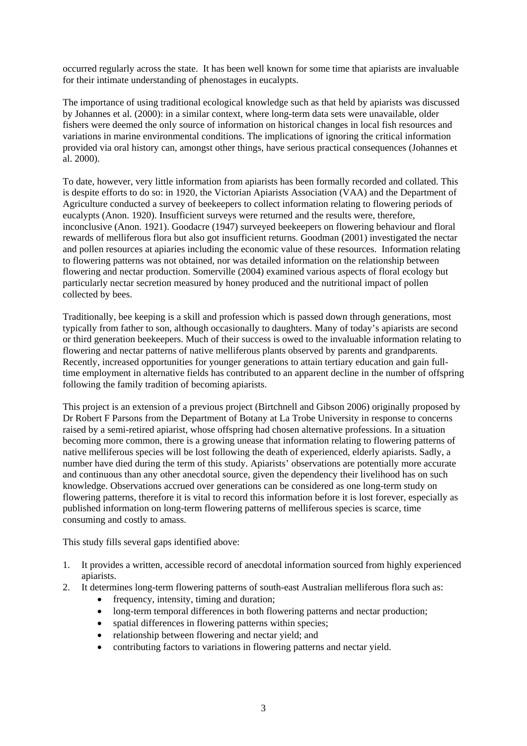occurred regularly across the state. It has been well known for some time that apiarists are invaluable for their intimate understanding of phenostages in eucalypts.

The importance of using traditional ecological knowledge such as that held by apiarists was discussed by Johannes et al. (2000): in a similar context, where long-term data sets were unavailable, older fishers were deemed the only source of information on historical changes in local fish resources and variations in marine environmental conditions. The implications of ignoring the critical information provided via oral history can, amongst other things, have serious practical consequences (Johannes et al. 2000).

To date, however, very little information from apiarists has been formally recorded and collated. This is despite efforts to do so: in 1920, the Victorian Apiarists Association (VAA) and the Department of Agriculture conducted a survey of beekeepers to collect information relating to flowering periods of eucalypts (Anon. 1920). Insufficient surveys were returned and the results were, therefore, inconclusive (Anon. 1921). Goodacre (1947) surveyed beekeepers on flowering behaviour and floral rewards of melliferous flora but also got insufficient returns. Goodman (2001) investigated the nectar and pollen resources at apiaries including the economic value of these resources. Information relating to flowering patterns was not obtained, nor was detailed information on the relationship between flowering and nectar production. Somerville (2004) examined various aspects of floral ecology but particularly nectar secretion measured by honey produced and the nutritional impact of pollen collected by bees.

Traditionally, bee keeping is a skill and profession which is passed down through generations, most typically from father to son, although occasionally to daughters. Many of today's apiarists are second or third generation beekeepers. Much of their success is owed to the invaluable information relating to flowering and nectar patterns of native melliferous plants observed by parents and grandparents. Recently, increased opportunities for younger generations to attain tertiary education and gain fulltime employment in alternative fields has contributed to an apparent decline in the number of offspring following the family tradition of becoming apiarists.

This project is an extension of a previous project (Birtchnell and Gibson 2006) originally proposed by Dr Robert F Parsons from the Department of Botany at La Trobe University in response to concerns raised by a semi-retired apiarist, whose offspring had chosen alternative professions. In a situation becoming more common, there is a growing unease that information relating to flowering patterns of native melliferous species will be lost following the death of experienced, elderly apiarists. Sadly, a number have died during the term of this study. Apiarists' observations are potentially more accurate and continuous than any other anecdotal source, given the dependency their livelihood has on such knowledge. Observations accrued over generations can be considered as one long-term study on flowering patterns, therefore it is vital to record this information before it is lost forever, especially as published information on long-term flowering patterns of melliferous species is scarce, time consuming and costly to amass.

This study fills several gaps identified above:

- 1. It provides a written, accessible record of anecdotal information sourced from highly experienced apiarists.
- 2. It determines long-term flowering patterns of south-east Australian melliferous flora such as:
	- frequency, intensity, timing and duration;
	- long-term temporal differences in both flowering patterns and nectar production;
	- spatial differences in flowering patterns within species;
	- relationship between flowering and nectar yield; and
	- contributing factors to variations in flowering patterns and nectar yield.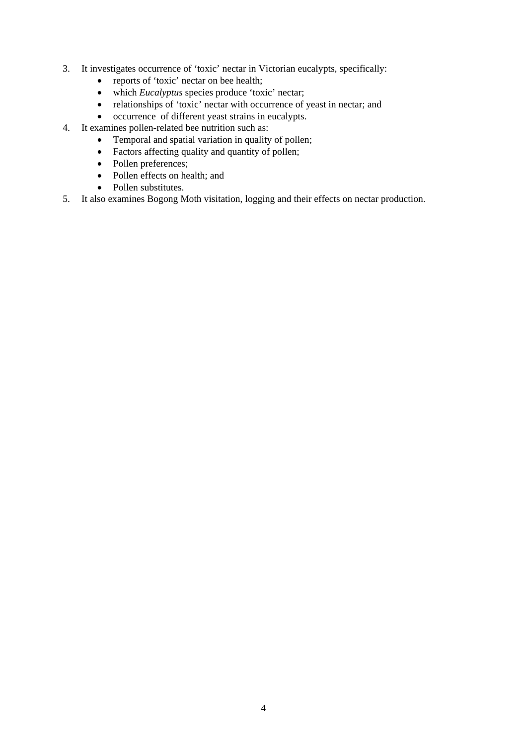- 3. It investigates occurrence of 'toxic' nectar in Victorian eucalypts, specifically:
	- reports of 'toxic' nectar on bee health;
	- which *Eucalyptus* species produce 'toxic' nectar;
	- relationships of 'toxic' nectar with occurrence of yeast in nectar; and
	- occurrence of different yeast strains in eucalypts.
- 4. It examines pollen-related bee nutrition such as:
	- Temporal and spatial variation in quality of pollen;
	- Factors affecting quality and quantity of pollen;
	- Pollen preferences;
	- Pollen effects on health; and
	- Pollen substitutes.
- 5. It also examines Bogong Moth visitation, logging and their effects on nectar production.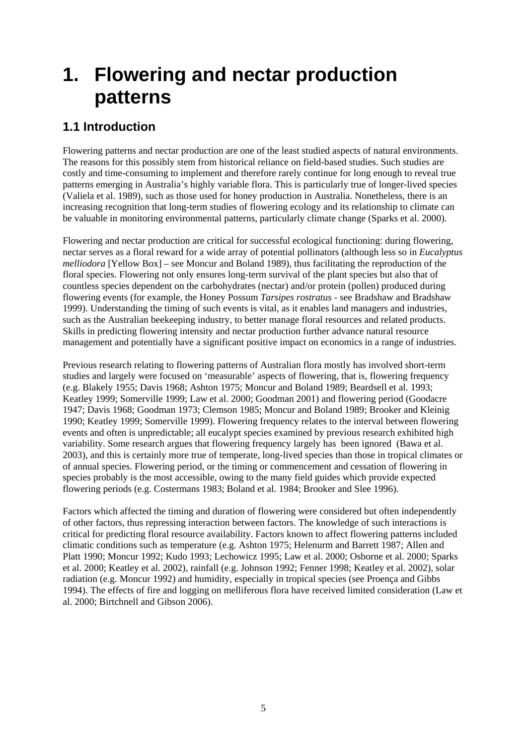# **1. Flowering and nectar production patterns**

### **1.1 Introduction**

Flowering patterns and nectar production are one of the least studied aspects of natural environments. The reasons for this possibly stem from historical reliance on field-based studies. Such studies are costly and time-consuming to implement and therefore rarely continue for long enough to reveal true patterns emerging in Australia's highly variable flora. This is particularly true of longer-lived species (Valiela et al. 1989), such as those used for honey production in Australia. Nonetheless, there is an increasing recognition that long-term studies of flowering ecology and its relationship to climate can be valuable in monitoring environmental patterns, particularly climate change (Sparks et al. 2000).

Flowering and nectar production are critical for successful ecological functioning: during flowering, nectar serves as a floral reward for a wide array of potential pollinators (although less so in *Eucalyptus melliodora* [Yellow Box] – see Moncur and Boland 1989), thus facilitating the reproduction of the floral species. Flowering not only ensures long-term survival of the plant species but also that of countless species dependent on the carbohydrates (nectar) and/or protein (pollen) produced during flowering events (for example, the Honey Possum *Tarsipes rostratus* - see Bradshaw and Bradshaw 1999). Understanding the timing of such events is vital, as it enables land managers and industries, such as the Australian beekeeping industry, to better manage floral resources and related products. Skills in predicting flowering intensity and nectar production further advance natural resource management and potentially have a significant positive impact on economics in a range of industries.

Previous research relating to flowering patterns of Australian flora mostly has involved short-term studies and largely were focused on 'measurable' aspects of flowering, that is, flowering frequency (e.g. Blakely 1955; Davis 1968; Ashton 1975; Moncur and Boland 1989; Beardsell et al. 1993; Keatley 1999; Somerville 1999; Law et al. 2000; Goodman 2001) and flowering period (Goodacre 1947; Davis 1968; Goodman 1973; Clemson 1985; Moncur and Boland 1989; Brooker and Kleinig 1990; Keatley 1999; Somerville 1999). Flowering frequency relates to the interval between flowering events and often is unpredictable; all eucalypt species examined by previous research exhibited high variability. Some research argues that flowering frequency largely has been ignored (Bawa et al. 2003), and this is certainly more true of temperate, long-lived species than those in tropical climates or of annual species. Flowering period, or the timing or commencement and cessation of flowering in species probably is the most accessible, owing to the many field guides which provide expected flowering periods (e.g. Costermans 1983; Boland et al. 1984; Brooker and Slee 1996).

Factors which affected the timing and duration of flowering were considered but often independently of other factors, thus repressing interaction between factors. The knowledge of such interactions is critical for predicting floral resource availability. Factors known to affect flowering patterns included climatic conditions such as temperature (e.g. Ashton 1975; Helenurm and Barrett 1987; Allen and Platt 1990; Moncur 1992; Kudo 1993; Lechowicz 1995; Law et al. 2000; Osborne et al. 2000; Sparks et al. 2000; Keatley et al. 2002), rainfall (e.g. Johnson 1992; Fenner 1998; Keatley et al. 2002), solar radiation (e.g. Moncur 1992) and humidity, especially in tropical species (see Proença and Gibbs 1994). The effects of fire and logging on melliferous flora have received limited consideration (Law et al. 2000; Birtchnell and Gibson 2006).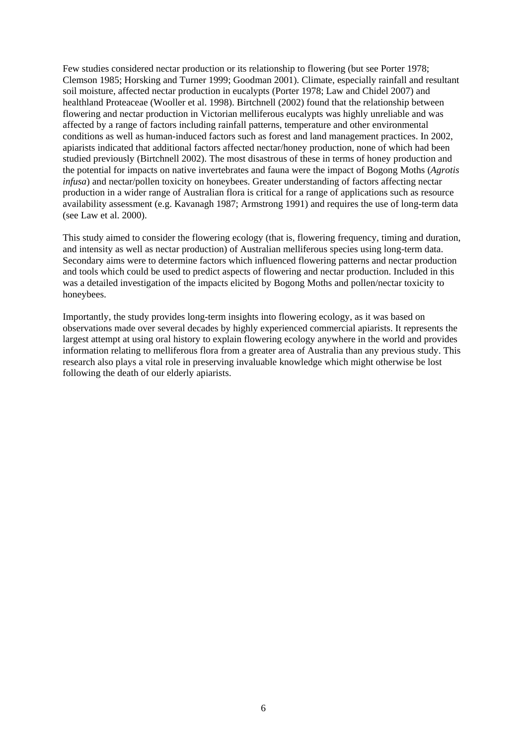Few studies considered nectar production or its relationship to flowering (but see Porter 1978; Clemson 1985; Horsking and Turner 1999; Goodman 2001). Climate, especially rainfall and resultant soil moisture, affected nectar production in eucalypts (Porter 1978; Law and Chidel 2007) and healthland Proteaceae (Wooller et al. 1998). Birtchnell (2002) found that the relationship between flowering and nectar production in Victorian melliferous eucalypts was highly unreliable and was affected by a range of factors including rainfall patterns, temperature and other environmental conditions as well as human-induced factors such as forest and land management practices. In 2002, apiarists indicated that additional factors affected nectar/honey production, none of which had been studied previously (Birtchnell 2002). The most disastrous of these in terms of honey production and the potential for impacts on native invertebrates and fauna were the impact of Bogong Moths (*Agrotis infusa*) and nectar/pollen toxicity on honeybees. Greater understanding of factors affecting nectar production in a wider range of Australian flora is critical for a range of applications such as resource availability assessment (e.g. Kavanagh 1987; Armstrong 1991) and requires the use of long-term data (see Law et al. 2000).

This study aimed to consider the flowering ecology (that is, flowering frequency, timing and duration, and intensity as well as nectar production) of Australian melliferous species using long-term data. Secondary aims were to determine factors which influenced flowering patterns and nectar production and tools which could be used to predict aspects of flowering and nectar production. Included in this was a detailed investigation of the impacts elicited by Bogong Moths and pollen/nectar toxicity to honeybees.

Importantly, the study provides long-term insights into flowering ecology, as it was based on observations made over several decades by highly experienced commercial apiarists. It represents the largest attempt at using oral history to explain flowering ecology anywhere in the world and provides information relating to melliferous flora from a greater area of Australia than any previous study. This research also plays a vital role in preserving invaluable knowledge which might otherwise be lost following the death of our elderly apiarists.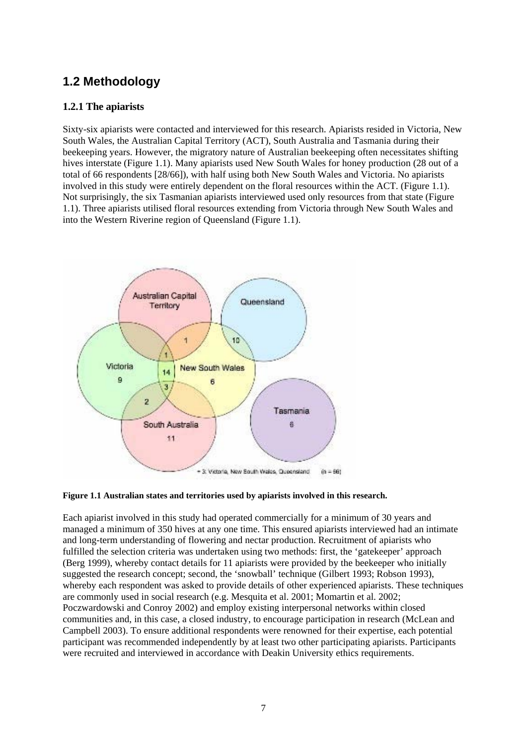### **1.2 Methodology**

### **1.2.1 The apiarists**

Sixty-six apiarists were contacted and interviewed for this research. Apiarists resided in Victoria, New South Wales, the Australian Capital Territory (ACT), South Australia and Tasmania during their beekeeping years. However, the migratory nature of Australian beekeeping often necessitates shifting hives interstate (Figure 1.1). Many apiarists used New South Wales for honey production (28 out of a total of 66 respondents [28/66]), with half using both New South Wales and Victoria. No apiarists involved in this study were entirely dependent on the floral resources within the ACT. (Figure 1.1). Not surprisingly, the six Tasmanian apiarists interviewed used only resources from that state (Figure 1.1). Three apiarists utilised floral resources extending from Victoria through New South Wales and into the Western Riverine region of Queensland (Figure 1.1).



### **Figure 1.1 Australian states and territories used by apiarists involved in this research.**

Each apiarist involved in this study had operated commercially for a minimum of 30 years and managed a minimum of 350 hives at any one time. This ensured apiarists interviewed had an intimate and long-term understanding of flowering and nectar production. Recruitment of apiarists who fulfilled the selection criteria was undertaken using two methods: first, the 'gatekeeper' approach (Berg 1999), whereby contact details for 11 apiarists were provided by the beekeeper who initially suggested the research concept; second, the 'snowball' technique (Gilbert 1993; Robson 1993), whereby each respondent was asked to provide details of other experienced apiarists. These techniques are commonly used in social research (e.g. Mesquita et al. 2001; Momartin et al. 2002; Poczwardowski and Conroy 2002) and employ existing interpersonal networks within closed communities and, in this case, a closed industry, to encourage participation in research (McLean and Campbell 2003). To ensure additional respondents were renowned for their expertise, each potential participant was recommended independently by at least two other participating apiarists. Participants were recruited and interviewed in accordance with Deakin University ethics requirements.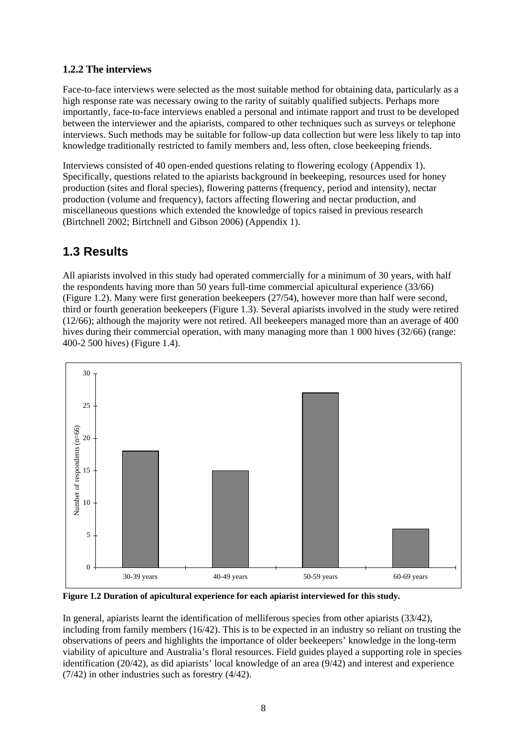### **1.2.2 The interviews**

Face-to-face interviews were selected as the most suitable method for obtaining data, particularly as a high response rate was necessary owing to the rarity of suitably qualified subjects. Perhaps more importantly, face-to-face interviews enabled a personal and intimate rapport and trust to be developed between the interviewer and the apiarists, compared to other techniques such as surveys or telephone interviews. Such methods may be suitable for follow-up data collection but were less likely to tap into knowledge traditionally restricted to family members and, less often, close beekeeping friends.

Interviews consisted of 40 open-ended questions relating to flowering ecology (Appendix 1). Specifically, questions related to the apiarists background in beekeeping, resources used for honey production (sites and floral species), flowering patterns (frequency, period and intensity), nectar production (volume and frequency), factors affecting flowering and nectar production, and miscellaneous questions which extended the knowledge of topics raised in previous research (Birtchnell 2002; Birtchnell and Gibson 2006) (Appendix 1).

### **1.3 Results**

All apiarists involved in this study had operated commercially for a minimum of 30 years, with half the respondents having more than 50 years full-time commercial apicultural experience (33/66) (Figure 1.2). Many were first generation beekeepers (27/54), however more than half were second, third or fourth generation beekeepers (Figure 1.3). Several apiarists involved in the study were retired (12/66); although the majority were not retired. All beekeepers managed more than an average of 400 hives during their commercial operation, with many managing more than 1 000 hives (32/66) (range: 400-2 500 hives) (Figure 1.4).



**Figure 1.2 Duration of apicultural experience for each apiarist interviewed for this study.** 

In general, apiarists learnt the identification of melliferous species from other apiarists (33/42), including from family members (16/42). This is to be expected in an industry so reliant on trusting the observations of peers and highlights the importance of older beekeepers' knowledge in the long-term viability of apiculture and Australia's floral resources. Field guides played a supporting role in species identification (20/42), as did apiarists' local knowledge of an area (9/42) and interest and experience (7/42) in other industries such as forestry (4/42).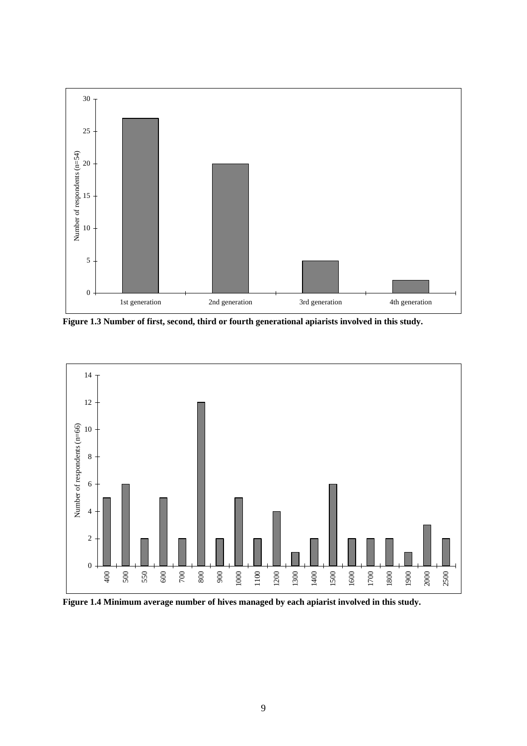

**Figure 1.3 Number of first, second, third or fourth generational apiarists involved in this study.** 



**Figure 1.4 Minimum average number of hives managed by each apiarist involved in this study.**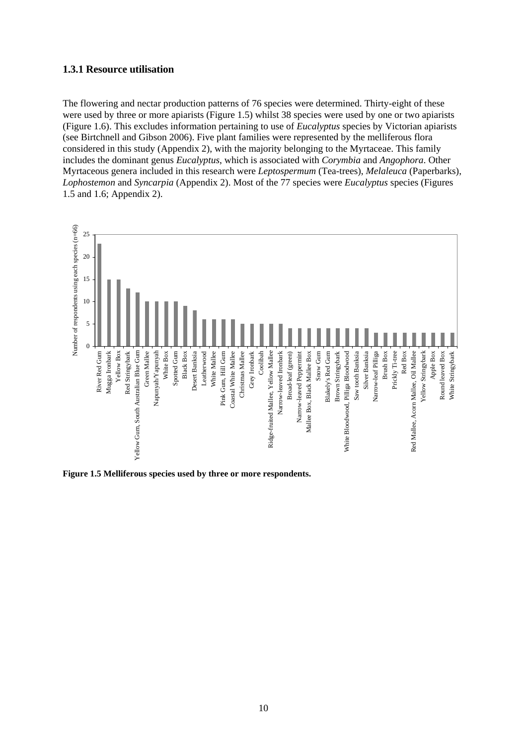#### **1.3.1 Resource utilisation**

The flowering and nectar production patterns of 76 species were determined. Thirty-eight of these were used by three or more apiarists (Figure 1.5) whilst 38 species were used by one or two apiarists (Figure 1.6). This excludes information pertaining to use of *Eucalyptus* species by Victorian apiarists (see Birtchnell and Gibson 2006). Five plant families were represented by the melliferous flora considered in this study (Appendix 2), with the majority belonging to the Myrtaceae. This family includes the dominant genus *Eucalyptus*, which is associated with *Corymbia* and *Angophora*. Other Myrtaceous genera included in this research were *Leptospermum* (Tea-trees), *Melaleuca* (Paperbarks), *Lophostemon* and *Syncarpia* (Appendix 2). Most of the 77 species were *Eucalyptus* species (Figures 1.5 and 1.6; Appendix 2).



**Figure 1.5 Melliferous species used by three or more respondents.**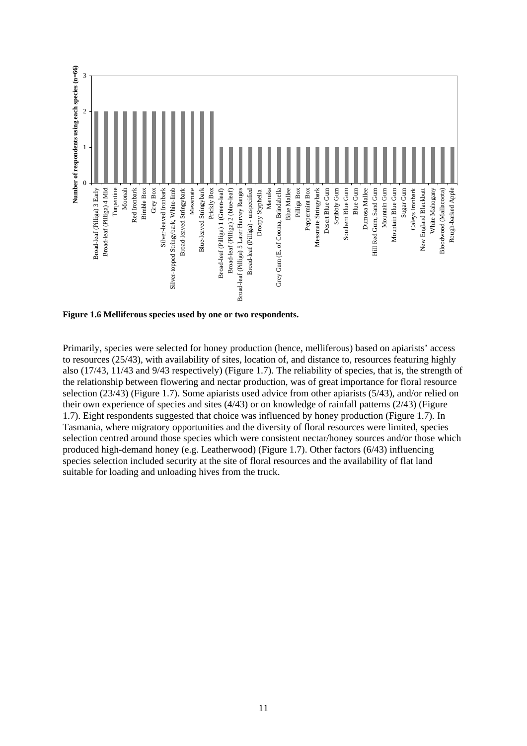

**Figure 1.6 Melliferous species used by one or two respondents.** 

Primarily, species were selected for honey production (hence, melliferous) based on apiarists' access to resources (25/43), with availability of sites, location of, and distance to, resources featuring highly also (17/43, 11/43 and 9/43 respectively) (Figure 1.7). The reliability of species, that is, the strength of the relationship between flowering and nectar production, was of great importance for floral resource selection (23/43) (Figure 1.7). Some apiarists used advice from other apiarists (5/43), and/or relied on their own experience of species and sites (4/43) or on knowledge of rainfall patterns (2/43) (Figure 1.7). Eight respondents suggested that choice was influenced by honey production (Figure 1.7). In Tasmania, where migratory opportunities and the diversity of floral resources were limited, species selection centred around those species which were consistent nectar/honey sources and/or those which produced high-demand honey (e.g. Leatherwood) (Figure 1.7). Other factors (6/43) influencing species selection included security at the site of floral resources and the availability of flat land suitable for loading and unloading hives from the truck.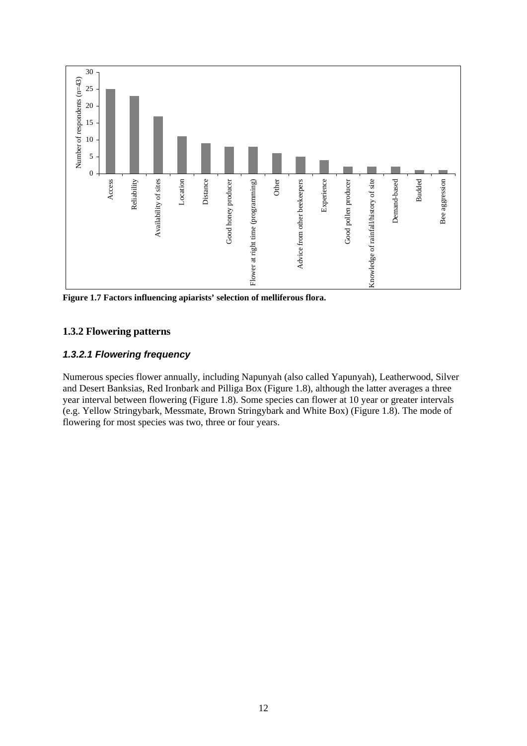

**Figure 1.7 Factors influencing apiarists' selection of melliferous flora.** 

### **1.3.2 Flowering patterns**

### *1.3.2.1 Flowering frequency*

Numerous species flower annually, including Napunyah (also called Yapunyah), Leatherwood, Silver and Desert Banksias, Red Ironbark and Pilliga Box (Figure 1.8), although the latter averages a three year interval between flowering (Figure 1.8). Some species can flower at 10 year or greater intervals (e.g. Yellow Stringybark, Messmate, Brown Stringybark and White Box) (Figure 1.8). The mode of flowering for most species was two, three or four years.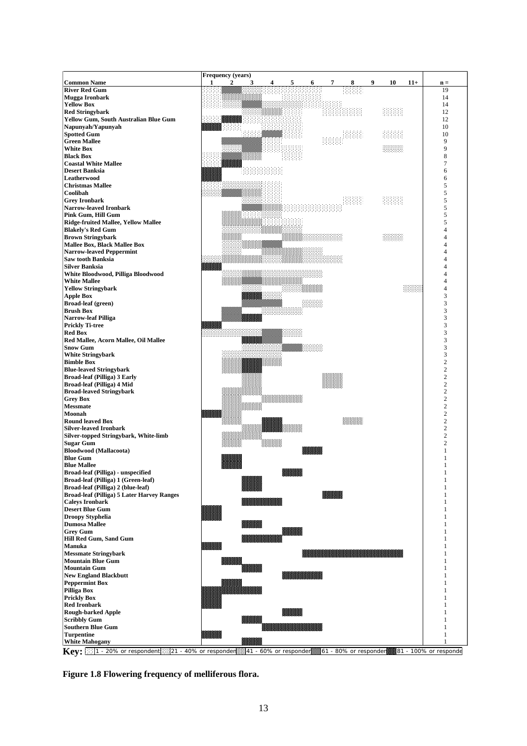| <b>River Red Gum</b><br>19<br>Mugga Ironbark<br>14<br><b>Yellow Box</b><br>14<br>拼用用<br>照明<br>12<br><b>Red Stringybark</b><br><b>Yellow Gum, South Australian Blue Gum</b><br>12<br>Napunyah/Yapunyah<br>10<br>BHBH<br><b>Spotted Gum</b><br>HHHH<br>10<br>电阻用<br>9<br><b>Green Mallee</b><br><b>White Box</b><br>9<br>8<br><b>Black Box</b><br><b>Coastal White Mallee</b><br>7<br><b>HARRAHANA</b><br><b>Desert Banksia</b><br>6<br>Leatherwood<br>6<br><b>Christmas Mallee</b><br>5<br>Coolibah<br>5<br>HHHHH<br>HHHH<br>5<br><b>Grey Ironbark</b><br>5<br><b>Narrow-leaved Ironbark</b><br>5<br>Pink Gum, Hill Gum<br>5<br>Ridge-fruited Mallee, Yellow Mallee<br><b>Blakely's Red Gum</b><br>4<br><b>Brown Stringybark</b><br>4<br><b>Mallee Box, Black Mallee Box</b><br>u prezidenti<br>4<br><b>Narrow-leaved Peppermint</b><br>4<br><b>Saw tooth Banksia</b><br>4<br><b>Silver Banksia</b><br>White Bloodwood, Pilliga Bloodwood<br>4<br><b>White Mallee</b><br>ennen<br><b>Yellow Stringybark</b><br>4<br><b>Apple Box</b><br>3<br>3<br><b>Broad-leaf (green)</b><br>3<br><b>Brush Box</b><br><b>Narrow-leaf Pilliga</b><br>3<br><b>Prickly Ti-tree</b><br>3<br>3<br><b>Red Box</b><br>Red Mallee, Acorn Mallee, Oil Mallee<br>3<br>8888888<br><b>Snow Gum</b><br>3<br><b>White Stringybark</b><br>3<br><b>Bimble Box</b><br>2<br>$\overline{c}$<br><b>Blue-leaved Stringybark</b><br>$\mathbf{2}$<br><b>Broad-leaf (Pilliga) 3 Early</b><br>$\overline{c}$<br>Broad-leaf (Pilliga) 4 Mid<br>$\overline{c}$<br><b>Broad-leaved Stringybark</b><br>$\overline{c}$<br><b>Grey Box</b><br>$\sqrt{2}$<br><b>Messmate</b><br>$\overline{c}$<br>Moonah<br>$\begin{small} \mathbf{1}_{\mathbf{1}_{\mathbf{1}}}^{(1)}\mathbf{1}_{\mathbf{1}}^{(2)}\mathbf{1}_{\mathbf{1}}^{(2)}\mathbf{1}_{\mathbf{1}}^{(2)}\mathbf{1}_{\mathbf{1}}^{(2)}\mathbf{1}_{\mathbf{1}}^{(2)}\mathbf{1}_{\mathbf{1}}^{(2)}\mathbf{1}_{\mathbf{1}}^{(2)}\mathbf{1}_{\mathbf{1}}^{(2)}\mathbf{1}_{\mathbf{1}}^{(2)}\mathbf{1}_{\mathbf{1}}^{(2)}\mathbf{1}_{\mathbf{1}}^{(2)}\mathbf{1}_{\mathbf{1}}^{(2)}\$<br>$\mathbf{2}$<br><b>Round leaved Box</b><br>$\overline{c}$<br><b>Silver-leaved Ironbark</b><br>Silver-topped Stringybark, White-limb<br>2<br><b>Sugar Gum</b><br>$\overline{c}$<br><b>Bloodwood</b> (Mallacoota)<br><b>Blue Gum</b><br><b>Blue Mallee</b><br>1<br>Broad-leaf (Pilliga) - unspecified<br>1<br>Broad-leaf (Pilliga) 1 (Green-leaf)<br>1<br>Broad-leaf (Pilliga) 2 (blue-leaf)<br><b>1999 - 1999 - 1999 - 1999 - 1999 - 1999 - 1999 - 1999 - 1999 - 1999 - 1999 - 1999 - 1999 - 1999 - 1999 - 1999</b><br><b>Broad-leaf (Pilliga) 5 Later Harvey Ranges</b><br><b>Caleys Ironbark</b><br><b>1980 - 1990 - 1990 - 1990 - 1990 - 1990 - 1990 - 1990 - 1990 - 1990 - 1990 - 1990 - 1990 - 1990 - 1990 - 1990</b><br><b>Desert Blue Gum</b><br><b>Droopy Styphelia</b> | <b>Common Name</b>   | <b>Frequency (years)</b><br>$\boldsymbol{2}$<br>3<br>9<br>10<br>$11+$<br>1<br>5<br>8<br>6<br>7 | $\mathbf{n} =$ |
|------------------------------------------------------------------------------------------------------------------------------------------------------------------------------------------------------------------------------------------------------------------------------------------------------------------------------------------------------------------------------------------------------------------------------------------------------------------------------------------------------------------------------------------------------------------------------------------------------------------------------------------------------------------------------------------------------------------------------------------------------------------------------------------------------------------------------------------------------------------------------------------------------------------------------------------------------------------------------------------------------------------------------------------------------------------------------------------------------------------------------------------------------------------------------------------------------------------------------------------------------------------------------------------------------------------------------------------------------------------------------------------------------------------------------------------------------------------------------------------------------------------------------------------------------------------------------------------------------------------------------------------------------------------------------------------------------------------------------------------------------------------------------------------------------------------------------------------------------------------------------------------------------------------------------------------------------------------------------------------------------------------------------------------------------------------------------------------------------------------------------------------------------------------------------------------------------------------------------------------------------------------------------------------------------------------------------------------------------------------------------------------------------------------------------------------------------------------------------------------------------------------------------------------------------------------------------------------------------------------------------------------------------------------------------------------------------------------------------------------------------------------------------------------------------------------------------------------------------------------------|----------------------|------------------------------------------------------------------------------------------------|----------------|
|                                                                                                                                                                                                                                                                                                                                                                                                                                                                                                                                                                                                                                                                                                                                                                                                                                                                                                                                                                                                                                                                                                                                                                                                                                                                                                                                                                                                                                                                                                                                                                                                                                                                                                                                                                                                                                                                                                                                                                                                                                                                                                                                                                                                                                                                                                                                                                                                                                                                                                                                                                                                                                                                                                                                                                                                                                                                        |                      |                                                                                                |                |
|                                                                                                                                                                                                                                                                                                                                                                                                                                                                                                                                                                                                                                                                                                                                                                                                                                                                                                                                                                                                                                                                                                                                                                                                                                                                                                                                                                                                                                                                                                                                                                                                                                                                                                                                                                                                                                                                                                                                                                                                                                                                                                                                                                                                                                                                                                                                                                                                                                                                                                                                                                                                                                                                                                                                                                                                                                                                        |                      |                                                                                                |                |
|                                                                                                                                                                                                                                                                                                                                                                                                                                                                                                                                                                                                                                                                                                                                                                                                                                                                                                                                                                                                                                                                                                                                                                                                                                                                                                                                                                                                                                                                                                                                                                                                                                                                                                                                                                                                                                                                                                                                                                                                                                                                                                                                                                                                                                                                                                                                                                                                                                                                                                                                                                                                                                                                                                                                                                                                                                                                        |                      |                                                                                                |                |
|                                                                                                                                                                                                                                                                                                                                                                                                                                                                                                                                                                                                                                                                                                                                                                                                                                                                                                                                                                                                                                                                                                                                                                                                                                                                                                                                                                                                                                                                                                                                                                                                                                                                                                                                                                                                                                                                                                                                                                                                                                                                                                                                                                                                                                                                                                                                                                                                                                                                                                                                                                                                                                                                                                                                                                                                                                                                        |                      |                                                                                                |                |
|                                                                                                                                                                                                                                                                                                                                                                                                                                                                                                                                                                                                                                                                                                                                                                                                                                                                                                                                                                                                                                                                                                                                                                                                                                                                                                                                                                                                                                                                                                                                                                                                                                                                                                                                                                                                                                                                                                                                                                                                                                                                                                                                                                                                                                                                                                                                                                                                                                                                                                                                                                                                                                                                                                                                                                                                                                                                        |                      |                                                                                                |                |
|                                                                                                                                                                                                                                                                                                                                                                                                                                                                                                                                                                                                                                                                                                                                                                                                                                                                                                                                                                                                                                                                                                                                                                                                                                                                                                                                                                                                                                                                                                                                                                                                                                                                                                                                                                                                                                                                                                                                                                                                                                                                                                                                                                                                                                                                                                                                                                                                                                                                                                                                                                                                                                                                                                                                                                                                                                                                        |                      |                                                                                                |                |
|                                                                                                                                                                                                                                                                                                                                                                                                                                                                                                                                                                                                                                                                                                                                                                                                                                                                                                                                                                                                                                                                                                                                                                                                                                                                                                                                                                                                                                                                                                                                                                                                                                                                                                                                                                                                                                                                                                                                                                                                                                                                                                                                                                                                                                                                                                                                                                                                                                                                                                                                                                                                                                                                                                                                                                                                                                                                        |                      |                                                                                                |                |
|                                                                                                                                                                                                                                                                                                                                                                                                                                                                                                                                                                                                                                                                                                                                                                                                                                                                                                                                                                                                                                                                                                                                                                                                                                                                                                                                                                                                                                                                                                                                                                                                                                                                                                                                                                                                                                                                                                                                                                                                                                                                                                                                                                                                                                                                                                                                                                                                                                                                                                                                                                                                                                                                                                                                                                                                                                                                        |                      |                                                                                                |                |
|                                                                                                                                                                                                                                                                                                                                                                                                                                                                                                                                                                                                                                                                                                                                                                                                                                                                                                                                                                                                                                                                                                                                                                                                                                                                                                                                                                                                                                                                                                                                                                                                                                                                                                                                                                                                                                                                                                                                                                                                                                                                                                                                                                                                                                                                                                                                                                                                                                                                                                                                                                                                                                                                                                                                                                                                                                                                        |                      |                                                                                                |                |
|                                                                                                                                                                                                                                                                                                                                                                                                                                                                                                                                                                                                                                                                                                                                                                                                                                                                                                                                                                                                                                                                                                                                                                                                                                                                                                                                                                                                                                                                                                                                                                                                                                                                                                                                                                                                                                                                                                                                                                                                                                                                                                                                                                                                                                                                                                                                                                                                                                                                                                                                                                                                                                                                                                                                                                                                                                                                        |                      |                                                                                                |                |
|                                                                                                                                                                                                                                                                                                                                                                                                                                                                                                                                                                                                                                                                                                                                                                                                                                                                                                                                                                                                                                                                                                                                                                                                                                                                                                                                                                                                                                                                                                                                                                                                                                                                                                                                                                                                                                                                                                                                                                                                                                                                                                                                                                                                                                                                                                                                                                                                                                                                                                                                                                                                                                                                                                                                                                                                                                                                        |                      |                                                                                                |                |
|                                                                                                                                                                                                                                                                                                                                                                                                                                                                                                                                                                                                                                                                                                                                                                                                                                                                                                                                                                                                                                                                                                                                                                                                                                                                                                                                                                                                                                                                                                                                                                                                                                                                                                                                                                                                                                                                                                                                                                                                                                                                                                                                                                                                                                                                                                                                                                                                                                                                                                                                                                                                                                                                                                                                                                                                                                                                        |                      |                                                                                                |                |
|                                                                                                                                                                                                                                                                                                                                                                                                                                                                                                                                                                                                                                                                                                                                                                                                                                                                                                                                                                                                                                                                                                                                                                                                                                                                                                                                                                                                                                                                                                                                                                                                                                                                                                                                                                                                                                                                                                                                                                                                                                                                                                                                                                                                                                                                                                                                                                                                                                                                                                                                                                                                                                                                                                                                                                                                                                                                        |                      |                                                                                                |                |
|                                                                                                                                                                                                                                                                                                                                                                                                                                                                                                                                                                                                                                                                                                                                                                                                                                                                                                                                                                                                                                                                                                                                                                                                                                                                                                                                                                                                                                                                                                                                                                                                                                                                                                                                                                                                                                                                                                                                                                                                                                                                                                                                                                                                                                                                                                                                                                                                                                                                                                                                                                                                                                                                                                                                                                                                                                                                        |                      |                                                                                                |                |
|                                                                                                                                                                                                                                                                                                                                                                                                                                                                                                                                                                                                                                                                                                                                                                                                                                                                                                                                                                                                                                                                                                                                                                                                                                                                                                                                                                                                                                                                                                                                                                                                                                                                                                                                                                                                                                                                                                                                                                                                                                                                                                                                                                                                                                                                                                                                                                                                                                                                                                                                                                                                                                                                                                                                                                                                                                                                        |                      |                                                                                                |                |
|                                                                                                                                                                                                                                                                                                                                                                                                                                                                                                                                                                                                                                                                                                                                                                                                                                                                                                                                                                                                                                                                                                                                                                                                                                                                                                                                                                                                                                                                                                                                                                                                                                                                                                                                                                                                                                                                                                                                                                                                                                                                                                                                                                                                                                                                                                                                                                                                                                                                                                                                                                                                                                                                                                                                                                                                                                                                        |                      |                                                                                                |                |
|                                                                                                                                                                                                                                                                                                                                                                                                                                                                                                                                                                                                                                                                                                                                                                                                                                                                                                                                                                                                                                                                                                                                                                                                                                                                                                                                                                                                                                                                                                                                                                                                                                                                                                                                                                                                                                                                                                                                                                                                                                                                                                                                                                                                                                                                                                                                                                                                                                                                                                                                                                                                                                                                                                                                                                                                                                                                        |                      |                                                                                                |                |
|                                                                                                                                                                                                                                                                                                                                                                                                                                                                                                                                                                                                                                                                                                                                                                                                                                                                                                                                                                                                                                                                                                                                                                                                                                                                                                                                                                                                                                                                                                                                                                                                                                                                                                                                                                                                                                                                                                                                                                                                                                                                                                                                                                                                                                                                                                                                                                                                                                                                                                                                                                                                                                                                                                                                                                                                                                                                        |                      |                                                                                                |                |
|                                                                                                                                                                                                                                                                                                                                                                                                                                                                                                                                                                                                                                                                                                                                                                                                                                                                                                                                                                                                                                                                                                                                                                                                                                                                                                                                                                                                                                                                                                                                                                                                                                                                                                                                                                                                                                                                                                                                                                                                                                                                                                                                                                                                                                                                                                                                                                                                                                                                                                                                                                                                                                                                                                                                                                                                                                                                        |                      |                                                                                                |                |
|                                                                                                                                                                                                                                                                                                                                                                                                                                                                                                                                                                                                                                                                                                                                                                                                                                                                                                                                                                                                                                                                                                                                                                                                                                                                                                                                                                                                                                                                                                                                                                                                                                                                                                                                                                                                                                                                                                                                                                                                                                                                                                                                                                                                                                                                                                                                                                                                                                                                                                                                                                                                                                                                                                                                                                                                                                                                        |                      |                                                                                                |                |
|                                                                                                                                                                                                                                                                                                                                                                                                                                                                                                                                                                                                                                                                                                                                                                                                                                                                                                                                                                                                                                                                                                                                                                                                                                                                                                                                                                                                                                                                                                                                                                                                                                                                                                                                                                                                                                                                                                                                                                                                                                                                                                                                                                                                                                                                                                                                                                                                                                                                                                                                                                                                                                                                                                                                                                                                                                                                        |                      |                                                                                                |                |
|                                                                                                                                                                                                                                                                                                                                                                                                                                                                                                                                                                                                                                                                                                                                                                                                                                                                                                                                                                                                                                                                                                                                                                                                                                                                                                                                                                                                                                                                                                                                                                                                                                                                                                                                                                                                                                                                                                                                                                                                                                                                                                                                                                                                                                                                                                                                                                                                                                                                                                                                                                                                                                                                                                                                                                                                                                                                        |                      |                                                                                                |                |
|                                                                                                                                                                                                                                                                                                                                                                                                                                                                                                                                                                                                                                                                                                                                                                                                                                                                                                                                                                                                                                                                                                                                                                                                                                                                                                                                                                                                                                                                                                                                                                                                                                                                                                                                                                                                                                                                                                                                                                                                                                                                                                                                                                                                                                                                                                                                                                                                                                                                                                                                                                                                                                                                                                                                                                                                                                                                        |                      |                                                                                                |                |
|                                                                                                                                                                                                                                                                                                                                                                                                                                                                                                                                                                                                                                                                                                                                                                                                                                                                                                                                                                                                                                                                                                                                                                                                                                                                                                                                                                                                                                                                                                                                                                                                                                                                                                                                                                                                                                                                                                                                                                                                                                                                                                                                                                                                                                                                                                                                                                                                                                                                                                                                                                                                                                                                                                                                                                                                                                                                        |                      |                                                                                                |                |
|                                                                                                                                                                                                                                                                                                                                                                                                                                                                                                                                                                                                                                                                                                                                                                                                                                                                                                                                                                                                                                                                                                                                                                                                                                                                                                                                                                                                                                                                                                                                                                                                                                                                                                                                                                                                                                                                                                                                                                                                                                                                                                                                                                                                                                                                                                                                                                                                                                                                                                                                                                                                                                                                                                                                                                                                                                                                        |                      |                                                                                                |                |
|                                                                                                                                                                                                                                                                                                                                                                                                                                                                                                                                                                                                                                                                                                                                                                                                                                                                                                                                                                                                                                                                                                                                                                                                                                                                                                                                                                                                                                                                                                                                                                                                                                                                                                                                                                                                                                                                                                                                                                                                                                                                                                                                                                                                                                                                                                                                                                                                                                                                                                                                                                                                                                                                                                                                                                                                                                                                        |                      |                                                                                                |                |
|                                                                                                                                                                                                                                                                                                                                                                                                                                                                                                                                                                                                                                                                                                                                                                                                                                                                                                                                                                                                                                                                                                                                                                                                                                                                                                                                                                                                                                                                                                                                                                                                                                                                                                                                                                                                                                                                                                                                                                                                                                                                                                                                                                                                                                                                                                                                                                                                                                                                                                                                                                                                                                                                                                                                                                                                                                                                        |                      |                                                                                                |                |
|                                                                                                                                                                                                                                                                                                                                                                                                                                                                                                                                                                                                                                                                                                                                                                                                                                                                                                                                                                                                                                                                                                                                                                                                                                                                                                                                                                                                                                                                                                                                                                                                                                                                                                                                                                                                                                                                                                                                                                                                                                                                                                                                                                                                                                                                                                                                                                                                                                                                                                                                                                                                                                                                                                                                                                                                                                                                        |                      |                                                                                                |                |
|                                                                                                                                                                                                                                                                                                                                                                                                                                                                                                                                                                                                                                                                                                                                                                                                                                                                                                                                                                                                                                                                                                                                                                                                                                                                                                                                                                                                                                                                                                                                                                                                                                                                                                                                                                                                                                                                                                                                                                                                                                                                                                                                                                                                                                                                                                                                                                                                                                                                                                                                                                                                                                                                                                                                                                                                                                                                        |                      |                                                                                                |                |
|                                                                                                                                                                                                                                                                                                                                                                                                                                                                                                                                                                                                                                                                                                                                                                                                                                                                                                                                                                                                                                                                                                                                                                                                                                                                                                                                                                                                                                                                                                                                                                                                                                                                                                                                                                                                                                                                                                                                                                                                                                                                                                                                                                                                                                                                                                                                                                                                                                                                                                                                                                                                                                                                                                                                                                                                                                                                        |                      |                                                                                                |                |
|                                                                                                                                                                                                                                                                                                                                                                                                                                                                                                                                                                                                                                                                                                                                                                                                                                                                                                                                                                                                                                                                                                                                                                                                                                                                                                                                                                                                                                                                                                                                                                                                                                                                                                                                                                                                                                                                                                                                                                                                                                                                                                                                                                                                                                                                                                                                                                                                                                                                                                                                                                                                                                                                                                                                                                                                                                                                        |                      |                                                                                                |                |
|                                                                                                                                                                                                                                                                                                                                                                                                                                                                                                                                                                                                                                                                                                                                                                                                                                                                                                                                                                                                                                                                                                                                                                                                                                                                                                                                                                                                                                                                                                                                                                                                                                                                                                                                                                                                                                                                                                                                                                                                                                                                                                                                                                                                                                                                                                                                                                                                                                                                                                                                                                                                                                                                                                                                                                                                                                                                        |                      |                                                                                                |                |
|                                                                                                                                                                                                                                                                                                                                                                                                                                                                                                                                                                                                                                                                                                                                                                                                                                                                                                                                                                                                                                                                                                                                                                                                                                                                                                                                                                                                                                                                                                                                                                                                                                                                                                                                                                                                                                                                                                                                                                                                                                                                                                                                                                                                                                                                                                                                                                                                                                                                                                                                                                                                                                                                                                                                                                                                                                                                        |                      |                                                                                                |                |
|                                                                                                                                                                                                                                                                                                                                                                                                                                                                                                                                                                                                                                                                                                                                                                                                                                                                                                                                                                                                                                                                                                                                                                                                                                                                                                                                                                                                                                                                                                                                                                                                                                                                                                                                                                                                                                                                                                                                                                                                                                                                                                                                                                                                                                                                                                                                                                                                                                                                                                                                                                                                                                                                                                                                                                                                                                                                        |                      |                                                                                                |                |
|                                                                                                                                                                                                                                                                                                                                                                                                                                                                                                                                                                                                                                                                                                                                                                                                                                                                                                                                                                                                                                                                                                                                                                                                                                                                                                                                                                                                                                                                                                                                                                                                                                                                                                                                                                                                                                                                                                                                                                                                                                                                                                                                                                                                                                                                                                                                                                                                                                                                                                                                                                                                                                                                                                                                                                                                                                                                        |                      |                                                                                                |                |
|                                                                                                                                                                                                                                                                                                                                                                                                                                                                                                                                                                                                                                                                                                                                                                                                                                                                                                                                                                                                                                                                                                                                                                                                                                                                                                                                                                                                                                                                                                                                                                                                                                                                                                                                                                                                                                                                                                                                                                                                                                                                                                                                                                                                                                                                                                                                                                                                                                                                                                                                                                                                                                                                                                                                                                                                                                                                        |                      |                                                                                                |                |
|                                                                                                                                                                                                                                                                                                                                                                                                                                                                                                                                                                                                                                                                                                                                                                                                                                                                                                                                                                                                                                                                                                                                                                                                                                                                                                                                                                                                                                                                                                                                                                                                                                                                                                                                                                                                                                                                                                                                                                                                                                                                                                                                                                                                                                                                                                                                                                                                                                                                                                                                                                                                                                                                                                                                                                                                                                                                        |                      |                                                                                                |                |
|                                                                                                                                                                                                                                                                                                                                                                                                                                                                                                                                                                                                                                                                                                                                                                                                                                                                                                                                                                                                                                                                                                                                                                                                                                                                                                                                                                                                                                                                                                                                                                                                                                                                                                                                                                                                                                                                                                                                                                                                                                                                                                                                                                                                                                                                                                                                                                                                                                                                                                                                                                                                                                                                                                                                                                                                                                                                        |                      |                                                                                                |                |
|                                                                                                                                                                                                                                                                                                                                                                                                                                                                                                                                                                                                                                                                                                                                                                                                                                                                                                                                                                                                                                                                                                                                                                                                                                                                                                                                                                                                                                                                                                                                                                                                                                                                                                                                                                                                                                                                                                                                                                                                                                                                                                                                                                                                                                                                                                                                                                                                                                                                                                                                                                                                                                                                                                                                                                                                                                                                        |                      |                                                                                                |                |
|                                                                                                                                                                                                                                                                                                                                                                                                                                                                                                                                                                                                                                                                                                                                                                                                                                                                                                                                                                                                                                                                                                                                                                                                                                                                                                                                                                                                                                                                                                                                                                                                                                                                                                                                                                                                                                                                                                                                                                                                                                                                                                                                                                                                                                                                                                                                                                                                                                                                                                                                                                                                                                                                                                                                                                                                                                                                        |                      |                                                                                                |                |
|                                                                                                                                                                                                                                                                                                                                                                                                                                                                                                                                                                                                                                                                                                                                                                                                                                                                                                                                                                                                                                                                                                                                                                                                                                                                                                                                                                                                                                                                                                                                                                                                                                                                                                                                                                                                                                                                                                                                                                                                                                                                                                                                                                                                                                                                                                                                                                                                                                                                                                                                                                                                                                                                                                                                                                                                                                                                        |                      |                                                                                                |                |
|                                                                                                                                                                                                                                                                                                                                                                                                                                                                                                                                                                                                                                                                                                                                                                                                                                                                                                                                                                                                                                                                                                                                                                                                                                                                                                                                                                                                                                                                                                                                                                                                                                                                                                                                                                                                                                                                                                                                                                                                                                                                                                                                                                                                                                                                                                                                                                                                                                                                                                                                                                                                                                                                                                                                                                                                                                                                        |                      |                                                                                                |                |
|                                                                                                                                                                                                                                                                                                                                                                                                                                                                                                                                                                                                                                                                                                                                                                                                                                                                                                                                                                                                                                                                                                                                                                                                                                                                                                                                                                                                                                                                                                                                                                                                                                                                                                                                                                                                                                                                                                                                                                                                                                                                                                                                                                                                                                                                                                                                                                                                                                                                                                                                                                                                                                                                                                                                                                                                                                                                        |                      |                                                                                                |                |
|                                                                                                                                                                                                                                                                                                                                                                                                                                                                                                                                                                                                                                                                                                                                                                                                                                                                                                                                                                                                                                                                                                                                                                                                                                                                                                                                                                                                                                                                                                                                                                                                                                                                                                                                                                                                                                                                                                                                                                                                                                                                                                                                                                                                                                                                                                                                                                                                                                                                                                                                                                                                                                                                                                                                                                                                                                                                        |                      |                                                                                                |                |
|                                                                                                                                                                                                                                                                                                                                                                                                                                                                                                                                                                                                                                                                                                                                                                                                                                                                                                                                                                                                                                                                                                                                                                                                                                                                                                                                                                                                                                                                                                                                                                                                                                                                                                                                                                                                                                                                                                                                                                                                                                                                                                                                                                                                                                                                                                                                                                                                                                                                                                                                                                                                                                                                                                                                                                                                                                                                        |                      |                                                                                                |                |
|                                                                                                                                                                                                                                                                                                                                                                                                                                                                                                                                                                                                                                                                                                                                                                                                                                                                                                                                                                                                                                                                                                                                                                                                                                                                                                                                                                                                                                                                                                                                                                                                                                                                                                                                                                                                                                                                                                                                                                                                                                                                                                                                                                                                                                                                                                                                                                                                                                                                                                                                                                                                                                                                                                                                                                                                                                                                        |                      |                                                                                                |                |
|                                                                                                                                                                                                                                                                                                                                                                                                                                                                                                                                                                                                                                                                                                                                                                                                                                                                                                                                                                                                                                                                                                                                                                                                                                                                                                                                                                                                                                                                                                                                                                                                                                                                                                                                                                                                                                                                                                                                                                                                                                                                                                                                                                                                                                                                                                                                                                                                                                                                                                                                                                                                                                                                                                                                                                                                                                                                        |                      |                                                                                                |                |
|                                                                                                                                                                                                                                                                                                                                                                                                                                                                                                                                                                                                                                                                                                                                                                                                                                                                                                                                                                                                                                                                                                                                                                                                                                                                                                                                                                                                                                                                                                                                                                                                                                                                                                                                                                                                                                                                                                                                                                                                                                                                                                                                                                                                                                                                                                                                                                                                                                                                                                                                                                                                                                                                                                                                                                                                                                                                        |                      |                                                                                                |                |
|                                                                                                                                                                                                                                                                                                                                                                                                                                                                                                                                                                                                                                                                                                                                                                                                                                                                                                                                                                                                                                                                                                                                                                                                                                                                                                                                                                                                                                                                                                                                                                                                                                                                                                                                                                                                                                                                                                                                                                                                                                                                                                                                                                                                                                                                                                                                                                                                                                                                                                                                                                                                                                                                                                                                                                                                                                                                        |                      |                                                                                                |                |
|                                                                                                                                                                                                                                                                                                                                                                                                                                                                                                                                                                                                                                                                                                                                                                                                                                                                                                                                                                                                                                                                                                                                                                                                                                                                                                                                                                                                                                                                                                                                                                                                                                                                                                                                                                                                                                                                                                                                                                                                                                                                                                                                                                                                                                                                                                                                                                                                                                                                                                                                                                                                                                                                                                                                                                                                                                                                        |                      |                                                                                                |                |
|                                                                                                                                                                                                                                                                                                                                                                                                                                                                                                                                                                                                                                                                                                                                                                                                                                                                                                                                                                                                                                                                                                                                                                                                                                                                                                                                                                                                                                                                                                                                                                                                                                                                                                                                                                                                                                                                                                                                                                                                                                                                                                                                                                                                                                                                                                                                                                                                                                                                                                                                                                                                                                                                                                                                                                                                                                                                        |                      |                                                                                                |                |
|                                                                                                                                                                                                                                                                                                                                                                                                                                                                                                                                                                                                                                                                                                                                                                                                                                                                                                                                                                                                                                                                                                                                                                                                                                                                                                                                                                                                                                                                                                                                                                                                                                                                                                                                                                                                                                                                                                                                                                                                                                                                                                                                                                                                                                                                                                                                                                                                                                                                                                                                                                                                                                                                                                                                                                                                                                                                        |                      |                                                                                                |                |
|                                                                                                                                                                                                                                                                                                                                                                                                                                                                                                                                                                                                                                                                                                                                                                                                                                                                                                                                                                                                                                                                                                                                                                                                                                                                                                                                                                                                                                                                                                                                                                                                                                                                                                                                                                                                                                                                                                                                                                                                                                                                                                                                                                                                                                                                                                                                                                                                                                                                                                                                                                                                                                                                                                                                                                                                                                                                        | <b>Dumosa Mallee</b> | BBONNA                                                                                         |                |
| a an<br><b>Grey Gum</b>                                                                                                                                                                                                                                                                                                                                                                                                                                                                                                                                                                                                                                                                                                                                                                                                                                                                                                                                                                                                                                                                                                                                                                                                                                                                                                                                                                                                                                                                                                                                                                                                                                                                                                                                                                                                                                                                                                                                                                                                                                                                                                                                                                                                                                                                                                                                                                                                                                                                                                                                                                                                                                                                                                                                                                                                                                                |                      |                                                                                                |                |
| Hill Red Gum, Sand Gum                                                                                                                                                                                                                                                                                                                                                                                                                                                                                                                                                                                                                                                                                                                                                                                                                                                                                                                                                                                                                                                                                                                                                                                                                                                                                                                                                                                                                                                                                                                                                                                                                                                                                                                                                                                                                                                                                                                                                                                                                                                                                                                                                                                                                                                                                                                                                                                                                                                                                                                                                                                                                                                                                                                                                                                                                                                 |                      |                                                                                                |                |
| <b>Manuka</b>                                                                                                                                                                                                                                                                                                                                                                                                                                                                                                                                                                                                                                                                                                                                                                                                                                                                                                                                                                                                                                                                                                                                                                                                                                                                                                                                                                                                                                                                                                                                                                                                                                                                                                                                                                                                                                                                                                                                                                                                                                                                                                                                                                                                                                                                                                                                                                                                                                                                                                                                                                                                                                                                                                                                                                                                                                                          |                      |                                                                                                |                |
| <b>Messmate Stringybark</b><br><b>Mountain Blue Gum</b><br><b>BAR DE SOLO</b>                                                                                                                                                                                                                                                                                                                                                                                                                                                                                                                                                                                                                                                                                                                                                                                                                                                                                                                                                                                                                                                                                                                                                                                                                                                                                                                                                                                                                                                                                                                                                                                                                                                                                                                                                                                                                                                                                                                                                                                                                                                                                                                                                                                                                                                                                                                                                                                                                                                                                                                                                                                                                                                                                                                                                                                          |                      |                                                                                                |                |
| <b>Reader</b><br><b>Mountain Gum</b>                                                                                                                                                                                                                                                                                                                                                                                                                                                                                                                                                                                                                                                                                                                                                                                                                                                                                                                                                                                                                                                                                                                                                                                                                                                                                                                                                                                                                                                                                                                                                                                                                                                                                                                                                                                                                                                                                                                                                                                                                                                                                                                                                                                                                                                                                                                                                                                                                                                                                                                                                                                                                                                                                                                                                                                                                                   |                      |                                                                                                |                |
| <b>New England Blackbutt</b>                                                                                                                                                                                                                                                                                                                                                                                                                                                                                                                                                                                                                                                                                                                                                                                                                                                                                                                                                                                                                                                                                                                                                                                                                                                                                                                                                                                                                                                                                                                                                                                                                                                                                                                                                                                                                                                                                                                                                                                                                                                                                                                                                                                                                                                                                                                                                                                                                                                                                                                                                                                                                                                                                                                                                                                                                                           |                      |                                                                                                |                |
| <b>Peppermint Box</b>                                                                                                                                                                                                                                                                                                                                                                                                                                                                                                                                                                                                                                                                                                                                                                                                                                                                                                                                                                                                                                                                                                                                                                                                                                                                                                                                                                                                                                                                                                                                                                                                                                                                                                                                                                                                                                                                                                                                                                                                                                                                                                                                                                                                                                                                                                                                                                                                                                                                                                                                                                                                                                                                                                                                                                                                                                                  |                      |                                                                                                |                |
| 1988<br>Pilliga Box                                                                                                                                                                                                                                                                                                                                                                                                                                                                                                                                                                                                                                                                                                                                                                                                                                                                                                                                                                                                                                                                                                                                                                                                                                                                                                                                                                                                                                                                                                                                                                                                                                                                                                                                                                                                                                                                                                                                                                                                                                                                                                                                                                                                                                                                                                                                                                                                                                                                                                                                                                                                                                                                                                                                                                                                                                                    |                      |                                                                                                |                |
| <b>Prickly Box</b>                                                                                                                                                                                                                                                                                                                                                                                                                                                                                                                                                                                                                                                                                                                                                                                                                                                                                                                                                                                                                                                                                                                                                                                                                                                                                                                                                                                                                                                                                                                                                                                                                                                                                                                                                                                                                                                                                                                                                                                                                                                                                                                                                                                                                                                                                                                                                                                                                                                                                                                                                                                                                                                                                                                                                                                                                                                     |                      |                                                                                                |                |
| <b>Red Ironbark</b>                                                                                                                                                                                                                                                                                                                                                                                                                                                                                                                                                                                                                                                                                                                                                                                                                                                                                                                                                                                                                                                                                                                                                                                                                                                                                                                                                                                                                                                                                                                                                                                                                                                                                                                                                                                                                                                                                                                                                                                                                                                                                                                                                                                                                                                                                                                                                                                                                                                                                                                                                                                                                                                                                                                                                                                                                                                    |                      |                                                                                                |                |
| <b>Rough-barked Apple</b><br>888888<br><b>Scribbly Gum</b><br>1988                                                                                                                                                                                                                                                                                                                                                                                                                                                                                                                                                                                                                                                                                                                                                                                                                                                                                                                                                                                                                                                                                                                                                                                                                                                                                                                                                                                                                                                                                                                                                                                                                                                                                                                                                                                                                                                                                                                                                                                                                                                                                                                                                                                                                                                                                                                                                                                                                                                                                                                                                                                                                                                                                                                                                                                                     |                      |                                                                                                |                |
| <b>Southern Blue Gum</b>                                                                                                                                                                                                                                                                                                                                                                                                                                                                                                                                                                                                                                                                                                                                                                                                                                                                                                                                                                                                                                                                                                                                                                                                                                                                                                                                                                                                                                                                                                                                                                                                                                                                                                                                                                                                                                                                                                                                                                                                                                                                                                                                                                                                                                                                                                                                                                                                                                                                                                                                                                                                                                                                                                                                                                                                                                               |                      |                                                                                                |                |
| <b>Turpentine</b><br>1                                                                                                                                                                                                                                                                                                                                                                                                                                                                                                                                                                                                                                                                                                                                                                                                                                                                                                                                                                                                                                                                                                                                                                                                                                                                                                                                                                                                                                                                                                                                                                                                                                                                                                                                                                                                                                                                                                                                                                                                                                                                                                                                                                                                                                                                                                                                                                                                                                                                                                                                                                                                                                                                                                                                                                                                                                                 |                      |                                                                                                |                |
| <b>White Mahogany</b>                                                                                                                                                                                                                                                                                                                                                                                                                                                                                                                                                                                                                                                                                                                                                                                                                                                                                                                                                                                                                                                                                                                                                                                                                                                                                                                                                                                                                                                                                                                                                                                                                                                                                                                                                                                                                                                                                                                                                                                                                                                                                                                                                                                                                                                                                                                                                                                                                                                                                                                                                                                                                                                                                                                                                                                                                                                  |                      |                                                                                                |                |

**Key:** 1 - 20% or respondent 21 - 40% or responden 41 - 60% or responden 61 - 80% or responden 81 - 100% or responde

**Figure 1.8 Flowering frequency of melliferous flora.**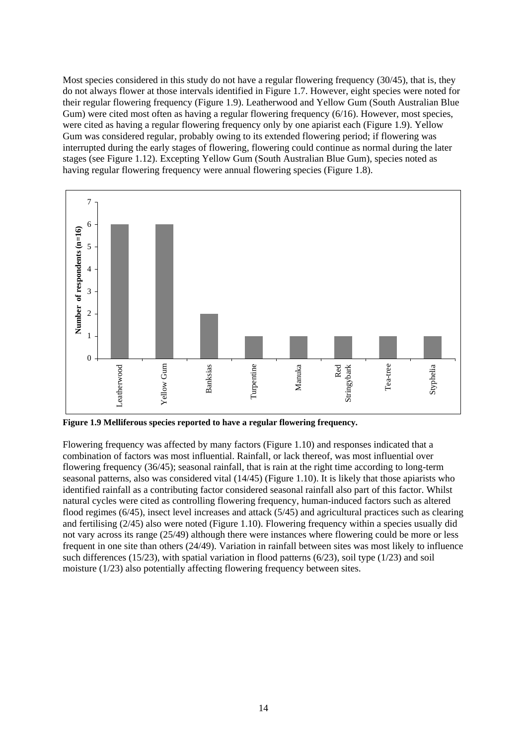Most species considered in this study do not have a regular flowering frequency (30/45), that is, they do not always flower at those intervals identified in Figure 1.7. However, eight species were noted for their regular flowering frequency (Figure 1.9). Leatherwood and Yellow Gum (South Australian Blue Gum) were cited most often as having a regular flowering frequency (6/16). However, most species, were cited as having a regular flowering frequency only by one apiarist each (Figure 1.9). Yellow Gum was considered regular, probably owing to its extended flowering period; if flowering was interrupted during the early stages of flowering, flowering could continue as normal during the later stages (see Figure 1.12). Excepting Yellow Gum (South Australian Blue Gum), species noted as having regular flowering frequency were annual flowering species (Figure 1.8).



**Figure 1.9 Melliferous species reported to have a regular flowering frequency.** 

Flowering frequency was affected by many factors (Figure 1.10) and responses indicated that a combination of factors was most influential. Rainfall, or lack thereof, was most influential over flowering frequency (36/45); seasonal rainfall, that is rain at the right time according to long-term seasonal patterns, also was considered vital (14/45) (Figure 1.10). It is likely that those apiarists who identified rainfall as a contributing factor considered seasonal rainfall also part of this factor. Whilst natural cycles were cited as controlling flowering frequency, human-induced factors such as altered flood regimes (6/45), insect level increases and attack (5/45) and agricultural practices such as clearing and fertilising (2/45) also were noted (Figure 1.10). Flowering frequency within a species usually did not vary across its range (25/49) although there were instances where flowering could be more or less frequent in one site than others (24/49). Variation in rainfall between sites was most likely to influence such differences (15/23), with spatial variation in flood patterns (6/23), soil type (1/23) and soil moisture (1/23) also potentially affecting flowering frequency between sites.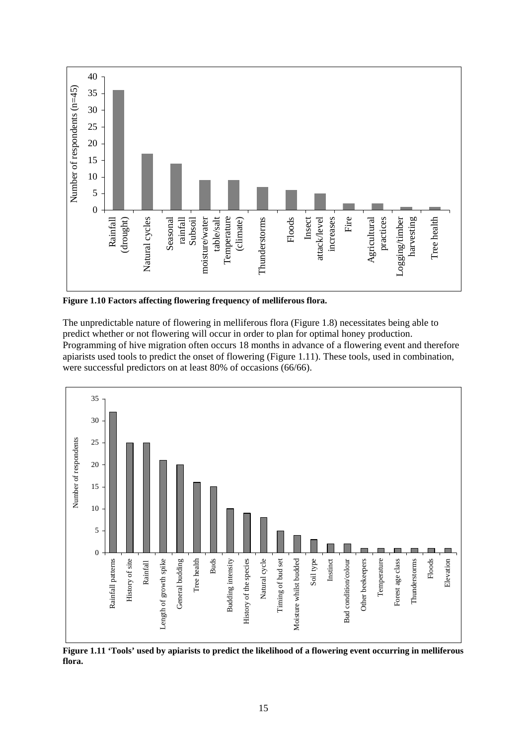

**Figure 1.10 Factors affecting flowering frequency of melliferous flora.** 

The unpredictable nature of flowering in melliferous flora (Figure 1.8) necessitates being able to predict whether or not flowering will occur in order to plan for optimal honey production. Programming of hive migration often occurs 18 months in advance of a flowering event and therefore apiarists used tools to predict the onset of flowering (Figure 1.11). These tools, used in combination, were successful predictors on at least 80% of occasions (66/66).



**Figure 1.11 'Tools' used by apiarists to predict the likelihood of a flowering event occurring in melliferous flora.**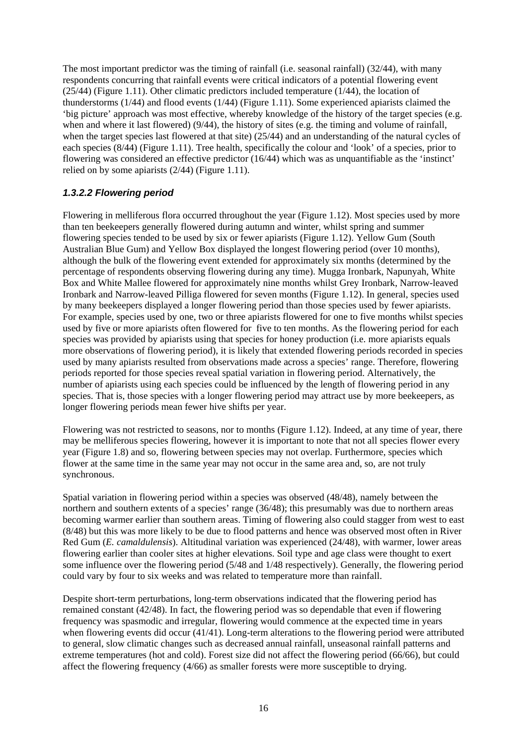The most important predictor was the timing of rainfall (i.e. seasonal rainfall) (32/44), with many respondents concurring that rainfall events were critical indicators of a potential flowering event (25/44) (Figure 1.11). Other climatic predictors included temperature (1/44), the location of thunderstorms  $(1/44)$  and flood events  $(1/44)$  (Figure 1.11). Some experienced apiarists claimed the 'big picture' approach was most effective, whereby knowledge of the history of the target species (e.g. when and where it last flowered) (9/44), the history of sites (e.g. the timing and volume of rainfall, when the target species last flowered at that site) (25/44) and an understanding of the natural cycles of each species (8/44) (Figure 1.11). Tree health, specifically the colour and 'look' of a species, prior to flowering was considered an effective predictor  $(16/44)$  which was as unquantifiable as the 'instinct' relied on by some apiarists (2/44) (Figure 1.11).

### *1.3.2.2 Flowering period*

Flowering in melliferous flora occurred throughout the year (Figure 1.12). Most species used by more than ten beekeepers generally flowered during autumn and winter, whilst spring and summer flowering species tended to be used by six or fewer apiarists (Figure 1.12). Yellow Gum (South Australian Blue Gum) and Yellow Box displayed the longest flowering period (over 10 months), although the bulk of the flowering event extended for approximately six months (determined by the percentage of respondents observing flowering during any time). Mugga Ironbark, Napunyah, White Box and White Mallee flowered for approximately nine months whilst Grey Ironbark, Narrow-leaved Ironbark and Narrow-leaved Pilliga flowered for seven months (Figure 1.12). In general, species used by many beekeepers displayed a longer flowering period than those species used by fewer apiarists. For example, species used by one, two or three apiarists flowered for one to five months whilst species used by five or more apiarists often flowered for five to ten months. As the flowering period for each species was provided by apiarists using that species for honey production (i.e. more apiarists equals more observations of flowering period), it is likely that extended flowering periods recorded in species used by many apiarists resulted from observations made across a species' range. Therefore, flowering periods reported for those species reveal spatial variation in flowering period. Alternatively, the number of apiarists using each species could be influenced by the length of flowering period in any species. That is, those species with a longer flowering period may attract use by more beekeepers, as longer flowering periods mean fewer hive shifts per year.

Flowering was not restricted to seasons, nor to months (Figure 1.12). Indeed, at any time of year, there may be melliferous species flowering, however it is important to note that not all species flower every year (Figure 1.8) and so, flowering between species may not overlap. Furthermore, species which flower at the same time in the same year may not occur in the same area and, so, are not truly synchronous.

Spatial variation in flowering period within a species was observed (48/48), namely between the northern and southern extents of a species' range (36/48); this presumably was due to northern areas becoming warmer earlier than southern areas. Timing of flowering also could stagger from west to east (8/48) but this was more likely to be due to flood patterns and hence was observed most often in River Red Gum (*E. camaldulensis*). Altitudinal variation was experienced (24/48), with warmer, lower areas flowering earlier than cooler sites at higher elevations. Soil type and age class were thought to exert some influence over the flowering period (5/48 and 1/48 respectively). Generally, the flowering period could vary by four to six weeks and was related to temperature more than rainfall.

Despite short-term perturbations, long-term observations indicated that the flowering period has remained constant (42/48). In fact, the flowering period was so dependable that even if flowering frequency was spasmodic and irregular, flowering would commence at the expected time in years when flowering events did occur (41/41). Long-term alterations to the flowering period were attributed to general, slow climatic changes such as decreased annual rainfall, unseasonal rainfall patterns and extreme temperatures (hot and cold). Forest size did not affect the flowering period (66/66), but could affect the flowering frequency (4/66) as smaller forests were more susceptible to drying.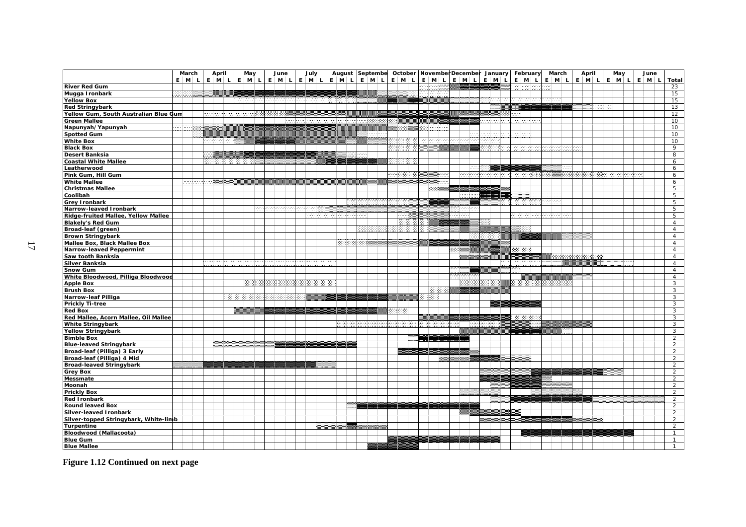|                                       | March   | April   | May     |    |        | June        | July    | August Septembe         |    |  |      |           | October November December January |          | February | March   | April   | May |                   | June    |                |
|---------------------------------------|---------|---------|---------|----|--------|-------------|---------|-------------------------|----|--|------|-----------|-----------------------------------|----------|----------|---------|---------|-----|-------------------|---------|----------------|
|                                       | $E$ M L | $E$ M L | $E$ M L |    |        | $E$ $M$ $L$ | $E$ M L | $E$ $M$ $L$ $E$ $M$ $L$ |    |  |      |           | E M L E M L E M L                 | $E$ M L  | E M L    | $E$ M L | $E$ M L |     | $E \mid M \mid L$ | $E$ M L | <b>Total</b>   |
| <b>River Red Gum</b>                  |         |         |         |    |        |             |         |                         |    |  |      |           |                                   |          |          |         |         |     |                   |         | 23             |
| Mugga Ironbark                        |         |         |         |    |        |             |         |                         |    |  |      |           |                                   |          |          |         |         |     |                   |         | 15             |
| Yellow Box                            |         |         |         |    |        |             |         |                         |    |  |      |           |                                   | 93000000 |          |         |         |     |                   |         | 15             |
| <b>Red Stringybark</b>                |         |         |         |    |        |             |         |                         |    |  |      |           |                                   |          |          |         |         |     |                   |         | 13             |
|                                       |         |         |         |    |        |             |         |                         |    |  |      |           |                                   |          |          |         |         |     |                   |         |                |
| Yellow Gum, South Australian Blue Gum |         |         |         |    |        |             |         |                         |    |  |      |           |                                   |          |          |         |         |     |                   |         | 12             |
| <b>Green Mallee</b>                   |         |         |         |    |        | m           |         | 33133313333             | -- |  |      |           |                                   | anan     | an ang p |         |         |     |                   |         | 10             |
| Napunyah/Yapunyah                     |         |         |         |    |        |             |         |                         | .  |  |      |           |                                   |          |          |         |         |     |                   |         | 10             |
| Spotted Gum                           |         |         |         |    |        |             |         |                         |    |  |      |           | <b>Bar</b>                        |          |          |         |         |     |                   |         | 10             |
| <b>White Box</b>                      |         | ------- |         |    |        |             |         |                         |    |  |      | aartaan a |                                   |          |          |         |         |     |                   |         | 10             |
| <b>Black Box</b>                      |         |         |         |    |        |             |         |                         |    |  |      |           |                                   |          |          |         |         |     |                   |         | 9              |
| Desert Banksia                        |         |         |         |    |        |             |         |                         |    |  |      |           |                                   |          |          |         |         |     |                   |         | 8              |
| Coastal White Mallee                  |         |         |         |    |        |             |         |                         |    |  |      |           |                                   |          |          |         |         |     |                   |         | 6              |
| Leatherwood                           |         |         |         |    |        |             |         |                         |    |  |      |           | ES.                               |          |          |         |         |     |                   |         | 6              |
| Pink Gum, Hill Gum                    |         |         |         |    |        |             |         |                         |    |  |      |           | loocat                            |          |          |         |         |     |                   |         | 6              |
| <b>White Mallee</b>                   | haaah   |         |         |    |        |             |         |                         |    |  |      |           |                                   |          |          |         |         |     |                   |         | 6              |
| <b>Christmas Mallee</b>               |         |         |         |    |        |             |         |                         |    |  |      |           |                                   |          |          |         |         |     |                   |         | 5              |
| Coolibah                              |         |         |         |    |        |             |         |                         |    |  |      |           |                                   |          |          |         |         |     |                   |         | 5              |
| <b>Grey Ironbark</b>                  |         |         |         |    |        |             |         | 133                     |    |  |      |           |                                   |          |          | apa     |         |     |                   |         | 5              |
| Narrow-leaved Ironbark                |         |         |         | 99 | 33,333 |             | 40008   |                         |    |  |      |           |                                   |          |          |         |         |     |                   |         | 5              |
| Ridge-fruited Mallee, Yellow Mallee   |         |         |         |    |        |             | 1999    |                         |    |  | lees |           |                                   |          |          |         |         |     |                   |         | 5              |
| <b>Blakely's Red Gum</b>              |         |         |         |    |        |             |         |                         |    |  | 555  |           |                                   |          |          |         |         |     |                   |         | $\overline{4}$ |
| Broad-leaf (green)                    |         |         |         |    |        |             |         |                         |    |  |      |           |                                   |          |          |         |         |     |                   |         | $\overline{4}$ |
| <b>Brown Stringybark</b>              |         |         |         |    |        |             |         |                         |    |  |      |           |                                   |          |          |         |         |     |                   |         | $\overline{4}$ |
|                                       |         |         |         |    |        |             |         | 8888                    |    |  |      |           |                                   |          |          |         |         |     |                   |         |                |
| Mallee Box, Black Mallee Box          |         |         |         |    |        |             |         |                         |    |  |      |           |                                   |          |          |         |         |     |                   |         | $\overline{4}$ |
| Narrow-leaved Peppermint              |         |         |         |    |        |             |         |                         |    |  |      |           |                                   |          |          |         |         |     |                   |         | $\overline{4}$ |
| Saw tooth Banksia                     |         |         |         |    |        |             |         |                         |    |  |      |           |                                   |          |          |         |         |     |                   |         | $\overline{4}$ |
| Silver Banksia                        |         |         |         |    |        |             |         |                         |    |  |      |           |                                   |          |          |         |         |     |                   |         | $\overline{4}$ |
| Snow Gum                              |         |         |         |    |        |             |         |                         |    |  |      |           |                                   |          |          |         |         |     |                   |         | $\overline{4}$ |
| White Bloodwood, Pilliga Bloodwood    |         |         |         |    |        |             |         |                         |    |  |      |           |                                   |          |          |         |         |     |                   |         | $\overline{4}$ |
| <b>Apple Box</b>                      |         |         | m       |    |        |             |         |                         |    |  |      |           |                                   |          |          |         |         |     |                   |         | $\overline{3}$ |
| <b>Brush Box</b>                      |         |         |         |    |        |             |         |                         |    |  |      | rees      |                                   |          |          |         |         |     |                   |         | 3              |
| Narrow-leaf Pilliga                   |         |         |         |    |        |             |         |                         |    |  |      |           |                                   |          |          |         |         |     |                   |         | 3              |
| <b>Prickly Ti-tree</b>                |         |         |         |    |        |             |         |                         |    |  |      |           |                                   |          |          |         |         |     |                   |         | $\overline{3}$ |
| <b>Red Box</b>                        |         |         |         |    |        |             |         |                         |    |  |      |           |                                   |          |          |         |         |     |                   |         | 3              |
| Red Mallee, Acorn Mallee, Oil Mallee  |         |         |         |    |        |             |         |                         |    |  |      |           |                                   |          |          |         |         |     |                   |         | 3              |
| <b>White Stringybark</b>              |         |         |         |    |        |             |         |                         |    |  |      |           | 88                                |          |          |         |         |     |                   |         | $\mathbf{3}$   |
| <b>Yellow Stringybark</b>             |         |         |         |    |        |             |         |                         |    |  |      |           |                                   |          |          |         |         |     |                   |         | $\mathbf{3}$   |
| <b>Bimble Box</b>                     |         |         |         |    |        |             |         |                         |    |  |      |           |                                   |          |          |         |         |     |                   |         | $\overline{2}$ |
| <b>Blue-leaved Stringybark</b>        |         |         |         |    |        |             |         |                         |    |  |      |           |                                   |          |          |         |         |     |                   |         | $\overline{2}$ |
| Broad-leaf (Pilliga) 3 Early          |         |         |         |    |        |             |         |                         |    |  |      |           |                                   |          |          |         |         |     |                   |         | $\overline{2}$ |
| Broad-leaf (Pilliga) 4 Mid            |         |         |         |    |        |             |         |                         |    |  |      |           |                                   |          |          |         |         |     |                   |         | 2              |
| <b>Broad-leaved Stringybark</b>       |         |         |         |    |        |             |         |                         |    |  |      |           |                                   |          |          |         |         |     |                   |         | $\overline{2}$ |
| <b>Grey Box</b>                       |         |         |         |    |        |             |         |                         |    |  |      |           |                                   |          |          |         |         |     |                   |         | $\overline{2}$ |
| Messmate                              |         |         |         |    |        |             |         |                         |    |  |      |           |                                   |          |          |         |         |     |                   |         | $\overline{2}$ |
| Moonah                                |         |         |         |    |        |             |         |                         |    |  |      |           |                                   |          |          |         |         |     |                   |         | $\overline{2}$ |
| <b>Prickly Box</b>                    |         |         |         |    |        |             |         |                         |    |  |      |           |                                   |          |          |         |         |     |                   |         | $\overline{2}$ |
| <b>Red Ironbark</b>                   |         |         |         |    |        |             |         |                         |    |  |      |           |                                   |          |          |         |         |     |                   |         |                |
|                                       |         |         |         |    |        |             |         |                         |    |  |      |           |                                   |          |          |         |         |     |                   |         | 2              |
| <b>Round leaved Box</b>               |         |         |         |    |        |             |         |                         |    |  |      |           |                                   |          |          |         |         |     |                   |         | $\overline{2}$ |
| Silver-leaved Ironbark                |         |         |         |    |        |             |         |                         |    |  |      |           |                                   |          |          |         |         |     |                   |         | $\overline{2}$ |
| Silver-topped Stringybark, White-limb |         |         |         |    |        |             |         |                         |    |  |      |           |                                   |          |          |         |         |     |                   |         | $\overline{2}$ |
| Turpentine                            |         |         |         |    |        |             |         |                         |    |  |      |           |                                   |          |          |         |         |     |                   |         | $\overline{2}$ |
| Bloodwood (Mallacoota)                |         |         |         |    |        |             |         |                         |    |  |      |           |                                   |          |          |         |         |     |                   |         | $\mathbf{1}$   |
| <b>Blue Gum</b>                       |         |         |         |    |        |             |         |                         |    |  |      |           |                                   |          |          |         |         |     |                   |         | $\mathbf{1}$   |
| <b>Blue Mallee</b>                    |         |         |         |    |        |             |         |                         |    |  |      |           |                                   |          |          |         |         |     |                   |         | $\mathbf{1}$   |

**Figure 1.12 Continued on next page**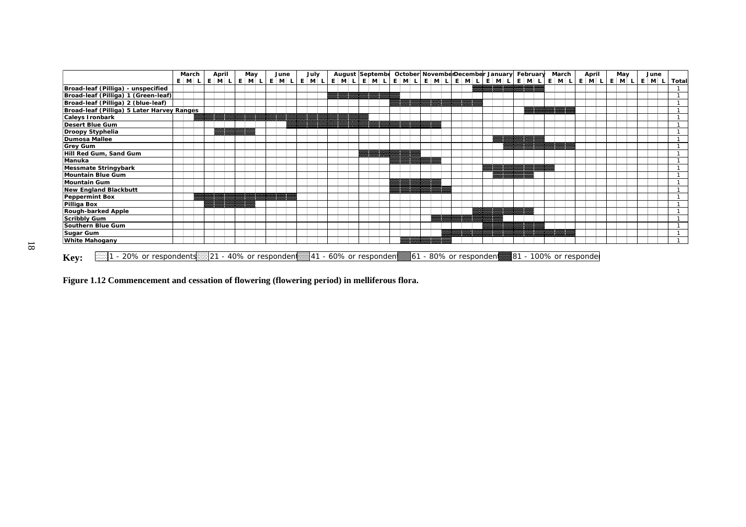|                                                    | March   |  | April | May                     | June |  | July |  |  | August Septembe        |  |  |  |  |  | October NovemberDecember January February | March |  | April | May |  | June |       |
|----------------------------------------------------|---------|--|-------|-------------------------|------|--|------|--|--|------------------------|--|--|--|--|--|-------------------------------------------|-------|--|-------|-----|--|------|-------|
|                                                    | $E$ M L |  |       | E M L E M L E M L E M L |      |  |      |  |  | E M L E M L            |  |  |  |  |  | EMLEMLEMLEMLEMLEMLEMLEMLEMLEMLEMLEML      |       |  |       |     |  |      | Total |
| Broad-leaf (Pilliga) - unspecified                 |         |  |       |                         |      |  |      |  |  |                        |  |  |  |  |  |                                           |       |  |       |     |  |      |       |
| Broad-leaf (Pilliga) 1 (Green-leaf)                |         |  |       |                         |      |  |      |  |  |                        |  |  |  |  |  |                                           |       |  |       |     |  |      |       |
| Broad-leaf (Pilliga) 2 (blue-leaf)                 |         |  |       |                         |      |  |      |  |  |                        |  |  |  |  |  |                                           |       |  |       |     |  |      |       |
| Broad-leaf (Pilliga) 5 Later Harvey Ranges         |         |  |       |                         |      |  |      |  |  |                        |  |  |  |  |  |                                           |       |  |       |     |  |      |       |
| <b>Caleys Ironbark</b>                             |         |  |       |                         |      |  |      |  |  |                        |  |  |  |  |  |                                           |       |  |       |     |  |      |       |
| Desert Blue Gum                                    |         |  |       |                         |      |  |      |  |  |                        |  |  |  |  |  |                                           |       |  |       |     |  |      |       |
| Droopy Styphelia                                   |         |  |       |                         |      |  |      |  |  |                        |  |  |  |  |  |                                           |       |  |       |     |  |      |       |
| Dumosa Mallee                                      |         |  |       |                         |      |  |      |  |  |                        |  |  |  |  |  |                                           |       |  |       |     |  |      |       |
| <b>Grey Gum</b>                                    |         |  |       |                         |      |  |      |  |  |                        |  |  |  |  |  |                                           |       |  |       |     |  |      |       |
| Hill Red Gum, Sand Gum                             |         |  |       |                         |      |  |      |  |  |                        |  |  |  |  |  |                                           |       |  |       |     |  |      |       |
| Manuka                                             |         |  |       |                         |      |  |      |  |  |                        |  |  |  |  |  |                                           |       |  |       |     |  |      |       |
| Messmate Stringybark                               |         |  |       |                         |      |  |      |  |  |                        |  |  |  |  |  |                                           |       |  |       |     |  |      |       |
| Mountain Blue Gum                                  |         |  |       |                         |      |  |      |  |  |                        |  |  |  |  |  |                                           |       |  |       |     |  |      |       |
| Mountain Gum                                       |         |  |       |                         |      |  |      |  |  |                        |  |  |  |  |  |                                           |       |  |       |     |  |      |       |
| <b>New England Blackbutt</b>                       |         |  |       |                         |      |  |      |  |  |                        |  |  |  |  |  |                                           |       |  |       |     |  |      |       |
| Peppermint Box                                     |         |  |       |                         |      |  |      |  |  |                        |  |  |  |  |  |                                           |       |  |       |     |  |      |       |
| Pilliga Box                                        |         |  |       |                         |      |  |      |  |  |                        |  |  |  |  |  |                                           |       |  |       |     |  |      |       |
| <b>Rough-barked Apple</b>                          |         |  |       |                         |      |  |      |  |  |                        |  |  |  |  |  |                                           |       |  |       |     |  |      |       |
| Scribbly Gum                                       |         |  |       |                         |      |  |      |  |  |                        |  |  |  |  |  |                                           |       |  |       |     |  |      |       |
| Southern Blue Gum                                  |         |  |       |                         |      |  |      |  |  |                        |  |  |  |  |  |                                           |       |  |       |     |  |      |       |
| Sugar Gum                                          |         |  |       |                         |      |  |      |  |  |                        |  |  |  |  |  |                                           |       |  |       |     |  |      |       |
| <b>White Mahogany</b>                              |         |  |       |                         |      |  |      |  |  |                        |  |  |  |  |  |                                           |       |  |       |     |  |      |       |
| - 20% or respondents 21 - 40% or responden<br>Key: |         |  |       |                         |      |  |      |  |  | ∄41 - 60% or responden |  |  |  |  |  |                                           |       |  |       |     |  |      |       |

**Figure 1.12 Commencement and cessation of flowering (flowering period) in melliferous flora.**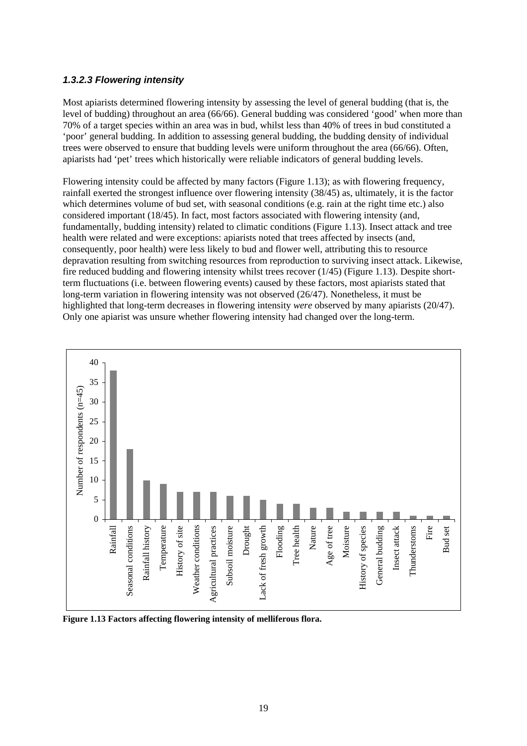### *1.3.2.3 Flowering intensity*

Most apiarists determined flowering intensity by assessing the level of general budding (that is, the level of budding) throughout an area (66/66). General budding was considered 'good' when more than 70% of a target species within an area was in bud, whilst less than 40% of trees in bud constituted a 'poor' general budding. In addition to assessing general budding, the budding density of individual trees were observed to ensure that budding levels were uniform throughout the area (66/66). Often, apiarists had 'pet' trees which historically were reliable indicators of general budding levels.

Flowering intensity could be affected by many factors (Figure 1.13); as with flowering frequency, rainfall exerted the strongest influence over flowering intensity (38/45) as, ultimately, it is the factor which determines volume of bud set, with seasonal conditions (e.g. rain at the right time etc.) also considered important (18/45). In fact, most factors associated with flowering intensity (and, fundamentally, budding intensity) related to climatic conditions (Figure 1.13). Insect attack and tree health were related and were exceptions: apiarists noted that trees affected by insects (and, consequently, poor health) were less likely to bud and flower well, attributing this to resource depravation resulting from switching resources from reproduction to surviving insect attack. Likewise, fire reduced budding and flowering intensity whilst trees recover (1/45) (Figure 1.13). Despite shortterm fluctuations (i.e. between flowering events) caused by these factors, most apiarists stated that long-term variation in flowering intensity was not observed (26/47). Nonetheless, it must be highlighted that long-term decreases in flowering intensity *were* observed by many apiarists (20/47). Only one apiarist was unsure whether flowering intensity had changed over the long-term.



**Figure 1.13 Factors affecting flowering intensity of melliferous flora.**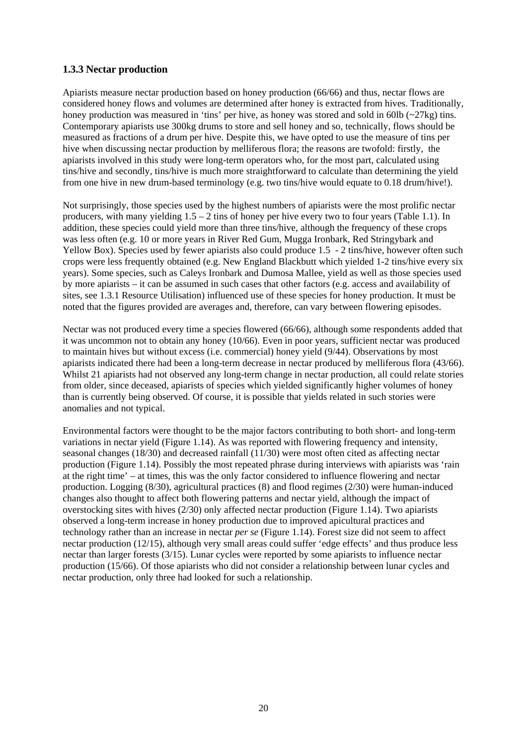### **1.3.3 Nectar production**

Apiarists measure nectar production based on honey production (66/66) and thus, nectar flows are considered honey flows and volumes are determined after honey is extracted from hives. Traditionally, honey production was measured in 'tins' per hive, as honey was stored and sold in 60lb (~27kg) tins. Contemporary apiarists use 300kg drums to store and sell honey and so, technically, flows should be measured as fractions of a drum per hive. Despite this, we have opted to use the measure of tins per hive when discussing nectar production by melliferous flora; the reasons are twofold: firstly, the apiarists involved in this study were long-term operators who, for the most part, calculated using tins/hive and secondly, tins/hive is much more straightforward to calculate than determining the yield from one hive in new drum-based terminology (e.g. two tins/hive would equate to 0.18 drum/hive!).

Not surprisingly, those species used by the highest numbers of apiarists were the most prolific nectar producers, with many yielding  $1.5 - 2$  tins of honey per hive every two to four years (Table 1.1). In addition, these species could yield more than three tins/hive, although the frequency of these crops was less often (e.g. 10 or more years in River Red Gum, Mugga Ironbark, Red Stringybark and Yellow Box). Species used by fewer apiarists also could produce 1.5 - 2 tins/hive, however often such crops were less frequently obtained (e.g. New England Blackbutt which yielded 1-2 tins/hive every six years). Some species, such as Caleys Ironbark and Dumosa Mallee, yield as well as those species used by more apiarists – it can be assumed in such cases that other factors (e.g. access and availability of sites, see 1.3.1 Resource Utilisation) influenced use of these species for honey production. It must be noted that the figures provided are averages and, therefore, can vary between flowering episodes.

Nectar was not produced every time a species flowered (66/66), although some respondents added that it was uncommon not to obtain any honey (10/66). Even in poor years, sufficient nectar was produced to maintain hives but without excess (i.e. commercial) honey yield (9/44). Observations by most apiarists indicated there had been a long-term decrease in nectar produced by melliferous flora (43/66). Whilst 21 apiarists had not observed any long-term change in nectar production, all could relate stories from older, since deceased, apiarists of species which yielded significantly higher volumes of honey than is currently being observed. Of course, it is possible that yields related in such stories were anomalies and not typical.

Environmental factors were thought to be the major factors contributing to both short- and long-term variations in nectar yield (Figure 1.14). As was reported with flowering frequency and intensity, seasonal changes (18/30) and decreased rainfall (11/30) were most often cited as affecting nectar production (Figure 1.14). Possibly the most repeated phrase during interviews with apiarists was 'rain at the right time' – at times, this was the only factor considered to influence flowering and nectar production. Logging (8/30), agricultural practices (8) and flood regimes (2/30) were human-induced changes also thought to affect both flowering patterns and nectar yield, although the impact of overstocking sites with hives (2/30) only affected nectar production (Figure 1.14). Two apiarists observed a long-term increase in honey production due to improved apicultural practices and technology rather than an increase in nectar *per se* (Figure 1.14). Forest size did not seem to affect nectar production (12/15), although very small areas could suffer 'edge effects' and thus produce less nectar than larger forests (3/15). Lunar cycles were reported by some apiarists to influence nectar production (15/66). Of those apiarists who did not consider a relationship between lunar cycles and nectar production, only three had looked for such a relationship.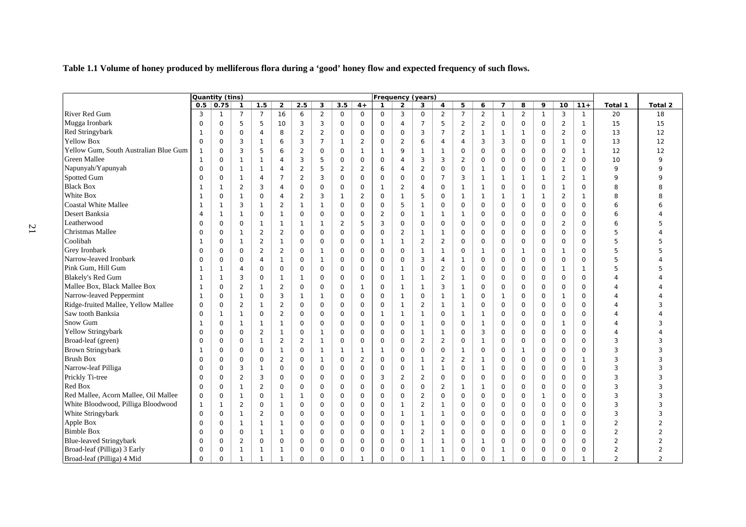**Table 1.1 Volume of honey produced by melliferous flora during a 'good' honey flow and expected frequency of such flows.** 

|                                       | Quantity (tins)<br><b>Frequency (years)</b> |              |                |                |                         |                |                |                |                     |                |                |                |                |                |                |                     |                |              |                     |              |                |                |
|---------------------------------------|---------------------------------------------|--------------|----------------|----------------|-------------------------|----------------|----------------|----------------|---------------------|----------------|----------------|----------------|----------------|----------------|----------------|---------------------|----------------|--------------|---------------------|--------------|----------------|----------------|
|                                       | 0.5                                         | 0.75         | $\mathbf{1}$   | 1.5            | $\overline{\mathbf{2}}$ | 2.5            | 3              | 3.5            | $4+$                | $\mathbf{1}$   | $\overline{2}$ | 3              | 4              | 5              | 6              | $\overline{7}$      | 8              | 9            | 10                  | $11+$        | Total 1        | Total 2        |
| River Red Gum                         | 3                                           | -1           | $\overline{7}$ | $\overline{7}$ | 16                      | 6              | $\overline{2}$ | $\mathbf 0$    | $\mathbf 0$         | $\mathbf 0$    | 3              | $\mathbf 0$    | $\overline{2}$ | $\overline{7}$ | 2              | $\mathbf{1}$        | $\overline{2}$ | $\mathbf{1}$ | 3                   | 1            | 20             | 18             |
| Mugga Ironbark                        | $\mathbf 0$                                 | $\mathbf 0$  | 5              | 5              | 10                      | 3              | 3              | $\mathbf 0$    | $\mathbf 0$         | $\mathbf 0$    | $\overline{4}$ | $\overline{7}$ | 5              | $\overline{2}$ | $\overline{2}$ | $\mathsf{O}$        | $\mathbf 0$    | $\mathsf{O}$ | $\overline{2}$      | $\mathbf{1}$ | 15             | 15             |
| <b>Red Stringybark</b>                |                                             | $\mathbf 0$  | 0              | $\overline{4}$ | 8                       | $\overline{2}$ | $\overline{2}$ | 0              | $\mathbf 0$         | $\mathsf{O}$   | 0              | 3              | $\overline{7}$ | $\overline{2}$ | $\mathbf{1}$   | $\mathbf{1}$        | $\mathbf{1}$   | 0            | $\overline{c}$      | $\circ$      | 13             | 12             |
| Yellow Box                            | $\Omega$                                    | $\Omega$     | 3              | $\mathbf{1}$   | 6                       | 3              | $\overline{7}$ | $\mathbf{1}$   | 2                   | $\mathsf O$    | $\overline{2}$ | 6              | 4              | $\overline{4}$ | 3              | 3                   | $\mathbf 0$    | $\mathsf{O}$ | $\mathbf{1}$        | 0            | 13             | 12             |
| Yellow Gum. South Australian Blue Gum |                                             | $\mathbf 0$  | 3              | 5              | 6                       | $\overline{2}$ | $\mathbf 0$    | $\mathbf 0$    | $\mathbf{1}$        | $\mathbf{1}$   | 9              | $\mathbf{1}$   | $\mathbf{1}$   | $\mathbf 0$    | $\mathbf 0$    | $\mathsf{O}$        | $\mathbf 0$    | $\mathbf 0$  | $\mathbf 0$         | $\mathbf{1}$ | 12             | 12             |
| <b>Green Mallee</b>                   |                                             | $\mathbf 0$  | $\mathbf{1}$   | $\mathbf{1}$   | $\overline{4}$          | 3              | 5              | $\mathbf 0$    | $\mathbf 0$         | $\mathbf 0$    | $\overline{4}$ | 3              | 3              | $\overline{2}$ | 0              | $\mathsf{O}$        | $\circ$        | $\circ$      | $\overline{2}$      | 0            | 10             | 9              |
| Napunyah/Yapunyah                     | 0                                           | $\mathbf 0$  | $\overline{1}$ | $\mathbf{1}$   | $\overline{4}$          | $\overline{2}$ | 5              | $\overline{c}$ | $\overline{c}$      | 6              | $\overline{4}$ | $\overline{c}$ | $\mathsf{O}$   | 0              | $\overline{1}$ | $\mathbf 0$         | $\mathbf 0$    | $\mathbf 0$  | $\mathbf{1}$        | $\Omega$     | 9              | 9              |
| Spotted Gum                           | $\mathbf 0$                                 | $\mathbf 0$  | $\overline{1}$ | $\overline{4}$ | $\overline{7}$          | $\overline{2}$ | 3              | $\mathbf 0$    | $\mathbf 0$         | $\mathbf 0$    | $\mathbf 0$    | $\mathbf 0$    | $\overline{7}$ | 3              | $\overline{1}$ | $\mathbf{1}$        | $\mathbf{1}$   | $\mathbf{1}$ | $\overline{2}$      | $\mathbf{1}$ | 9              | 9              |
| <b>Black Box</b>                      |                                             | $\mathbf{1}$ | $\overline{2}$ | 3              | 4                       | $\mathbf 0$    | $\mathsf{O}$   | 0              | $\mathbf 0$         | $\mathbf{1}$   | $\overline{2}$ | 4              | 0              | $\mathbf{1}$   | $\overline{1}$ | $\mathsf{O}\xspace$ | 0              | 0            | $\mathbf{1}$        | 0            | 8              | 8              |
| White Box                             |                                             | $\Omega$     | $\overline{1}$ | $\mathsf{O}$   | 4                       | $\overline{a}$ | 3              | 1              | $\overline{c}$      | $\mathsf{O}$   | $\mathbf{1}$   | 5              | $\mathbf 0$    | $\mathbf{1}$   | $\overline{1}$ | $\mathbf{1}$        | $\mathbf{1}$   | $\mathbf{1}$ | $\overline{2}$      | $\mathbf{1}$ | 8              | 8              |
| Coastal White Mallee                  |                                             | $\mathbf{1}$ | 3              | $\mathbf{1}$   | $\overline{2}$          | $\mathbf{1}$   | $\mathbf{1}$   | $\Omega$       | $\mathbf 0$         | $\mathsf{O}$   | 5              | $\mathbf{1}$   | $\mathbf 0$    | $\mathbf 0$    | $\mathbf 0$    | $\mathsf{O}\xspace$ | $\mathbf 0$    | $\mathbf 0$  | $\mathsf{O}\xspace$ | $\Omega$     | 6              | 6              |
| Desert Banksia                        | 4                                           | $\mathbf{1}$ | $\overline{1}$ | $\mathsf O$    | $\mathbf{1}$            | 0              | $\mathsf{O}$   | 0              | $\mathbf 0$         | $\overline{2}$ | $\mathsf O$    | $\mathbf{1}$   | $\mathbf{1}$   | $\mathbf{1}$   | 0              | $\mathsf{O}\xspace$ | $\mathbf 0$    | 0            | $\mathsf{O}$        | 0            | 6              |                |
| Leatherwood                           | $\Omega$                                    | $\mathbf 0$  | $\mathbf 0$    | $\mathbf{1}$   | $\mathbf{1}$            | $\mathbf{1}$   | $\mathbf{1}$   | $\overline{2}$ | 5                   | 3              | $\circ$        | $\mathbf 0$    | $\mathbf 0$    | $\mathbf 0$    | $\mathbf 0$    | $\mathbf 0$         | $\mathbf 0$    | $\mathsf{O}$ | $\overline{2}$      | $\Omega$     | 6              |                |
| Christmas Mallee                      | $\Omega$                                    | $\Omega$     | $\overline{1}$ | $\overline{2}$ | $\overline{2}$          | $\mathbf 0$    | $\mathbf 0$    | $\Omega$       | $\mathbf 0$         | $\mathbf 0$    | $\overline{2}$ | $\mathbf{1}$   | $\mathbf{1}$   | $\mathbf 0$    | $\mathbf 0$    | $\mathbf 0$         | $\Omega$       | $\mathsf{O}$ | $\mathbf 0$         | $\Omega$     | 5              |                |
| Coolibah                              | -1                                          | $\mathbf 0$  | $\overline{1}$ | $\overline{2}$ | $\mathbf{1}$            | $\mathbf 0$    | $\mathsf{O}$   | $\mathbf 0$    | $\mathbf 0$         | $\mathbf{1}$   | $\mathbf{1}$   | $\overline{2}$ | $\overline{2}$ | 0              | $\mathsf{O}$   | $\mathsf{O}\xspace$ | $\mathbf 0$    | 0            | $\mathsf{O}$        | 0            | 5              | 5              |
| Grey Ironbark                         | 0                                           | $\Omega$     | $\mathbf 0$    | $\overline{2}$ | $\overline{2}$          | 0              | $\mathbf{1}$   | $\mathbf 0$    | $\mathbf 0$         | $\mathbf 0$    | $\mathbf 0$    | $\overline{1}$ | $\mathbf{1}$   | $\mathbf 0$    | $\mathbf{1}$   | $\mathsf{O}$        | $\mathbf{1}$   | $\mathbf 0$  | $\mathbf{1}$        | $\mathsf{O}$ | 5              | 5              |
| Narrow-leaved Ironbark                | $\Omega$                                    | $\mathbf 0$  | $\mathbf 0$    | $\overline{4}$ | $\mathbf{1}$            | $\mathsf{O}$   | $\mathbf{1}$   | $\mathbf 0$    | $\mathbf 0$         | $\mathbf 0$    | $\mathbf 0$    | 3              | $\overline{4}$ | $\mathbf{1}$   | $\mathbf 0$    | $\mathsf{O}$        | $\mathbf 0$    | 0            | $\mathsf{O}$        | $\Omega$     | 5              |                |
| Pink Gum, Hill Gum                    |                                             | $\mathbf{1}$ | $\overline{4}$ | 0              | 0                       | 0              | $\mathsf{O}$   | 0              | $\mathbf 0$         | $\mathsf{O}$   | $\mathbf{1}$   | $\mathsf{O}$   | $\overline{2}$ | 0              | $\mathbf 0$    | $\mathsf O$         | $\mathbf 0$    | 0            | $\mathbf{1}$        | $\mathbf{1}$ | 5              |                |
| <b>Blakely's Red Gum</b>              |                                             | $\mathbf{1}$ | 3              | $\mathsf{O}$   | $\mathbf{1}$            | $\mathbf{1}$   | $\mathbf 0$    | $\mathbf 0$    | $\mathbf 0$         | $\mathbf 0$    | $\mathbf{1}$   | $\mathbf{1}$   | $\overline{2}$ | $\mathbf{1}$   | $\mathbf 0$    | $\mathbf 0$         | $\mathbf 0$    | $\mathbf 0$  | $\mathsf{O}$        | $\Omega$     | Δ              |                |
| Mallee Box, Black Mallee Box          | -1                                          | $\Omega$     | 2              | $\mathbf{1}$   | $\overline{2}$          | $\mathbf 0$    | $\mathbf 0$    | $\mathbf 0$    | $\overline{1}$      | $\mathsf{O}$   | $\mathbf{1}$   | $\overline{1}$ | 3              | $\mathbf{1}$   | $\mathbf 0$    | $\mathbf 0$         | $\mathbf 0$    | 0            | $\mathsf{O}$        | 0            | 4              |                |
| Narrow-leaved Peppermint              | -1                                          | $\mathbf 0$  | $\mathbf{1}$   | $\mathsf{O}$   | 3                       | $\mathbf{1}$   | $\mathbf{1}$   | 0              | $\mathbf 0$         | $\mathsf{O}$   | $\mathbf{1}$   | $\mathsf{O}$   | $\mathbf{1}$   | $\mathbf{1}$   | 0              | $\mathbf{1}$        | $\mathbf 0$    | 0            | $\mathbf{1}$        | 0            | Δ              |                |
| Ridge-fruited Mallee, Yellow Mallee   | 0                                           | $\mathbf 0$  | $\overline{2}$ | $\mathbf{1}$   | $\overline{2}$          | 0              | $\mathsf{O}$   | $\mathbf 0$    | $\mathbf 0$         | $\mathsf{O}$   | $\mathbf{1}$   | $\overline{c}$ | $\mathbf{1}$   | $\mathbf{1}$   | $\mathbf 0$    | $\mathbf 0$         | $\circ$        | 0            | $\mathsf{O}$        | $\mathsf{O}$ | Δ              |                |
| Saw tooth Banksia                     | $\mathbf 0$                                 | $\mathbf{1}$ | $\overline{1}$ | $\mathsf{O}$   | $\overline{2}$          | $\mathsf{O}$   | $\mathbf 0$    | $\Omega$       | $\mathbf 0$         | $\mathbf{1}$   | $\mathbf{1}$   | $\overline{1}$ | $\mathbf 0$    | $\mathbf{1}$   | $\overline{1}$ | $\mathbf 0$         | $\mathbf 0$    | $\mathsf{O}$ | $\mathsf{O}$        | $\Omega$     | 4              |                |
| Snow Gum                              |                                             | $\mathbf 0$  | $\overline{1}$ | $\mathbf{1}$   | $\mathbf{1}$            | 0              | $\mathbf 0$    | $\mathbf 0$    | $\mathbf 0$         | $\mathbf 0$    | $\mathbf 0$    | $\overline{1}$ | $\mathsf O$    | 0              | $\overline{1}$ | $\mathbf 0$         | $\mathbf 0$    | $\mathbf 0$  | $\mathbf{1}$        | 0            | Δ              |                |
| Yellow Stringybark                    | 0                                           | $\mathbf 0$  | $\mathbf 0$    | $\overline{2}$ | $\mathbf{1}$            | $\mathbf 0$    | $\mathbf{1}$   | $\mathbf 0$    | $\circ$             | $\mathsf{O}$   | $\mathbf 0$    | $\overline{1}$ | $\mathbf{1}$   | $\mathbf 0$    | 3              | $\mathsf{O}$        | $\circ$        | 0            | $\mathsf{O}$        | 0            | 4              | 4              |
| Broad-leaf (green)                    | 0                                           | $\mathbf 0$  | $\mathsf{O}$   | $\mathbf{1}$   | $\overline{2}$          | 2              | $\mathbf{1}$   | $\mathbf 0$    | $\mathsf{O}\xspace$ | $\mathsf{O}$   | $\mathsf O$    | 2              | 2              | 0              | $\overline{1}$ | $\mathsf{O}$        | $\mathbf 0$    | $\mathsf{O}$ | $\mathbf 0$         | $\mathsf{O}$ | 3              | 3              |
| <b>Brown Stringybark</b>              |                                             | $\mathbf 0$  | 0              | $\mathsf{O}$   | $\mathbf{1}$            | 0              | $\mathbf{1}$   |                | $\mathbf{1}$        | $\mathbf{1}$   | 0              | $\mathsf{O}$   | 0              | $\mathbf{1}$   | 0              | $\mathsf{O}$        | $\mathbf{1}$   | 0            | $\mathsf{O}$        | 0            | 3              | 3              |
| <b>Brush Box</b>                      | 0                                           | $\mathbf 0$  | 0              | $\mathsf{O}$   | $\overline{2}$          | 0              | $\mathbf{1}$   | 0              | $\overline{c}$      | $\mathsf{O}$   | 0              | $\overline{1}$ | $\overline{2}$ | $\overline{2}$ | $\mathbf{1}$   | $\mathsf{O}$        | $\mathbf 0$    | 0            | $\mathsf{O}$        | $\mathbf{1}$ | 3              | 3              |
| Narrow-leaf Pilliga                   | $\circ$                                     | $\mathbf 0$  | 3              | $\mathbf{1}$   | $\mathbf 0$             | 0              | $\mathbf 0$    | $\mathbf 0$    | $\mathsf{O}\xspace$ | $\mathsf{O}$   | $\mathsf O$    | $\mathbf{1}$   | $\mathbf{1}$   | $\mathsf O$    | $\overline{1}$ | $\mathsf{O}$        | $\mathbf 0$    | $\mathbf 0$  | $\mathbf 0$         | $\mathbf 0$  | 3              | 3              |
| Prickly Ti-tree                       | 0                                           | $\mathbf 0$  | $\overline{2}$ | $\sqrt{3}$     | $\circ$                 | 0              | $\mathsf{O}$   | 0              | $\mathbf 0$         | 3              | $\overline{c}$ | $\overline{2}$ | $\mathbf 0$    | $\mathbf 0$    | $\mathsf{O}$   | $\mathsf{O}$        | $\circ$        | 0            | $\mathsf{O}$        | 0            | 3              | 3              |
| Red Box                               | 0                                           | $\Omega$     | $\mathbf{1}$   | 2              | $\mathsf O$             | 0              | $\mathsf{O}$   | $\mathbf 0$    | $\mathbf 0$         | $\mathsf{O}$   | $\mathsf O$    | $\mathsf O$    | $\overline{2}$ | $\mathbf{1}$   | $\mathbf{1}$   | $\mathsf{O}$        | $\circ$        | 0            | $\mathbf 0$         | 0            | 3              | 3              |
| Red Mallee, Acorn Mallee, Oil Mallee  | $\mathbf 0$                                 | $\Omega$     | $\overline{1}$ | $\mathsf{O}$   | $\mathbf{1}$            | $\mathbf{1}$   | $\mathbf 0$    | $\mathbf 0$    | $\mathbf 0$         | $\mathbf 0$    | $\circ$        | $\overline{2}$ | $\mathbf 0$    | $\mathbf 0$    | $\mathbf 0$    | $\circ$             | $\mathbf 0$    | $\mathbf{1}$ | $\mathsf{O}$        | $\Omega$     | 3              | 3              |
| White Bloodwood, Pilliga Bloodwood    | -1                                          | $\mathbf{1}$ | $\overline{2}$ | 0              | $\mathbf{1}$            | 0              | 0              | 0              | $\mathbf 0$         | 0              | $\mathbf{1}$   | $\overline{c}$ | $\mathbf{1}$   | 0              | $\mathbf 0$    | $\mathsf{O}$        | $\mathbf 0$    | 0            | $\mathsf{O}$        | 0            | 3              | 3              |
| White Stringybark                     | 0                                           | $\mathbf 0$  | $\overline{1}$ | 2              | $\circ$                 | $\mathbf 0$    | $\mathbf 0$    | $\mathbf 0$    | $\mathbf 0$         | $\mathsf{O}$   | $\mathbf{1}$   | $\mathbf{1}$   | $\mathbf{1}$   | 0              | $\mathbf 0$    | $\mathbf 0$         | $\circ$        | $\mathbf 0$  | $\mathsf{O}$        | $\Omega$     | 3              | 3              |
| Apple Box                             | $\Omega$                                    | $\Omega$     | $\overline{1}$ | $\mathbf{1}$   | 1                       | $\mathsf{O}$   | $\mathbf 0$    | $\Omega$       | $\mathbf 0$         | $\mathbf 0$    | $\mathbf 0$    | $\overline{1}$ | $\mathbf 0$    | $\mathbf 0$    | $\mathbf 0$    | $\mathbf 0$         | $\Omega$       | $\mathsf{O}$ | $\mathbf{1}$        | $\Omega$     | $\overline{2}$ | $\overline{2}$ |
| <b>Bimble Box</b>                     | 0                                           | $\mathbf 0$  | $\mathsf{O}$   | $\mathbf{1}$   | 1                       | 0              | $\mathsf{O}$   | 0              | $\mathbf 0$         | $\mathsf{O}$   | $\mathbf{1}$   | $\overline{c}$ | $\mathbf{1}$   | 0              | 0              | $\mathsf{O}$        | $\mathbf 0$    | 0            | $\mathsf{O}$        | 0            | $\overline{2}$ | $\overline{2}$ |
| <b>Blue-leaved Stringybark</b>        | 0                                           | $\mathbf 0$  | 2              | 0              | 0                       | 0              | $\mathsf{O}$   | $\mathbf 0$    | $\mathbf 0$         | 0              | 0              | $\overline{1}$ | $\mathbf{1}$   | $\mathbf 0$    | $\mathbf{1}$   | $\mathbf 0$         | $\mathbf 0$    | 0            | $\mathsf{O}$        | 0            | 2              | $\overline{2}$ |
| Broad-leaf (Pilliga) 3 Early          | 0                                           | $\mathbf 0$  | $\mathbf{1}$   | $\mathbf{1}$   | $\mathbf{1}$            | 0              | $\mathsf{O}$   | $\mathbf 0$    | $\mathbf 0$         | $\mathsf{O}$   | $\mathsf O$    | $\mathbf{1}$   | $\mathbf{1}$   | 0              | $\mathsf{O}$   | $\mathbf{1}$        | $\mathbf 0$    | 0            | $\mathsf{O}$        | 0            | $\overline{2}$ | $\overline{2}$ |
| Broad-leaf (Pilliga) 4 Mid            | 0                                           | $\Omega$     | $\mathbf{1}$   | $\mathbf{1}$   | $\mathbf 1$             | $\Omega$       | $\Omega$       | $\Omega$       | $\mathbf{1}$        | $\Omega$       | $\Omega$       | $\mathbf{1}$   | -1             | $\Omega$       | 0              | $\mathbf{1}$        | $\Omega$       | $\Omega$     | $\Omega$            | 1            | $\mathfrak{p}$ | $\mathfrak{D}$ |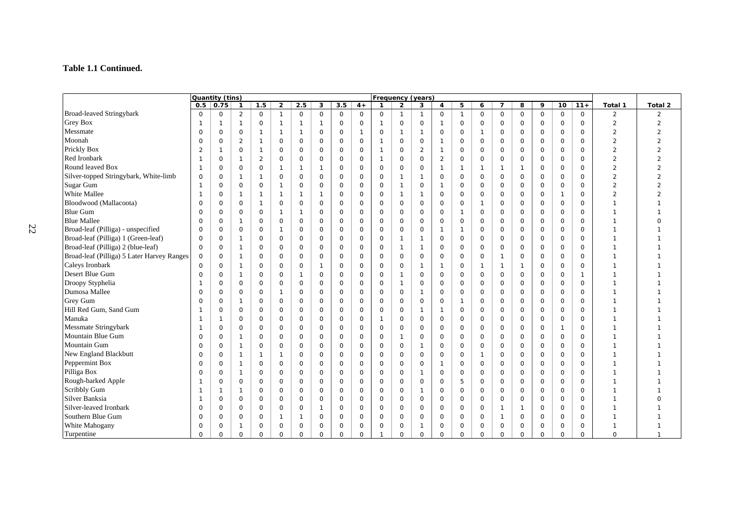#### **Table 1.1 Continued.**

|                                            | Quantity (tins) |                     |                |                |                     |              |                |             |              |                     |              | <b>Frequency (years)</b> |                |                     |                     |                     |              |             |              |              |                |                |
|--------------------------------------------|-----------------|---------------------|----------------|----------------|---------------------|--------------|----------------|-------------|--------------|---------------------|--------------|--------------------------|----------------|---------------------|---------------------|---------------------|--------------|-------------|--------------|--------------|----------------|----------------|
|                                            |                 | $0.5$ 0.75          | $\mathbf{1}$   | 1.5            | $\overline{2}$      | 2.5          | 3              | 3.5         | $4+$         | $\mathbf{1}$        | $\mathbf{2}$ | 3                        | $\overline{4}$ | 5                   | 6                   | $\overline{7}$      | 8            | 9           | 10           | $11+$        | Total 1        | Total 2        |
| <b>Broad-leaved Stringybark</b>            | $\Omega$        | $\mathsf{O}\xspace$ | $\overline{2}$ | $\mathsf{O}$   | $\mathbf{1}$        | $\mathbf 0$  | $\mathbf 0$    | $\mathbf 0$ | $\mathsf{O}$ | $\mathbf 0$         | $\mathbf{1}$ | $\mathbf{1}$             | $\mathbf 0$    | $\mathbf{1}$        | $\mathsf{O}\xspace$ | $\mathsf{O}\xspace$ | $\mathsf O$  | 0           | $\mathsf{O}$ | $\mathbf 0$  | 2              | 2              |
| <b>Grey Box</b>                            | -1              | $\mathbf{1}$        | $\mathbf{1}$   | $\mathbf 0$    | $\mathbf{1}$        | $\mathbf{1}$ | $\overline{1}$ | $\mathbf 0$ | $\mathbf 0$  | $\mathbf{1}$        | $\mathsf{O}$ | $\mathsf{O}$             | $\overline{1}$ | $\mathbf 0$         | $\mathsf{O}$        | $\mathbf 0$         | $\mathsf{O}$ | $\mathbf 0$ | $\mathsf{O}$ | $\mathbf 0$  | $\overline{2}$ | $\overline{2}$ |
| Messmate                                   | $\Omega$        | $\mathsf O$         | $\mathbf 0$    | $\overline{1}$ | $\mathbf{1}$        | $\mathbf{1}$ | $\mathbf 0$    | $\mathbf 0$ | $\mathbf{1}$ | $\mathbf 0$         | $\mathbf{1}$ | $\mathbf{1}$             | $\mathbf 0$    | $\mathbf 0$         | $\mathbf{1}$        | $\circ$             | $\mathbf 0$  | $\Omega$    | $\mathsf O$  | $\Omega$     | $\overline{2}$ | $\overline{2}$ |
| Moonah                                     | 0               | $\mathsf{O}$        | $\overline{2}$ | $\overline{1}$ | $\mathbf 0$         | $\mathbf 0$  | $\mathbf 0$    | $\mathbf 0$ | $\mathbf 0$  | $\mathbf{1}$        | $\mathsf{O}$ | $\mathsf{O}$             | $\mathbf{1}$   | $\mathbf 0$         | 0                   | $\mathbf 0$         | $\mathbf 0$  | 0           | $\mathsf O$  | $\mathbf 0$  | $\overline{2}$ | $\overline{2}$ |
| Prickly Box                                | $\overline{2}$  | $\mathbf{1}$        | $\mathbf 0$    | $\mathbf{1}$   | $\mathsf{O}$        | $\mathsf{O}$ | $\mathsf O$    | $\mathsf O$ | $\mathsf O$  | $\overline{1}$      | 0            | 2                        | $\overline{1}$ | $\mathbf 0$         | 0                   | $\mathsf{O}$        | 0            | 0           | $\mathsf O$  | $\mathbf 0$  | $\overline{2}$ | $\overline{2}$ |
| Red Ironbark                               |                 | $\mathsf O$         | $\mathbf{1}$   | $\overline{2}$ | $\mathsf{O}$        | $\mathbf 0$  | $\mathsf O$    | $\mathsf O$ | $\mathbf 0$  | $\overline{1}$      | 0            | $\mathsf{O}$             | $\overline{2}$ | $\mathsf O$         | $\mathsf{O}$        | $\mathsf{O}$        | $\mathsf{O}$ | $\mathbf 0$ | $\mathsf O$  | $\mathbf 0$  | $\overline{2}$ | $\overline{2}$ |
| Round leaved Box                           | $\mathbf{1}$    | $\mathbf 0$         | $\mathbf 0$    | $\mathsf{O}$   | $\mathbf{1}$        | $\mathbf{1}$ | $\mathbf{1}$   | $\mathbf 0$ | $\mathbf 0$  | $\mathsf{O}$        | 0            | $\mathsf{O}$             | $\mathbf{1}$   | $\mathbf{1}$        | $\mathbf{1}$        | $\mathbf{1}$        | $\mathbf{1}$ | 0           | $\mathsf{O}$ | $\mathbf 0$  | $\overline{2}$ | $\overline{2}$ |
| Silver-topped Stringybark, White-limb      | $\mathbf 0$     | $\mathbf 0$         | $\mathbf{1}$   | $\mathbf{1}$   | $\mathsf O$         | $\mathbf 0$  | $\mathbf 0$    | $\mathbf 0$ | $\mathbf 0$  | $\mathsf{O}\xspace$ | $\mathbf{1}$ | $\mathbf{1}$             | $\mathbf 0$    | $\mathbf 0$         | $\mathsf{O}$        | $\mathsf{O}\xspace$ | $\mathsf O$  | 0           | $\mathsf{O}$ | $\mathbf 0$  | $\overline{2}$ | $\overline{2}$ |
| Sugar Gum                                  | -1              | $\mathbf 0$         | $\mathbf 0$    | 0              | $\mathbf{1}$        | 0            | $\mathbf 0$    | $\mathbf 0$ | $\mathbf 0$  | $\mathbf 0$         | $\mathbf{1}$ | $\mathsf{O}$             | $\mathbf{1}$   | $\mathbf 0$         | 0                   | $\mathsf{O}$        | $\mathbf 0$  | 0           | $\mathsf{O}$ | $\mathbf 0$  | $\overline{2}$ |                |
| White Mallee                               | -1              | $\mathsf{O}$        | $\mathbf{1}$   | $\mathbf{1}$   | $\mathbf{1}$        | 1            | $\mathbf{1}$   | $\mathsf O$ | $\mathsf O$  | $\mathbf 0$         | $\mathbf{1}$ | $\mathbf{1}$             | $\mathbf 0$    | $\mathsf O$         | 0                   | $\mathsf{O}$        | $\mathsf{O}$ | 0           | $\mathbf{1}$ | $\mathbf 0$  | $\overline{2}$ |                |
| Bloodwood (Mallacoota)                     | 0               | $\mathsf O$         | $\mathbf 0$    | $\mathbf{1}$   | $\mathsf{O}$        | $\mathbf 0$  | $\mathsf O$    | $\mathbf 0$ | $\mathsf O$  | $\mathbf 0$         | 0            | $\mathsf{O}$             | $\mathsf{O}$   | $\mathbf 0$         | $\mathbf{1}$        | $\mathsf O$         | 0            | $\circ$     | $\mathsf O$  | $\mathbf 0$  |                |                |
| <b>Blue Gum</b>                            | $\Omega$        | $\mathbf 0$         | $\Omega$       | $\mathsf{O}$   | $\mathbf{1}$        | $\mathbf{1}$ | $\mathbf 0$    | $\mathbf 0$ | $\mathbf 0$  | $\mathbf 0$         | $\mathsf O$  | $\mathsf{O}$             | $\mathbf 0$    | $\mathbf{1}$        | $\mathsf{O}$        | $\mathsf O$         | $\mathbf 0$  | 0           | $\mathsf O$  | $\mathbf 0$  |                |                |
| <b>Blue Mallee</b>                         | $\Omega$        | $\mathsf O$         | $\mathbf{1}$   | $\mathsf{O}$   | $\mathsf{O}\xspace$ | $\mathbf 0$  | $\mathbf 0$    | $\mathbf 0$ | $\mathbf 0$  | $\mathsf{O}$        | $\mathbf 0$  | $\mathsf{O}$             | $\mathbf 0$    | $\mathbf 0$         | $\mathsf{O}$        | $\mathsf{O}$        | $\mathbf 0$  | $\circ$     | $\mathsf O$  | $\mathbf 0$  |                | O              |
| Broad-leaf (Pilliga) - unspecified         | 0               | $\mathsf O$         | $\mathbf 0$    | $\mathsf O$    | $\mathbf{1}$        | $\mathbf 0$  | $\mathsf O$    | $\mathsf O$ | $\mathsf O$  | $\mathsf{O}$        | $\mathsf{O}$ | $\mathsf{O}$             | $\overline{1}$ | $\mathbf{1}$        | 0                   | $\mathsf{O}$        | $\mathsf{O}$ | $\circ$     | $\mathsf O$  | $\mathbf 0$  |                |                |
| Broad-leaf (Pilliga) 1 (Green-leaf)        | 0               | $\mathsf O$         | $\mathbf{1}$   | 0              | $\mathsf{O}$        | $\mathbf 0$  | $\mathsf O$    | $\mathbf 0$ | $\mathbf 0$  | $\mathbf 0$         | $\mathbf{1}$ | $\mathbf{1}$             | $\mathbf 0$    | $\circ$             | $\circ$             | $\mathsf O$         | $\mathbf 0$  | 0           | $\mathsf O$  | $\Omega$     |                |                |
| Broad-leaf (Pilliga) 2 (blue-leaf)         | $\Omega$        | $\mathbf 0$         | $\mathbf{1}$   | 0              | $\mathbf 0$         | $\mathbf 0$  | $\circ$        | $\mathbf 0$ | $\mathbf 0$  | $\mathbf 0$         | $\mathbf{1}$ | $\mathbf{1}$             | $\mathbf 0$    | $\mathbf 0$         | $\mathsf{O}$        | $\mathsf{O}$        | $\mathbf 0$  | 0           | $\mathsf O$  | $\Omega$     |                |                |
| Broad-leaf (Pilliga) 5 Later Harvey Ranges | 0               | $\mathbf 0$         | $\mathbf{1}$   | $\mathbf 0$    | $\mathsf{O}$        | $\mathbf 0$  | $\mathbf 0$    | $\mathbf 0$ | $\mathbf 0$  | $\mathbf 0$         | $\mathbf 0$  | $\mathsf{O}$             | $\mathbf 0$    | $\mathbf 0$         | $\mathsf{O}$        | $\mathbf{1}$        | $\mathbf 0$  | 0           | $\mathsf{O}$ | $\Omega$     |                |                |
| Caleys Ironbark                            | $\Omega$        | $\mathbf 0$         | $\mathbf{1}$   | $\mathbf 0$    | 0                   | $\mathbf 0$  | $\mathbf{1}$   | $\mathbf 0$ | $\mathbf 0$  | $\mathbf 0$         | 0            | $\mathbf{1}$             | $\mathbf{1}$   | $\mathbf 0$         | $\mathbf{1}$        | $\mathbf{1}$        | $\mathbf{1}$ | 0           | $\mathsf{O}$ | $\Omega$     |                |                |
| Desert Blue Gum                            | $\mathbf 0$     | $\mathbf 0$         | $\mathbf{1}$   | 0              | 0                   | $\mathbf{1}$ | $\mathbf 0$    | $\mathbf 0$ | $\mathbf 0$  | $\mathbf 0$         | $\mathbf{1}$ | $\mathsf{O}$             | $\mathbf 0$    | $\mathbf 0$         | $\mathsf{O}$        | $\mathsf{O}$        | $\mathbf 0$  | 0           | $\mathsf{O}$ | $\mathbf{1}$ |                |                |
| Droopy Styphelia                           | -1              | $\mathsf{O}$        | $\mathbf 0$    | 0              | $\mathsf{O}$        | 0            | $\mathbf 0$    | 0           | $\mathsf O$  | $\mathbf 0$         | $\mathbf{1}$ | $\mathsf{O}$             | $\mathsf{O}$   | $\mathsf O$         | 0                   | $\mathsf{O}$        | $\mathsf{O}$ | 0           | $\mathsf{O}$ | $\mathbf 0$  |                |                |
| Dumosa Mallee                              | 0               | $\mathbf 0$         | $\mathbf 0$    | 0              | $\mathbf{1}$        | $\mathbf 0$  | $\mathsf O$    | 0           | $\mathsf O$  | $\mathbf 0$         | 0            | $\mathbf{1}$             | $\circ$        | $\mathsf O$         | 0                   | $\mathsf{O}$        | $\mathbf 0$  | 0           | $\mathsf{O}$ | $\mathbf 0$  |                |                |
| Grey Gum                                   | $\Omega$        | $\mathsf{O}$        | 1              | 0              | $\mathsf{O}$        | $\mathbf 0$  | $\mathbf 0$    | $\mathbf 0$ | $\mathsf O$  | $\mathbf 0$         | $\mathsf{O}$ | $\mathsf{O}$             | 0              | $\mathbf{1}$        | $\mathsf{O}$        | $\mathsf O$         | 0            | 0           | $\mathsf O$  | $\mathbf 0$  |                |                |
| Hill Red Gum, Sand Gum                     |                 | $\circ$             | $\Omega$       | 0              | $\mathsf{O}$        | $\mathbf 0$  | $\mathbf 0$    | $\mathbf 0$ | $\mathbf 0$  | $\mathbf 0$         | $\mathsf{O}$ | $\mathbf{1}$             | $\mathbf{1}$   | $\mathbf 0$         | $\circ$             | $\mathsf O$         | $\circ$      | $\circ$     | $\mathsf O$  | $\mathbf 0$  |                |                |
| Manuka                                     | -1              | $\mathbf{1}$        | $\mathbf 0$    | $\mathbf 0$    | $\circ$             | $\mathbf 0$  | $\mathbf 0$    | $\mathbf 0$ | $\mathbf 0$  | $\overline{1}$      | 0            | $\mathsf{O}$             | $\mathbf 0$    | $\mathbf 0$         | 0                   | $\mathbf 0$         | $\mathbf 0$  | 0           | $\mathbf 0$  | $\mathbf 0$  |                |                |
| <b>Messmate Stringybark</b>                | -1              | $\mathsf{O}$        | $\Omega$       | 0              | 0                   | $\mathbf 0$  | $\mathsf O$    | $\mathbf 0$ | $\mathsf O$  | $\mathbf 0$         | $\mathbf 0$  | $\mathsf{O}$             | $\mathbf 0$    | $\mathbf 0$         | 0                   | $\mathsf{O}$        | $\mathsf{O}$ | 0           | $\mathbf{1}$ | $\mathbf 0$  |                |                |
| Mountain Blue Gum                          | $\Omega$        | $\mathsf{O}$        | $\mathbf{1}$   | 0              | $\mathsf{O}$        | $\mathbf 0$  | $\mathsf O$    | $\mathbf 0$ | $\mathsf O$  | $\mathbf 0$         | $\mathbf{1}$ | $\mathsf{O}$             | 0              | $\mathsf O$         | 0                   | $\mathsf{O}$        | $\mathsf{O}$ | 0           | $\mathsf O$  | $\mathbf 0$  |                |                |
| Mountain Gum                               | O               | $\mathsf{O}$        | $\mathbf{1}$   | $\mathsf{O}$   | $\mathsf{O}$        | $\mathbf 0$  | $\mathbf 0$    | $\mathbf 0$ | $\mathsf O$  | $\mathbf 0$         | $\mathsf{O}$ | $\mathbf{1}$             | $\mathbf 0$    | $\mathsf{O}$        | 0                   | $\mathbf 0$         | $\mathbf 0$  | 0           | $\mathsf O$  | $\mathbf 0$  |                |                |
| New England Blackbutt                      | $\Omega$        | $\mathsf O$         | $\mathbf{1}$   | $\overline{1}$ | $\mathbf{1}$        | $\mathbf 0$  | $\mathbf 0$    | $\mathbf 0$ | $\mathbf 0$  | $\mathbf 0$         | $\mathsf{O}$ | $\mathsf{O}$             | $\mathbf 0$    | $\mathbf 0$         | $\mathbf{1}$        | $\mathbf 0$         | $\mathsf{O}$ | $\circ$     | $\mathsf O$  | $\mathbf 0$  |                |                |
| Peppermint Box                             | $\Omega$        | $\mathbf 0$         | $\mathbf{1}$   | $\mathbf 0$    | $\mathbf 0$         | $\mathbf 0$  | $\circ$        | $\mathbf 0$ | $\mathbf 0$  | $\circ$             | $\mathbf 0$  | $\mathsf{O}$             | $\mathbf{1}$   | $\mathsf{O}$        | $\circ$             | $\mathbf 0$         | $\mathbf 0$  | $\mathbf 0$ | $\mathsf{O}$ | $\Omega$     |                |                |
| Pilliga Box                                | 0               | $\mathsf{O}$        | $\mathbf{1}$   | 0              | $\mathsf{O}$        | $\mathsf{O}$ | $\mathsf O$    | 0           | $\mathsf O$  | $\mathbf 0$         | 0            | $\mathbf{1}$             | $\mathsf{O}$   | $\mathsf O$         | 0                   | $\mathsf{O}$        | $\mathsf{O}$ | 0           | $\mathsf{O}$ | $\mathbf 0$  |                |                |
| Rough-barked Apple                         | -1              | $\mathsf O$         | $\mathbf 0$    | 0              | $\mathsf{O}$        | $\mathsf{O}$ | $\mathsf O$    | 0           | $\mathsf O$  | $\mathbf 0$         | 0            | $\mathsf{O}$             | $\mathbf 0$    | 5                   | 0                   | $\mathsf{O}$        | $\mathsf{O}$ | 0           | $\mathsf{O}$ | $\mathbf 0$  |                |                |
| Scribbly Gum                               | -1              | $\mathbf{1}$        | $\mathbf{1}$   | 0              | $\mathsf{O}$        | 0            | $\mathbf 0$    | 0           | $\mathsf O$  | $\mathbf 0$         | 0            | $\mathbf{1}$             | $\mathsf{O}$   | $\mathsf O$         | $\mathsf{O}$        | $\mathsf{O}$        | $\mathsf{O}$ | 0           | $\mathsf{O}$ | $\mathbf 0$  |                |                |
| Silver Banksia                             | -1              | $\mathsf{O}$        | $\mathbf 0$    | 0              | $\mathsf{O}$        | $\mathsf{O}$ | $\mathsf O$    | $\mathsf O$ | $\mathsf O$  | $\mathbf 0$         | 0            | $\mathsf{O}$             | $\mathsf{O}$   | $\mathsf{O}\xspace$ | $\mathsf{O}$        | $\mathsf{O}\xspace$ | $\mathbf 0$  | 0           | $\mathsf{O}$ | $\mathbf 0$  |                |                |
| Silver-leaved Ironbark                     | $\Omega$        | $\mathsf{O}$        | $\mathbf 0$    | $\mathbf 0$    | $\mathsf{O}$        | $\mathbf 0$  | $\mathbf{1}$   | $\mathbf 0$ | $\mathsf O$  | $\mathbf 0$         | 0            | $\mathsf{O}$             | 0              | $\circ$             | $\mathsf{O}$        | $\mathbf{1}$        | $\mathbf{1}$ | $\circ$     | $\mathsf{O}$ | $\mathbf 0$  |                |                |
| Southern Blue Gum                          | 0               | $\circ$             | $\mathbf 0$    | 0              | $\mathbf{1}$        | $\mathbf 1$  | 0              | $\mathbf 0$ | $\mathsf O$  | $\mathbf 0$         | 0            | $\mathsf{O}$             | $\mathbf 0$    | $\mathbf 0$         | 0                   | $\mathbf{1}$        | 0            | 0           | $\mathsf{O}$ | $\mathbf 0$  |                |                |
| White Mahogany                             | 0               | $\circ$             | -1             | 0              | 0                   | $\mathbf 0$  | $\mathbf 0$    | $\mathbf 0$ | $\mathbf 0$  | 0                   | $\mathbf 0$  | $\mathbf{1}$             | $\mathbf 0$    | 0                   | 0                   | $\mathsf O$         | 0            | 0           | $\mathsf{O}$ | 0            |                |                |
| Turpentine                                 | $\Omega$        | $\Omega$            | $\Omega$       | $\Omega$       | $\Omega$            | $\Omega$     | $\Omega$       | $\Omega$    | $\Omega$     | $\mathbf{1}$        | $\Omega$     | $\Omega$                 | $\Omega$       | $\Omega$            | $\Omega$            | $\Omega$            | $\Omega$     | $\Omega$    | $\Omega$     | $\Omega$     | $\Omega$       | $\mathbf{1}$   |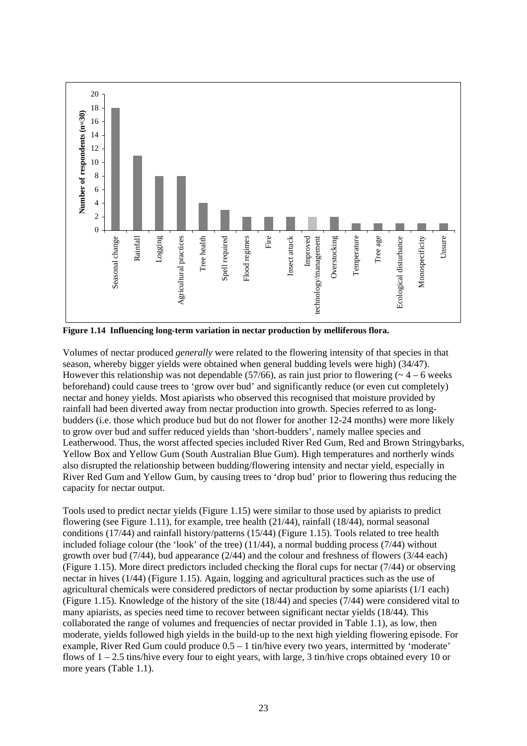

**Figure 1.14 Influencing long-term variation in nectar production by melliferous flora.** 

Volumes of nectar produced *generally* were related to the flowering intensity of that species in that season, whereby bigger yields were obtained when general budding levels were high) (34/47). However this relationship was not dependable (57/66), as rain just prior to flowering ( $\sim$  4 – 6 weeks beforehand) could cause trees to 'grow over bud' and significantly reduce (or even cut completely) nectar and honey yields. Most apiarists who observed this recognised that moisture provided by rainfall had been diverted away from nectar production into growth. Species referred to as longbudders (i.e. those which produce bud but do not flower for another 12-24 months) were more likely to grow over bud and suffer reduced yields than 'short-budders', namely mallee species and Leatherwood. Thus, the worst affected species included River Red Gum, Red and Brown Stringybarks, Yellow Box and Yellow Gum (South Australian Blue Gum). High temperatures and northerly winds also disrupted the relationship between budding/flowering intensity and nectar yield, especially in River Red Gum and Yellow Gum, by causing trees to 'drop bud' prior to flowering thus reducing the capacity for nectar output.

Tools used to predict nectar yields (Figure 1.15) were similar to those used by apiarists to predict flowering (see Figure 1.11), for example, tree health (21/44), rainfall (18/44), normal seasonal conditions (17/44) and rainfall history/patterns (15/44) (Figure 1.15). Tools related to tree health included foliage colour (the 'look' of the tree)  $(11/44)$ , a normal budding process  $(7/44)$  without growth over bud (7/44), bud appearance (2/44) and the colour and freshness of flowers (3/44 each) (Figure 1.15). More direct predictors included checking the floral cups for nectar (7/44) or observing nectar in hives (1/44) (Figure 1.15). Again, logging and agricultural practices such as the use of agricultural chemicals were considered predictors of nectar production by some apiarists (1/1 each) (Figure 1.15). Knowledge of the history of the site (18/44) and species (7/44) were considered vital to many apiarists, as species need time to recover between significant nectar yields (18/44). This collaborated the range of volumes and frequencies of nectar provided in Table 1.1), as low, then moderate, yields followed high yields in the build-up to the next high yielding flowering episode. For example, River Red Gum could produce 0.5 – 1 tin/hive every two years, intermitted by 'moderate' flows of  $1 - 2.5$  tins/hive every four to eight years, with large, 3 tin/hive crops obtained every 10 or more years (Table 1.1).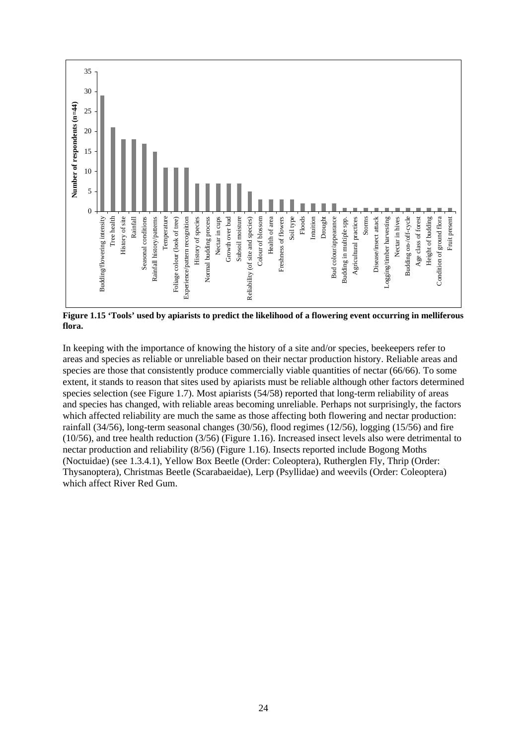

**Figure 1.15 'Tools' used by apiarists to predict the likelihood of a flowering event occurring in melliferous flora.** 

In keeping with the importance of knowing the history of a site and/or species, beekeepers refer to areas and species as reliable or unreliable based on their nectar production history. Reliable areas and species are those that consistently produce commercially viable quantities of nectar (66/66). To some extent, it stands to reason that sites used by apiarists must be reliable although other factors determined species selection (see Figure 1.7). Most apiarists (54/58) reported that long-term reliability of areas and species has changed, with reliable areas becoming unreliable. Perhaps not surprisingly, the factors which affected reliability are much the same as those affecting both flowering and nectar production: rainfall (34/56), long-term seasonal changes (30/56), flood regimes (12/56), logging (15/56) and fire (10/56), and tree health reduction (3/56) (Figure 1.16). Increased insect levels also were detrimental to nectar production and reliability (8/56) (Figure 1.16). Insects reported include Bogong Moths (Noctuidae) (see 1.3.4.1), Yellow Box Beetle (Order: Coleoptera), Rutherglen Fly, Thrip (Order: Thysanoptera), Christmas Beetle (Scarabaeidae), Lerp (Psyllidae) and weevils (Order: Coleoptera) which affect River Red Gum.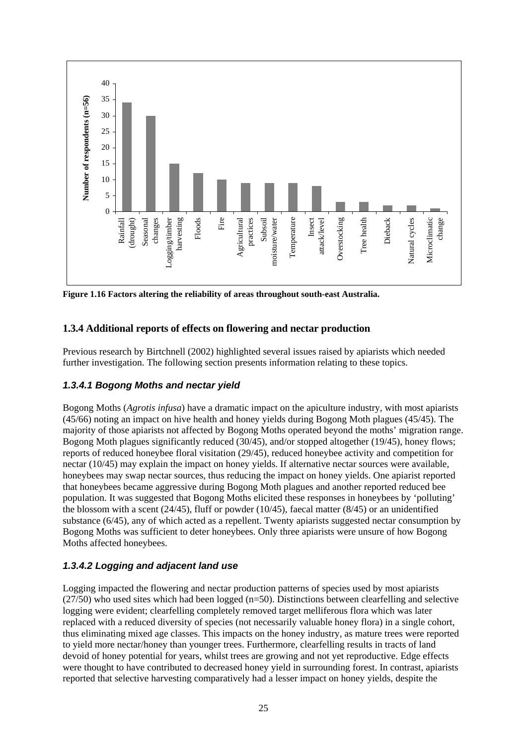

**Figure 1.16 Factors altering the reliability of areas throughout south-east Australia.** 

### **1.3.4 Additional reports of effects on flowering and nectar production**

Previous research by Birtchnell (2002) highlighted several issues raised by apiarists which needed further investigation. The following section presents information relating to these topics.

### *1.3.4.1 Bogong Moths and nectar yield*

Bogong Moths (*Agrotis infusa*) have a dramatic impact on the apiculture industry, with most apiarists (45/66) noting an impact on hive health and honey yields during Bogong Moth plagues (45/45). The majority of those apiarists not affected by Bogong Moths operated beyond the moths' migration range. Bogong Moth plagues significantly reduced (30/45), and/or stopped altogether (19/45), honey flows; reports of reduced honeybee floral visitation (29/45), reduced honeybee activity and competition for nectar (10/45) may explain the impact on honey yields. If alternative nectar sources were available, honeybees may swap nectar sources, thus reducing the impact on honey yields. One apiarist reported that honeybees became aggressive during Bogong Moth plagues and another reported reduced bee population. It was suggested that Bogong Moths elicited these responses in honeybees by 'polluting' the blossom with a scent  $(24/45)$ , fluff or powder  $(10/45)$ , faecal matter  $(8/45)$  or an unidentified substance (6/45), any of which acted as a repellent. Twenty apiarists suggested nectar consumption by Bogong Moths was sufficient to deter honeybees. Only three apiarists were unsure of how Bogong Moths affected honeybees.

#### *1.3.4.2 Logging and adjacent land use*

Logging impacted the flowering and nectar production patterns of species used by most apiarists  $(27/50)$  who used sites which had been logged ( $n=50$ ). Distinctions between clearfelling and selective logging were evident; clearfelling completely removed target melliferous flora which was later replaced with a reduced diversity of species (not necessarily valuable honey flora) in a single cohort, thus eliminating mixed age classes. This impacts on the honey industry, as mature trees were reported to yield more nectar/honey than younger trees. Furthermore, clearfelling results in tracts of land devoid of honey potential for years, whilst trees are growing and not yet reproductive. Edge effects were thought to have contributed to decreased honey yield in surrounding forest. In contrast, apiarists reported that selective harvesting comparatively had a lesser impact on honey yields, despite the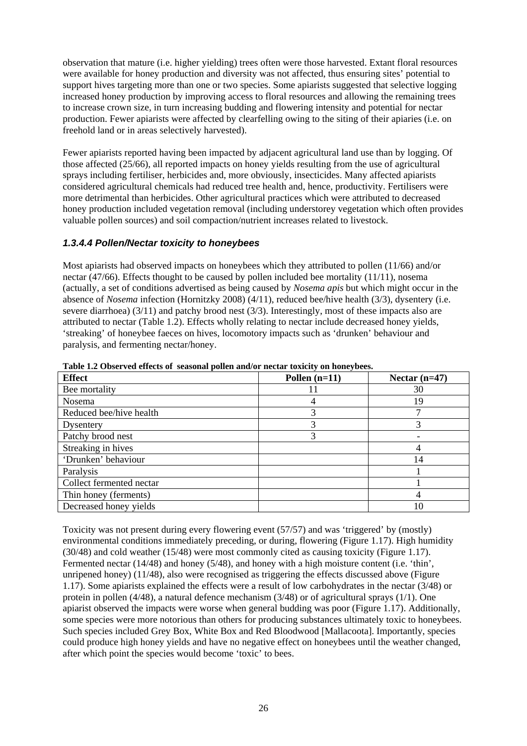observation that mature (i.e. higher yielding) trees often were those harvested. Extant floral resources were available for honey production and diversity was not affected, thus ensuring sites' potential to support hives targeting more than one or two species. Some apiarists suggested that selective logging increased honey production by improving access to floral resources and allowing the remaining trees to increase crown size, in turn increasing budding and flowering intensity and potential for nectar production. Fewer apiarists were affected by clearfelling owing to the siting of their apiaries (i.e. on freehold land or in areas selectively harvested).

Fewer apiarists reported having been impacted by adjacent agricultural land use than by logging. Of those affected (25/66), all reported impacts on honey yields resulting from the use of agricultural sprays including fertiliser, herbicides and, more obviously, insecticides. Many affected apiarists considered agricultural chemicals had reduced tree health and, hence, productivity. Fertilisers were more detrimental than herbicides. Other agricultural practices which were attributed to decreased honey production included vegetation removal (including understorey vegetation which often provides valuable pollen sources) and soil compaction/nutrient increases related to livestock.

### *1.3.4.4 Pollen/Nectar toxicity to honeybees*

Most apiarists had observed impacts on honeybees which they attributed to pollen (11/66) and/or nectar (47/66). Effects thought to be caused by pollen included bee mortality (11/11), nosema (actually, a set of conditions advertised as being caused by *Nosema apis* but which might occur in the absence of *Nosema* infection (Hornitzky 2008) (4/11), reduced bee/hive health (3/3), dysentery (i.e. severe diarrhoea) (3/11) and patchy brood nest (3/3). Interestingly, most of these impacts also are attributed to nectar (Table 1.2). Effects wholly relating to nectar include decreased honey yields, 'streaking' of honeybee faeces on hives, locomotory impacts such as 'drunken' behaviour and paralysis, and fermenting nectar/honey.

| <b>Effect</b>            | Pollen $(n=11)$ | Nectar $(n=47)$ |
|--------------------------|-----------------|-----------------|
| Bee mortality            |                 | 30              |
| Nosema                   |                 | 19              |
| Reduced bee/hive health  | 3               |                 |
| Dysentery                | 3               |                 |
| Patchy brood nest        | 3               |                 |
| Streaking in hives       |                 |                 |
| 'Drunken' behaviour      |                 | 14              |
| Paralysis                |                 |                 |
| Collect fermented nectar |                 |                 |
| Thin honey (ferments)    |                 |                 |
| Decreased honey yields   |                 |                 |

**Table 1.2 Observed effects of seasonal pollen and/or nectar toxicity on honeybees.** 

Toxicity was not present during every flowering event (57/57) and was 'triggered' by (mostly) environmental conditions immediately preceding, or during, flowering (Figure 1.17). High humidity (30/48) and cold weather (15/48) were most commonly cited as causing toxicity (Figure 1.17). Fermented nectar (14/48) and honey (5/48), and honey with a high moisture content (i.e. 'thin', unripened honey) (11/48), also were recognised as triggering the effects discussed above (Figure 1.17). Some apiarists explained the effects were a result of low carbohydrates in the nectar (3/48) or protein in pollen (4/48), a natural defence mechanism (3/48) or of agricultural sprays (1/1). One apiarist observed the impacts were worse when general budding was poor (Figure 1.17). Additionally, some species were more notorious than others for producing substances ultimately toxic to honeybees. Such species included Grey Box, White Box and Red Bloodwood [Mallacoota]. Importantly, species could produce high honey yields and have no negative effect on honeybees until the weather changed, after which point the species would become 'toxic' to bees.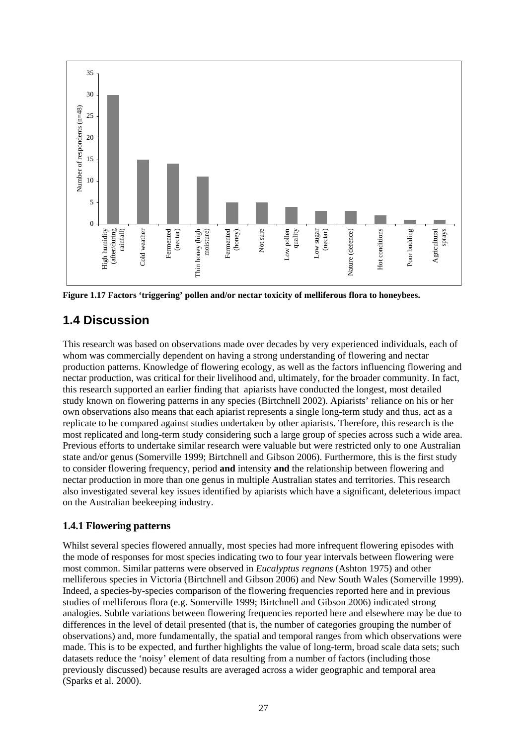

**Figure 1.17 Factors 'triggering' pollen and/or nectar toxicity of melliferous flora to honeybees.** 

# **1.4 Discussion**

This research was based on observations made over decades by very experienced individuals, each of whom was commercially dependent on having a strong understanding of flowering and nectar production patterns. Knowledge of flowering ecology, as well as the factors influencing flowering and nectar production, was critical for their livelihood and, ultimately, for the broader community. In fact, this research supported an earlier finding that apiarists have conducted the longest, most detailed study known on flowering patterns in any species (Birtchnell 2002). Apiarists' reliance on his or her own observations also means that each apiarist represents a single long-term study and thus, act as a replicate to be compared against studies undertaken by other apiarists. Therefore, this research is the most replicated and long-term study considering such a large group of species across such a wide area. Previous efforts to undertake similar research were valuable but were restricted only to one Australian state and/or genus (Somerville 1999; Birtchnell and Gibson 2006). Furthermore, this is the first study to consider flowering frequency, period **and** intensity **and** the relationship between flowering and nectar production in more than one genus in multiple Australian states and territories. This research also investigated several key issues identified by apiarists which have a significant, deleterious impact on the Australian beekeeping industry.

## **1.4.1 Flowering patterns**

Whilst several species flowered annually, most species had more infrequent flowering episodes with the mode of responses for most species indicating two to four year intervals between flowering were most common. Similar patterns were observed in *Eucalyptus regnans* (Ashton 1975) and other melliferous species in Victoria (Birtchnell and Gibson 2006) and New South Wales (Somerville 1999). Indeed, a species-by-species comparison of the flowering frequencies reported here and in previous studies of melliferous flora (e.g. Somerville 1999; Birtchnell and Gibson 2006) indicated strong analogies. Subtle variations between flowering frequencies reported here and elsewhere may be due to differences in the level of detail presented (that is, the number of categories grouping the number of observations) and, more fundamentally, the spatial and temporal ranges from which observations were made. This is to be expected, and further highlights the value of long-term, broad scale data sets; such datasets reduce the 'noisy' element of data resulting from a number of factors (including those previously discussed) because results are averaged across a wider geographic and temporal area (Sparks et al. 2000).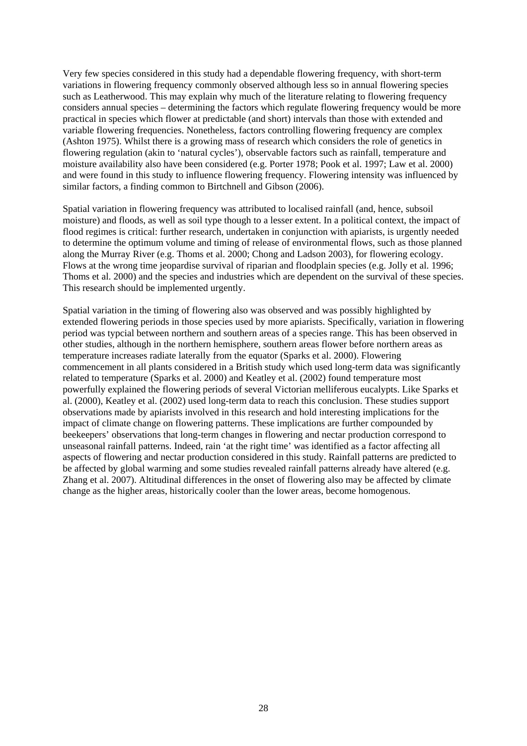Very few species considered in this study had a dependable flowering frequency, with short-term variations in flowering frequency commonly observed although less so in annual flowering species such as Leatherwood. This may explain why much of the literature relating to flowering frequency considers annual species – determining the factors which regulate flowering frequency would be more practical in species which flower at predictable (and short) intervals than those with extended and variable flowering frequencies. Nonetheless, factors controlling flowering frequency are complex (Ashton 1975). Whilst there is a growing mass of research which considers the role of genetics in flowering regulation (akin to 'natural cycles'), observable factors such as rainfall, temperature and moisture availability also have been considered (e.g. Porter 1978; Pook et al. 1997; Law et al. 2000) and were found in this study to influence flowering frequency. Flowering intensity was influenced by similar factors, a finding common to Birtchnell and Gibson (2006).

Spatial variation in flowering frequency was attributed to localised rainfall (and, hence, subsoil moisture) and floods, as well as soil type though to a lesser extent. In a political context, the impact of flood regimes is critical: further research, undertaken in conjunction with apiarists, is urgently needed to determine the optimum volume and timing of release of environmental flows, such as those planned along the Murray River (e.g. Thoms et al. 2000; Chong and Ladson 2003), for flowering ecology. Flows at the wrong time jeopardise survival of riparian and floodplain species (e.g. Jolly et al. 1996; Thoms et al. 2000) and the species and industries which are dependent on the survival of these species. This research should be implemented urgently.

Spatial variation in the timing of flowering also was observed and was possibly highlighted by extended flowering periods in those species used by more apiarists. Specifically, variation in flowering period was typcial between northern and southern areas of a species range. This has been observed in other studies, although in the northern hemisphere, southern areas flower before northern areas as temperature increases radiate laterally from the equator (Sparks et al. 2000). Flowering commencement in all plants considered in a British study which used long-term data was significantly related to temperature (Sparks et al. 2000) and Keatley et al. (2002) found temperature most powerfully explained the flowering periods of several Victorian melliferous eucalypts. Like Sparks et al. (2000), Keatley et al. (2002) used long-term data to reach this conclusion. These studies support observations made by apiarists involved in this research and hold interesting implications for the impact of climate change on flowering patterns. These implications are further compounded by beekeepers' observations that long-term changes in flowering and nectar production correspond to unseasonal rainfall patterns. Indeed, rain 'at the right time' was identified as a factor affecting all aspects of flowering and nectar production considered in this study. Rainfall patterns are predicted to be affected by global warming and some studies revealed rainfall patterns already have altered (e.g. Zhang et al. 2007). Altitudinal differences in the onset of flowering also may be affected by climate change as the higher areas, historically cooler than the lower areas, become homogenous.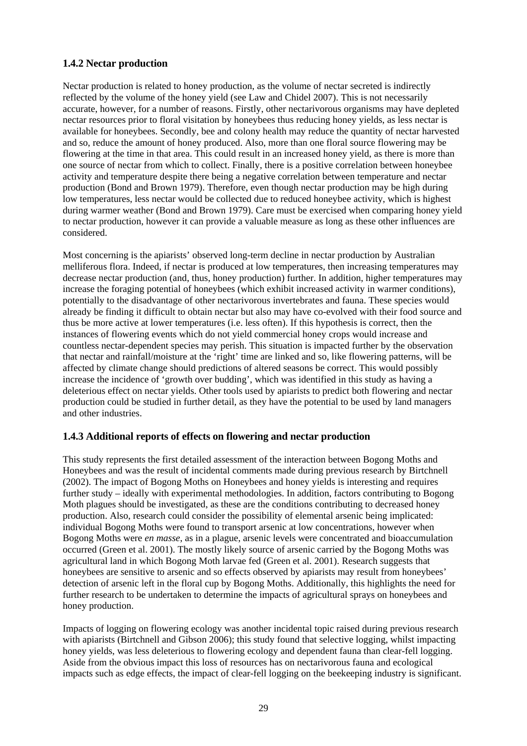## **1.4.2 Nectar production**

Nectar production is related to honey production, as the volume of nectar secreted is indirectly reflected by the volume of the honey yield (see Law and Chidel 2007). This is not necessarily accurate, however, for a number of reasons. Firstly, other nectarivorous organisms may have depleted nectar resources prior to floral visitation by honeybees thus reducing honey yields, as less nectar is available for honeybees. Secondly, bee and colony health may reduce the quantity of nectar harvested and so, reduce the amount of honey produced. Also, more than one floral source flowering may be flowering at the time in that area. This could result in an increased honey yield, as there is more than one source of nectar from which to collect. Finally, there is a positive correlation between honeybee activity and temperature despite there being a negative correlation between temperature and nectar production (Bond and Brown 1979). Therefore, even though nectar production may be high during low temperatures, less nectar would be collected due to reduced honeybee activity, which is highest during warmer weather (Bond and Brown 1979). Care must be exercised when comparing honey yield to nectar production, however it can provide a valuable measure as long as these other influences are considered.

Most concerning is the apiarists' observed long-term decline in nectar production by Australian melliferous flora. Indeed, if nectar is produced at low temperatures, then increasing temperatures may decrease nectar production (and, thus, honey production) further. In addition, higher temperatures may increase the foraging potential of honeybees (which exhibit increased activity in warmer conditions), potentially to the disadvantage of other nectarivorous invertebrates and fauna. These species would already be finding it difficult to obtain nectar but also may have co-evolved with their food source and thus be more active at lower temperatures (i.e. less often). If this hypothesis is correct, then the instances of flowering events which do not yield commercial honey crops would increase and countless nectar-dependent species may perish. This situation is impacted further by the observation that nectar and rainfall/moisture at the 'right' time are linked and so, like flowering patterns, will be affected by climate change should predictions of altered seasons be correct. This would possibly increase the incidence of 'growth over budding', which was identified in this study as having a deleterious effect on nectar yields. Other tools used by apiarists to predict both flowering and nectar production could be studied in further detail, as they have the potential to be used by land managers and other industries.

### **1.4.3 Additional reports of effects on flowering and nectar production**

This study represents the first detailed assessment of the interaction between Bogong Moths and Honeybees and was the result of incidental comments made during previous research by Birtchnell (2002). The impact of Bogong Moths on Honeybees and honey yields is interesting and requires further study – ideally with experimental methodologies. In addition, factors contributing to Bogong Moth plagues should be investigated, as these are the conditions contributing to decreased honey production. Also, research could consider the possibility of elemental arsenic being implicated: individual Bogong Moths were found to transport arsenic at low concentrations, however when Bogong Moths were *en masse*, as in a plague, arsenic levels were concentrated and bioaccumulation occurred (Green et al. 2001). The mostly likely source of arsenic carried by the Bogong Moths was agricultural land in which Bogong Moth larvae fed (Green et al. 2001). Research suggests that honeybees are sensitive to arsenic and so effects observed by apiarists may result from honeybees' detection of arsenic left in the floral cup by Bogong Moths. Additionally, this highlights the need for further research to be undertaken to determine the impacts of agricultural sprays on honeybees and honey production.

Impacts of logging on flowering ecology was another incidental topic raised during previous research with apiarists (Birtchnell and Gibson 2006); this study found that selective logging, whilst impacting honey yields, was less deleterious to flowering ecology and dependent fauna than clear-fell logging. Aside from the obvious impact this loss of resources has on nectarivorous fauna and ecological impacts such as edge effects, the impact of clear-fell logging on the beekeeping industry is significant.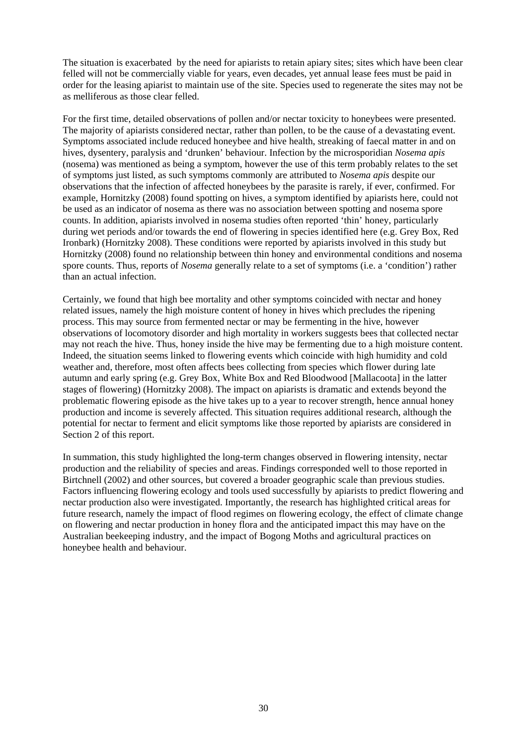The situation is exacerbated by the need for apiarists to retain apiary sites; sites which have been clear felled will not be commercially viable for years, even decades, yet annual lease fees must be paid in order for the leasing apiarist to maintain use of the site. Species used to regenerate the sites may not be as melliferous as those clear felled.

For the first time, detailed observations of pollen and/or nectar toxicity to honeybees were presented. The majority of apiarists considered nectar, rather than pollen, to be the cause of a devastating event. Symptoms associated include reduced honeybee and hive health, streaking of faecal matter in and on hives, dysentery, paralysis and 'drunken' behaviour. Infection by the microsporidian *Nosema apis*  (nosema) was mentioned as being a symptom, however the use of this term probably relates to the set of symptoms just listed, as such symptoms commonly are attributed to *Nosema apis* despite our observations that the infection of affected honeybees by the parasite is rarely, if ever, confirmed. For example, Hornitzky (2008) found spotting on hives, a symptom identified by apiarists here, could not be used as an indicator of nosema as there was no association between spotting and nosema spore counts. In addition, apiarists involved in nosema studies often reported 'thin' honey, particularly during wet periods and/or towards the end of flowering in species identified here (e.g. Grey Box, Red Ironbark) (Hornitzky 2008). These conditions were reported by apiarists involved in this study but Hornitzky (2008) found no relationship between thin honey and environmental conditions and nosema spore counts. Thus, reports of *Nosema* generally relate to a set of symptoms (i.e. a 'condition') rather than an actual infection.

Certainly, we found that high bee mortality and other symptoms coincided with nectar and honey related issues, namely the high moisture content of honey in hives which precludes the ripening process. This may source from fermented nectar or may be fermenting in the hive, however observations of locomotory disorder and high mortality in workers suggests bees that collected nectar may not reach the hive. Thus, honey inside the hive may be fermenting due to a high moisture content. Indeed, the situation seems linked to flowering events which coincide with high humidity and cold weather and, therefore, most often affects bees collecting from species which flower during late autumn and early spring (e.g. Grey Box, White Box and Red Bloodwood [Mallacoota] in the latter stages of flowering) (Hornitzky 2008). The impact on apiarists is dramatic and extends beyond the problematic flowering episode as the hive takes up to a year to recover strength, hence annual honey production and income is severely affected. This situation requires additional research, although the potential for nectar to ferment and elicit symptoms like those reported by apiarists are considered in Section 2 of this report.

In summation, this study highlighted the long-term changes observed in flowering intensity, nectar production and the reliability of species and areas. Findings corresponded well to those reported in Birtchnell (2002) and other sources, but covered a broader geographic scale than previous studies. Factors influencing flowering ecology and tools used successfully by apiarists to predict flowering and nectar production also were investigated. Importantly, the research has highlighted critical areas for future research, namely the impact of flood regimes on flowering ecology, the effect of climate change on flowering and nectar production in honey flora and the anticipated impact this may have on the Australian beekeeping industry, and the impact of Bogong Moths and agricultural practices on honeybee health and behaviour.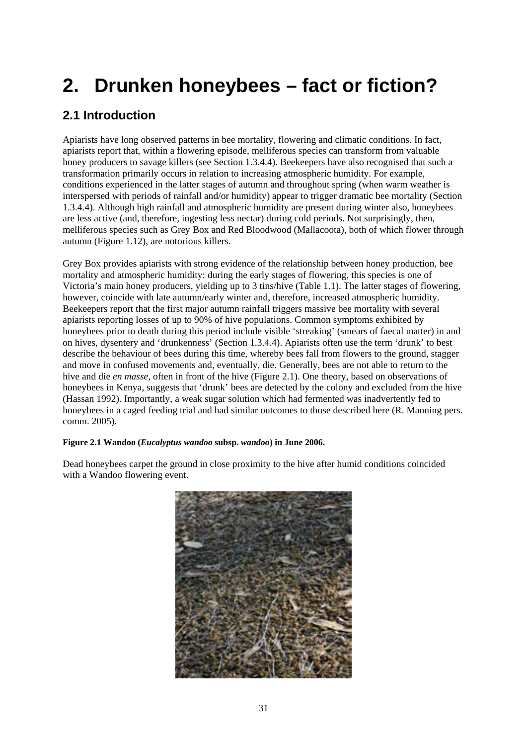# **2. Drunken honeybees – fact or fiction?**

# **2.1 Introduction**

Apiarists have long observed patterns in bee mortality, flowering and climatic conditions. In fact, apiarists report that, within a flowering episode, melliferous species can transform from valuable honey producers to savage killers (see Section 1.3.4.4). Beekeepers have also recognised that such a transformation primarily occurs in relation to increasing atmospheric humidity. For example, conditions experienced in the latter stages of autumn and throughout spring (when warm weather is interspersed with periods of rainfall and/or humidity) appear to trigger dramatic bee mortality (Section 1.3.4.4). Although high rainfall and atmospheric humidity are present during winter also, honeybees are less active (and, therefore, ingesting less nectar) during cold periods. Not surprisingly, then, melliferous species such as Grey Box and Red Bloodwood (Mallacoota), both of which flower through autumn (Figure 1.12), are notorious killers.

Grey Box provides apiarists with strong evidence of the relationship between honey production, bee mortality and atmospheric humidity: during the early stages of flowering, this species is one of Victoria's main honey producers, yielding up to 3 tins/hive (Table 1.1). The latter stages of flowering, however, coincide with late autumn/early winter and, therefore, increased atmospheric humidity. Beekeepers report that the first major autumn rainfall triggers massive bee mortality with several apiarists reporting losses of up to 90% of hive populations. Common symptoms exhibited by honeybees prior to death during this period include visible 'streaking' (smears of faecal matter) in and on hives, dysentery and 'drunkenness' (Section 1.3.4.4). Apiarists often use the term 'drunk' to best describe the behaviour of bees during this time, whereby bees fall from flowers to the ground, stagger and move in confused movements and, eventually, die. Generally, bees are not able to return to the hive and die *en masse*, often in front of the hive (Figure 2.1). One theory, based on observations of honeybees in Kenya, suggests that 'drunk' bees are detected by the colony and excluded from the hive (Hassan 1992). Importantly, a weak sugar solution which had fermented was inadvertently fed to honeybees in a caged feeding trial and had similar outcomes to those described here (R. Manning pers. comm. 2005).

## **Figure 2.1 Wandoo (***Eucalyptus wandoo* **subsp.** *wandoo***) in June 2006.**

Dead honeybees carpet the ground in close proximity to the hive after humid conditions coincided with a Wandoo flowering event.

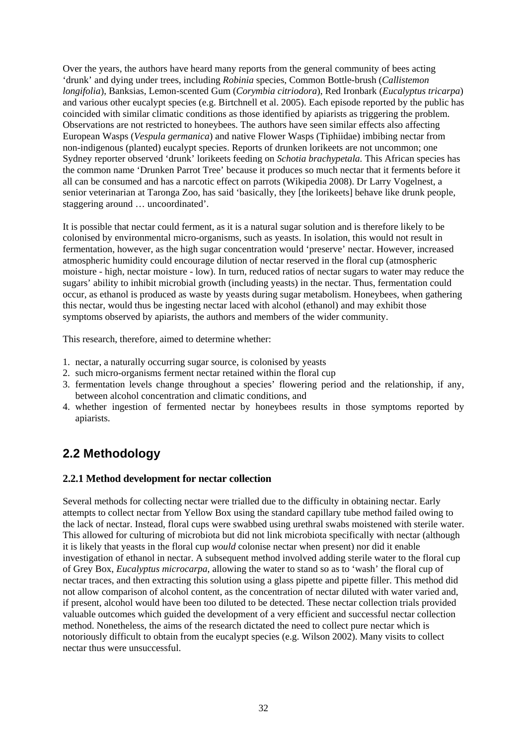Over the years, the authors have heard many reports from the general community of bees acting 'drunk' and dying under trees, including *Robinia* species, Common Bottle-brush (*Callistemon longifolia*), Banksias, Lemon-scented Gum (*Corymbia citriodora*), Red Ironbark (*Eucalyptus tricarpa*) and various other eucalypt species (e.g. Birtchnell et al. 2005). Each episode reported by the public has coincided with similar climatic conditions as those identified by apiarists as triggering the problem. Observations are not restricted to honeybees. The authors have seen similar effects also affecting European Wasps (*Vespula germanica*) and native Flower Wasps (Tiphiidae) imbibing nectar from non-indigenous (planted) eucalypt species. Reports of drunken lorikeets are not uncommon; one Sydney reporter observed 'drunk' lorikeets feeding on *Schotia brachypetala.* This African species has the common name 'Drunken Parrot Tree' because it produces so much nectar that it ferments before it all can be consumed and has a narcotic effect on parrots (Wikipedia 2008). Dr Larry Vogelnest, a senior veterinarian at Taronga Zoo, has said 'basically, they [the lorikeets] behave like drunk people, staggering around … uncoordinated'.

It is possible that nectar could ferment, as it is a natural sugar solution and is therefore likely to be colonised by environmental micro-organisms, such as yeasts. In isolation, this would not result in fermentation, however, as the high sugar concentration would 'preserve' nectar. However, increased atmospheric humidity could encourage dilution of nectar reserved in the floral cup (atmospheric moisture - high, nectar moisture - low). In turn, reduced ratios of nectar sugars to water may reduce the sugars' ability to inhibit microbial growth (including yeasts) in the nectar. Thus, fermentation could occur, as ethanol is produced as waste by yeasts during sugar metabolism. Honeybees, when gathering this nectar, would thus be ingesting nectar laced with alcohol (ethanol) and may exhibit those symptoms observed by apiarists, the authors and members of the wider community.

This research, therefore, aimed to determine whether:

- 1. nectar, a naturally occurring sugar source, is colonised by yeasts
- 2. such micro-organisms ferment nectar retained within the floral cup
- 3. fermentation levels change throughout a species' flowering period and the relationship, if any, between alcohol concentration and climatic conditions, and
- 4. whether ingestion of fermented nectar by honeybees results in those symptoms reported by apiarists.

# **2.2 Methodology**

### **2.2.1 Method development for nectar collection**

Several methods for collecting nectar were trialled due to the difficulty in obtaining nectar. Early attempts to collect nectar from Yellow Box using the standard capillary tube method failed owing to the lack of nectar. Instead, floral cups were swabbed using urethral swabs moistened with sterile water. This allowed for culturing of microbiota but did not link microbiota specifically with nectar (although it is likely that yeasts in the floral cup *would* colonise nectar when present) nor did it enable investigation of ethanol in nectar. A subsequent method involved adding sterile water to the floral cup of Grey Box, *Eucalyptus microcarpa*, allowing the water to stand so as to 'wash' the floral cup of nectar traces, and then extracting this solution using a glass pipette and pipette filler. This method did not allow comparison of alcohol content, as the concentration of nectar diluted with water varied and, if present, alcohol would have been too diluted to be detected. These nectar collection trials provided valuable outcomes which guided the development of a very efficient and successful nectar collection method. Nonetheless, the aims of the research dictated the need to collect pure nectar which is notoriously difficult to obtain from the eucalypt species (e.g. Wilson 2002). Many visits to collect nectar thus were unsuccessful.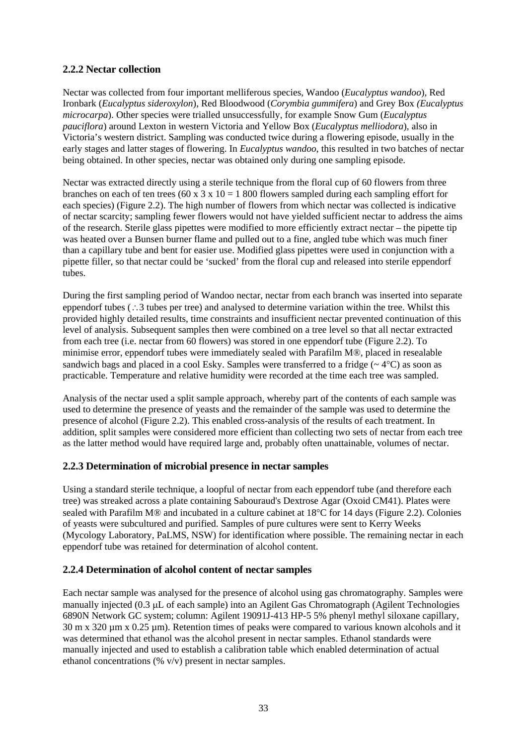### **2.2.2 Nectar collection**

Nectar was collected from four important melliferous species, Wandoo (*Eucalyptus wandoo*)*,* Red Ironbark (*Eucalyptus sideroxylon*), Red Bloodwood (*Corymbia gummifera*) and Grey Box *(Eucalyptus microcarpa*). Other species were trialled unsuccessfully, for example Snow Gum (*Eucalyptus pauciflora*) around Lexton in western Victoria and Yellow Box (*Eucalyptus melliodora*), also in Victoria's western district. Sampling was conducted twice during a flowering episode, usually in the early stages and latter stages of flowering. In *Eucalyptus wandoo*, this resulted in two batches of nectar being obtained. In other species, nectar was obtained only during one sampling episode.

Nectar was extracted directly using a sterile technique from the floral cup of 60 flowers from three branches on each of ten trees (60 x 3 x 10 = 1 800 flowers sampled during each sampling effort for each species) (Figure 2.2). The high number of flowers from which nectar was collected is indicative of nectar scarcity; sampling fewer flowers would not have yielded sufficient nectar to address the aims of the research. Sterile glass pipettes were modified to more efficiently extract nectar – the pipette tip was heated over a Bunsen burner flame and pulled out to a fine, angled tube which was much finer than a capillary tube and bent for easier use. Modified glass pipettes were used in conjunction with a pipette filler, so that nectar could be 'sucked' from the floral cup and released into sterile eppendorf tubes.

During the first sampling period of Wandoo nectar, nectar from each branch was inserted into separate eppendorf tubes (∴3 tubes per tree) and analysed to determine variation within the tree. Whilst this provided highly detailed results, time constraints and insufficient nectar prevented continuation of this level of analysis. Subsequent samples then were combined on a tree level so that all nectar extracted from each tree (i.e. nectar from 60 flowers) was stored in one eppendorf tube (Figure 2.2). To minimise error, eppendorf tubes were immediately sealed with Parafilm M®, placed in resealable sandwich bags and placed in a cool Esky. Samples were transferred to a fridge ( $\sim$  4°C) as soon as practicable. Temperature and relative humidity were recorded at the time each tree was sampled.

Analysis of the nectar used a split sample approach, whereby part of the contents of each sample was used to determine the presence of yeasts and the remainder of the sample was used to determine the presence of alcohol (Figure 2.2). This enabled cross-analysis of the results of each treatment. In addition, split samples were considered more efficient than collecting two sets of nectar from each tree as the latter method would have required large and, probably often unattainable, volumes of nectar.

## **2.2.3 Determination of microbial presence in nectar samples**

Using a standard sterile technique, a loopful of nectar from each eppendorf tube (and therefore each tree) was streaked across a plate containing Sabouraud's Dextrose Agar (Oxoid CM41). Plates were sealed with Parafilm M® and incubated in a culture cabinet at 18°C for 14 days (Figure 2.2). Colonies of yeasts were subcultured and purified. Samples of pure cultures were sent to Kerry Weeks (Mycology Laboratory, PaLMS, NSW) for identification where possible. The remaining nectar in each eppendorf tube was retained for determination of alcohol content.

### **2.2.4 Determination of alcohol content of nectar samples**

Each nectar sample was analysed for the presence of alcohol using gas chromatography. Samples were manually injected (0.3 μL of each sample) into an Agilent Gas Chromatograph (Agilent Technologies 6890N Network GC system; column: Agilent 19091J-413 HP-5 5% phenyl methyl siloxane capillary, 30 m x 320 µm x 0.25 µm). Retention times of peaks were compared to various known alcohols and it was determined that ethanol was the alcohol present in nectar samples. Ethanol standards were manually injected and used to establish a calibration table which enabled determination of actual ethanol concentrations (% v/v) present in nectar samples.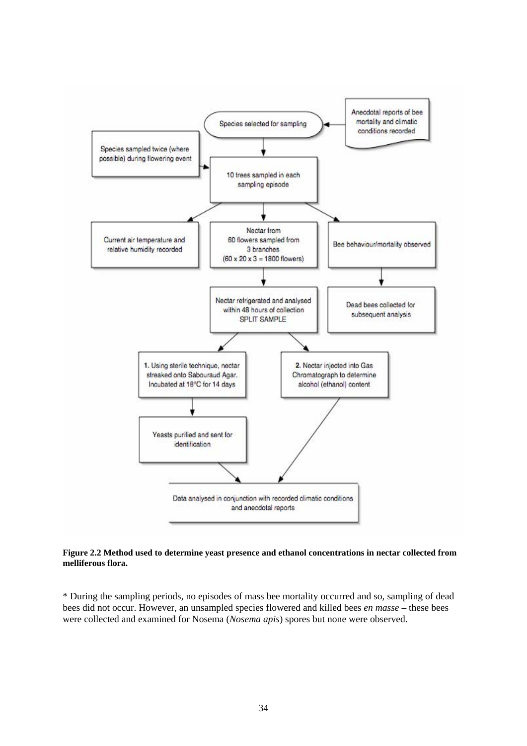

**Figure 2.2 Method used to determine yeast presence and ethanol concentrations in nectar collected from melliferous flora.** 

\* During the sampling periods, no episodes of mass bee mortality occurred and so, sampling of dead bees did not occur. However, an unsampled species flowered and killed bees *en masse* – these bees were collected and examined for Nosema (*Nosema apis*) spores but none were observed.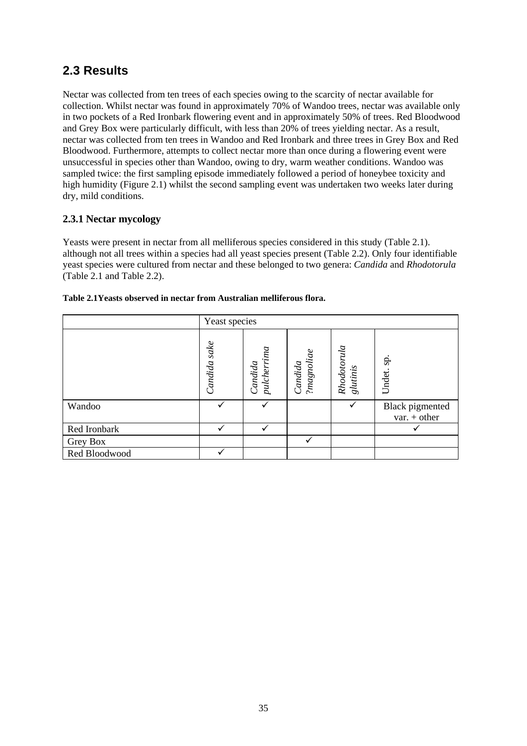# **2.3 Results**

Nectar was collected from ten trees of each species owing to the scarcity of nectar available for collection. Whilst nectar was found in approximately 70% of Wandoo trees, nectar was available only in two pockets of a Red Ironbark flowering event and in approximately 50% of trees. Red Bloodwood and Grey Box were particularly difficult, with less than 20% of trees yielding nectar. As a result, nectar was collected from ten trees in Wandoo and Red Ironbark and three trees in Grey Box and Red Bloodwood. Furthermore, attempts to collect nectar more than once during a flowering event were unsuccessful in species other than Wandoo, owing to dry, warm weather conditions. Wandoo was sampled twice: the first sampling episode immediately followed a period of honeybee toxicity and high humidity (Figure 2.1) whilst the second sampling event was undertaken two weeks later during dry, mild conditions.

## **2.3.1 Nectar mycology**

Yeasts were present in nectar from all melliferous species considered in this study (Table 2.1). although not all trees within a species had all yeast species present (Table 2.2). Only four identifiable yeast species were cultured from nectar and these belonged to two genera: *Candida* and *Rhodotorula* (Table 2.1 and Table 2.2).

|               | Yeast species |                           |                       |                         |                                   |
|---------------|---------------|---------------------------|-----------------------|-------------------------|-----------------------------------|
|               | Candida sake  | $p$ ulcherrima<br>Candida | ?magnoliae<br>Candida | Rhodotorula<br>glutinis | sp.<br>Undet.                     |
| Wandoo        |               |                           |                       | $\checkmark$            | Black pigmented<br>$var. + other$ |
| Red Ironbark  |               |                           |                       |                         |                                   |
| Grey Box      |               |                           | $\checkmark$          |                         |                                   |
| Red Bloodwood |               |                           |                       |                         |                                   |

|  | Table 2.1 Yeasts observed in nectar from Australian melliferous flora. |
|--|------------------------------------------------------------------------|
|--|------------------------------------------------------------------------|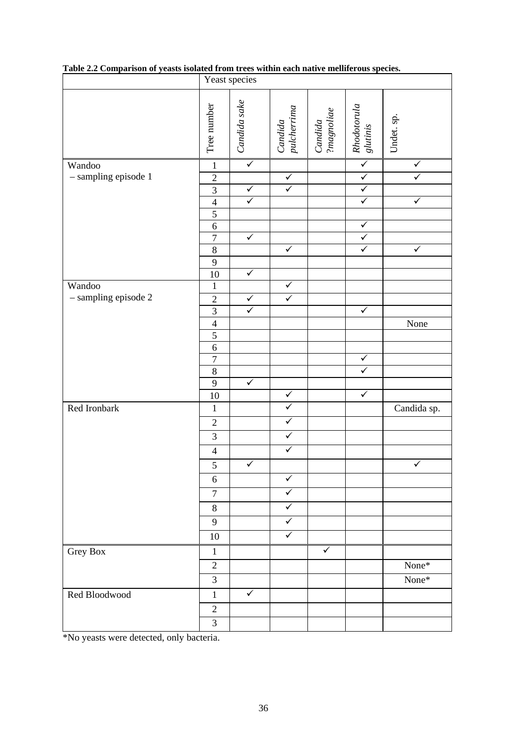|                      | Yeast species                    |              |                         |                       |                                         |                         |
|----------------------|----------------------------------|--------------|-------------------------|-----------------------|-----------------------------------------|-------------------------|
|                      | Tree number                      | Candida sake | Candida<br>pulcherrima  | Candida<br>?magnoliae | Rhodotorula<br>glutinis                 | Undet. sp.              |
| Wandoo               | $\mathbf{1}$                     | $\checkmark$ |                         |                       | $\checkmark$                            | $\checkmark$            |
| - sampling episode 1 | $\sqrt{2}$                       |              | $\checkmark$            |                       | $\checkmark$                            | ✓                       |
|                      | 3                                | $\checkmark$ | $\checkmark$            |                       | $\checkmark$                            |                         |
|                      | $\overline{4}$                   | $\checkmark$ |                         |                       | $\checkmark$                            | $\sqrt{}$               |
|                      | 5                                |              |                         |                       |                                         |                         |
|                      | 6                                | $\checkmark$ |                         |                       | $\checkmark$<br>$\overline{\checkmark}$ |                         |
|                      | $\overline{7}$<br>$\overline{8}$ |              | $\blacktriangledown$    |                       | $\overline{\checkmark}$                 | $\overline{\checkmark}$ |
|                      | 9                                |              |                         |                       |                                         |                         |
|                      | 10                               | $\checkmark$ |                         |                       |                                         |                         |
| Wandoo               | $\mathbf{1}$                     |              | $\checkmark$            |                       |                                         |                         |
| - sampling episode 2 | $\sqrt{2}$                       | $\checkmark$ | $\checkmark$            |                       |                                         |                         |
|                      | 3                                | $\checkmark$ |                         |                       | $\checkmark$                            |                         |
|                      | $\overline{4}$                   |              |                         |                       |                                         | None                    |
|                      | $\overline{5}$                   |              |                         |                       |                                         |                         |
|                      | $\sqrt{6}$                       |              |                         |                       |                                         |                         |
|                      | $\overline{7}$                   |              |                         |                       | $\checkmark$<br>$\overline{\checkmark}$ |                         |
|                      | $8\,$<br>9                       | $\sqrt{}$    |                         |                       |                                         |                         |
|                      | 10                               |              | $\checkmark$            |                       | $\checkmark$                            |                         |
| Red Ironbark         | $\mathbf{1}$                     |              | $\checkmark$            |                       |                                         | Candida sp.             |
|                      | $\overline{2}$                   |              | $\checkmark$            |                       |                                         |                         |
|                      | 3                                |              | $\checkmark$            |                       |                                         |                         |
|                      | $\overline{4}$                   |              | $\checkmark$            |                       |                                         |                         |
|                      | 5                                | $\checkmark$ |                         |                       |                                         | $\checkmark$            |
|                      | 6                                |              | $\checkmark$            |                       |                                         |                         |
|                      | $\boldsymbol{7}$                 |              | $\checkmark$            |                       |                                         |                         |
|                      | $8\,$                            |              | $\checkmark$            |                       |                                         |                         |
|                      | 9                                |              | $\overline{\checkmark}$ |                       |                                         |                         |
|                      | 10                               |              | $\checkmark$            |                       |                                         |                         |
| Grey Box             | $\mathbf 1$                      |              |                         | $\checkmark$          |                                         |                         |
|                      | $\overline{2}$                   |              |                         |                       |                                         | $\text{None*}$          |
|                      | 3                                |              |                         |                       |                                         | None*                   |
| Red Bloodwood        | $\mathbf{1}$                     | $\checkmark$ |                         |                       |                                         |                         |
|                      | $\overline{2}$                   |              |                         |                       |                                         |                         |
|                      | $\mathfrak{Z}$                   |              |                         |                       |                                         |                         |

# **Table 2.2 Comparison of yeasts isolated from trees within each native melliferous species.**

\*No yeasts were detected, only bacteria.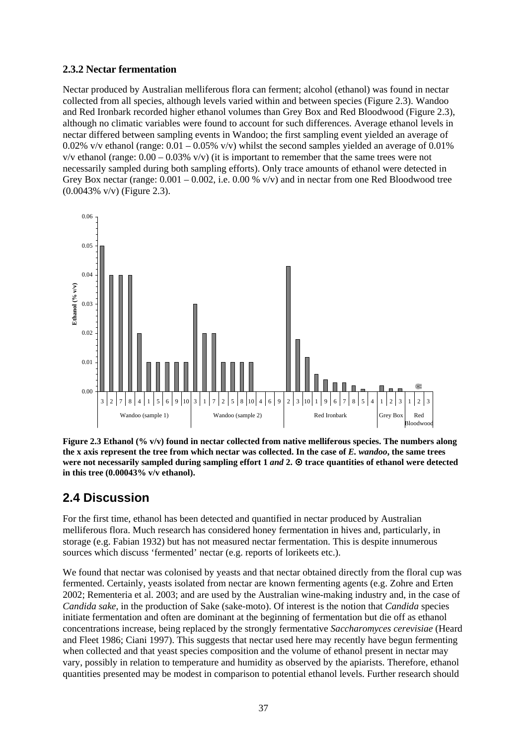#### **2.3.2 Nectar fermentation**

Nectar produced by Australian melliferous flora can ferment; alcohol (ethanol) was found in nectar collected from all species, although levels varied within and between species (Figure 2.3). Wandoo and Red Ironbark recorded higher ethanol volumes than Grey Box and Red Bloodwood (Figure 2.3), although no climatic variables were found to account for such differences. Average ethanol levels in nectar differed between sampling events in Wandoo; the first sampling event yielded an average of 0.02% v/v ethanol (range:  $0.01 - 0.05\%$  v/v) whilst the second samples yielded an average of 0.01%  $v/v$  ethanol (range:  $0.00 - 0.03\%$  v/v) (it is important to remember that the same trees were not necessarily sampled during both sampling efforts). Only trace amounts of ethanol were detected in Grey Box nectar (range:  $0.001 - 0.002$ , i.e.  $0.00\%$  v/v) and in nectar from one Red Bloodwood tree (0.0043% v/v) (Figure 2.3).



**Figure 2.3 Ethanol (% v/v) found in nectar collected from native melliferous species. The numbers along the x axis represent the tree from which nectar was collected. In the case of** *E. wandoo***, the same trees were not necessarily sampled during sampling effort 1** *and* **2.**  $\Theta$  **trace quantities of ethanol were detected in this tree (0.00043% v/v ethanol).** 

# **2.4 Discussion**

For the first time, ethanol has been detected and quantified in nectar produced by Australian melliferous flora. Much research has considered honey fermentation in hives and, particularly, in storage (e.g. Fabian 1932) but has not measured nectar fermentation. This is despite innumerous sources which discuss 'fermented' nectar (e.g. reports of lorikeets etc.).

We found that nectar was colonised by yeasts and that nectar obtained directly from the floral cup was fermented. Certainly, yeasts isolated from nectar are known fermenting agents (e.g. Zohre and Erten 2002; Rementeria et al. 2003; and are used by the Australian wine-making industry and, in the case of *Candida sake*, in the production of Sake (sake-moto). Of interest is the notion that *Candida* species initiate fermentation and often are dominant at the beginning of fermentation but die off as ethanol concentrations increase, being replaced by the strongly fermentative *Saccharomyces cerevisiae* (Heard and Fleet 1986; Ciani 1997). This suggests that nectar used here may recently have begun fermenting when collected and that yeast species composition and the volume of ethanol present in nectar may vary, possibly in relation to temperature and humidity as observed by the apiarists. Therefore, ethanol quantities presented may be modest in comparison to potential ethanol levels. Further research should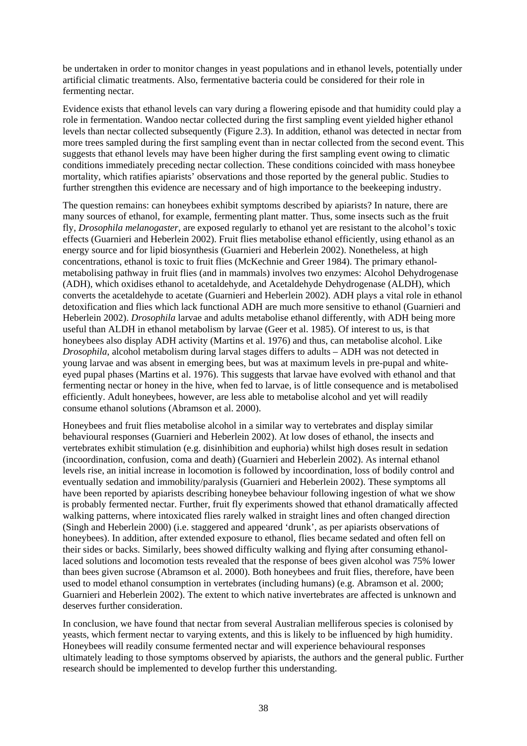be undertaken in order to monitor changes in yeast populations and in ethanol levels, potentially under artificial climatic treatments. Also, fermentative bacteria could be considered for their role in fermenting nectar.

Evidence exists that ethanol levels can vary during a flowering episode and that humidity could play a role in fermentation. Wandoo nectar collected during the first sampling event yielded higher ethanol levels than nectar collected subsequently (Figure 2.3). In addition, ethanol was detected in nectar from more trees sampled during the first sampling event than in nectar collected from the second event. This suggests that ethanol levels may have been higher during the first sampling event owing to climatic conditions immediately preceding nectar collection. These conditions coincided with mass honeybee mortality, which ratifies apiarists' observations and those reported by the general public. Studies to further strengthen this evidence are necessary and of high importance to the beekeeping industry.

The question remains: can honeybees exhibit symptoms described by apiarists? In nature, there are many sources of ethanol, for example, fermenting plant matter. Thus, some insects such as the fruit fly, *Drosophila melanogaster*, are exposed regularly to ethanol yet are resistant to the alcohol's toxic effects (Guarnieri and Heberlein 2002). Fruit flies metabolise ethanol efficiently, using ethanol as an energy source and for lipid biosynthesis (Guarnieri and Heberlein 2002). Nonetheless, at high concentrations, ethanol is toxic to fruit flies (McKechnie and Greer 1984). The primary ethanolmetabolising pathway in fruit flies (and in mammals) involves two enzymes: Alcohol Dehydrogenase (ADH), which oxidises ethanol to acetaldehyde, and Acetaldehyde Dehydrogenase (ALDH), which converts the acetaldehyde to acetate (Guarnieri and Heberlein 2002). ADH plays a vital role in ethanol detoxification and flies which lack functional ADH are much more sensitive to ethanol (Guarnieri and Heberlein 2002). *Drosophila* larvae and adults metabolise ethanol differently, with ADH being more useful than ALDH in ethanol metabolism by larvae (Geer et al. 1985). Of interest to us, is that honeybees also display ADH activity (Martins et al. 1976) and thus, can metabolise alcohol. Like *Drosophila*, alcohol metabolism during larval stages differs to adults – ADH was not detected in young larvae and was absent in emerging bees, but was at maximum levels in pre-pupal and whiteeyed pupal phases (Martins et al. 1976). This suggests that larvae have evolved with ethanol and that fermenting nectar or honey in the hive, when fed to larvae, is of little consequence and is metabolised efficiently. Adult honeybees, however, are less able to metabolise alcohol and yet will readily consume ethanol solutions (Abramson et al. 2000).

Honeybees and fruit flies metabolise alcohol in a similar way to vertebrates and display similar behavioural responses (Guarnieri and Heberlein 2002). At low doses of ethanol, the insects and vertebrates exhibit stimulation (e.g. disinhibition and euphoria) whilst high doses result in sedation (incoordination, confusion, coma and death) (Guarnieri and Heberlein 2002). As internal ethanol levels rise, an initial increase in locomotion is followed by incoordination, loss of bodily control and eventually sedation and immobility/paralysis (Guarnieri and Heberlein 2002). These symptoms all have been reported by apiarists describing honeybee behaviour following ingestion of what we show is probably fermented nectar. Further, fruit fly experiments showed that ethanol dramatically affected walking patterns, where intoxicated flies rarely walked in straight lines and often changed direction (Singh and Heberlein 2000) (i.e. staggered and appeared 'drunk', as per apiarists observations of honeybees). In addition, after extended exposure to ethanol, flies became sedated and often fell on their sides or backs. Similarly, bees showed difficulty walking and flying after consuming ethanollaced solutions and locomotion tests revealed that the response of bees given alcohol was 75% lower than bees given sucrose (Abramson et al. 2000). Both honeybees and fruit flies, therefore, have been used to model ethanol consumption in vertebrates (including humans) (e.g. Abramson et al. 2000; Guarnieri and Heberlein 2002). The extent to which native invertebrates are affected is unknown and deserves further consideration.

In conclusion, we have found that nectar from several Australian melliferous species is colonised by yeasts, which ferment nectar to varying extents, and this is likely to be influenced by high humidity. Honeybees will readily consume fermented nectar and will experience behavioural responses ultimately leading to those symptoms observed by apiarists, the authors and the general public. Further research should be implemented to develop further this understanding.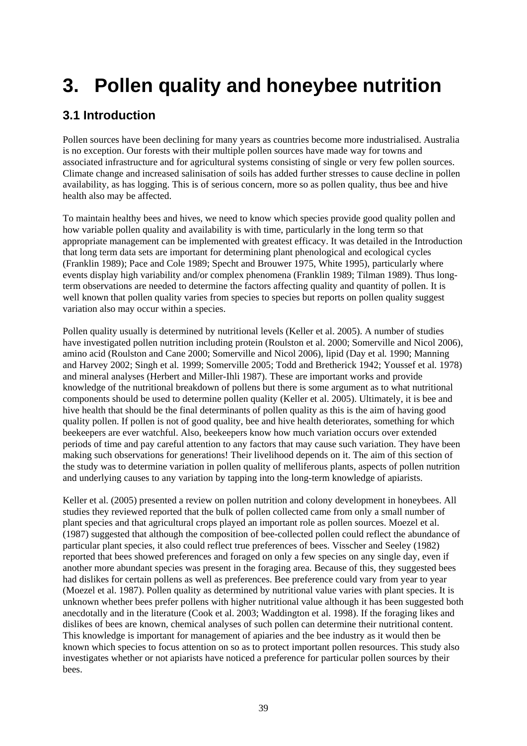# **3. Pollen quality and honeybee nutrition**

# **3.1 Introduction**

Pollen sources have been declining for many years as countries become more industrialised. Australia is no exception. Our forests with their multiple pollen sources have made way for towns and associated infrastructure and for agricultural systems consisting of single or very few pollen sources. Climate change and increased salinisation of soils has added further stresses to cause decline in pollen availability, as has logging. This is of serious concern, more so as pollen quality, thus bee and hive health also may be affected.

To maintain healthy bees and hives, we need to know which species provide good quality pollen and how variable pollen quality and availability is with time, particularly in the long term so that appropriate management can be implemented with greatest efficacy. It was detailed in the Introduction that long term data sets are important for determining plant phenological and ecological cycles (Franklin 1989); Pace and Cole 1989; Specht and Brouwer 1975, White 1995), particularly where events display high variability and/or complex phenomena (Franklin 1989; Tilman 1989). Thus longterm observations are needed to determine the factors affecting quality and quantity of pollen. It is well known that pollen quality varies from species to species but reports on pollen quality suggest variation also may occur within a species.

Pollen quality usually is determined by nutritional levels (Keller et al. 2005). A number of studies have investigated pollen nutrition including protein (Roulston et al. 2000; Somerville and Nicol 2006), amino acid (Roulston and Cane 2000; Somerville and Nicol 2006), lipid (Day et al*.* 1990; Manning and Harvey 2002; Singh et al*.* 1999; Somerville 2005; Todd and Bretherick 1942; Youssef et al*.* 1978) and mineral analyses (Herbert and Miller-Ihli 1987). These are important works and provide knowledge of the nutritional breakdown of pollens but there is some argument as to what nutritional components should be used to determine pollen quality (Keller et al. 2005). Ultimately, it is bee and hive health that should be the final determinants of pollen quality as this is the aim of having good quality pollen. If pollen is not of good quality, bee and hive health deteriorates, something for which beekeepers are ever watchful. Also, beekeepers know how much variation occurs over extended periods of time and pay careful attention to any factors that may cause such variation. They have been making such observations for generations! Their livelihood depends on it. The aim of this section of the study was to determine variation in pollen quality of melliferous plants, aspects of pollen nutrition and underlying causes to any variation by tapping into the long-term knowledge of apiarists.

Keller et al. (2005) presented a review on pollen nutrition and colony development in honeybees. All studies they reviewed reported that the bulk of pollen collected came from only a small number of plant species and that agricultural crops played an important role as pollen sources. Moezel et al. (1987) suggested that although the composition of bee-collected pollen could reflect the abundance of particular plant species, it also could reflect true preferences of bees. Visscher and Seeley (1982) reported that bees showed preferences and foraged on only a few species on any single day, even if another more abundant species was present in the foraging area. Because of this, they suggested bees had dislikes for certain pollens as well as preferences. Bee preference could vary from year to year (Moezel et al. 1987). Pollen quality as determined by nutritional value varies with plant species. It is unknown whether bees prefer pollens with higher nutritional value although it has been suggested both anecdotally and in the literature (Cook et al. 2003; Waddington et al. 1998). If the foraging likes and dislikes of bees are known, chemical analyses of such pollen can determine their nutritional content. This knowledge is important for management of apiaries and the bee industry as it would then be known which species to focus attention on so as to protect important pollen resources. This study also investigates whether or not apiarists have noticed a preference for particular pollen sources by their bees.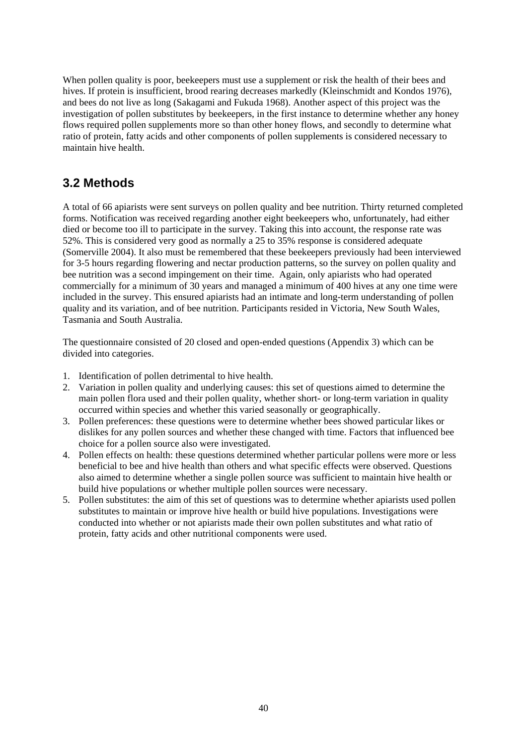When pollen quality is poor, beekeepers must use a supplement or risk the health of their bees and hives. If protein is insufficient, brood rearing decreases markedly (Kleinschmidt and Kondos 1976), and bees do not live as long (Sakagami and Fukuda 1968). Another aspect of this project was the investigation of pollen substitutes by beekeepers, in the first instance to determine whether any honey flows required pollen supplements more so than other honey flows, and secondly to determine what ratio of protein, fatty acids and other components of pollen supplements is considered necessary to maintain hive health.

# **3.2 Methods**

A total of 66 apiarists were sent surveys on pollen quality and bee nutrition. Thirty returned completed forms. Notification was received regarding another eight beekeepers who, unfortunately, had either died or become too ill to participate in the survey. Taking this into account, the response rate was 52%. This is considered very good as normally a 25 to 35% response is considered adequate (Somerville 2004). It also must be remembered that these beekeepers previously had been interviewed for 3-5 hours regarding flowering and nectar production patterns, so the survey on pollen quality and bee nutrition was a second impingement on their time. Again, only apiarists who had operated commercially for a minimum of 30 years and managed a minimum of 400 hives at any one time were included in the survey. This ensured apiarists had an intimate and long-term understanding of pollen quality and its variation, and of bee nutrition. Participants resided in Victoria, New South Wales, Tasmania and South Australia.

The questionnaire consisted of 20 closed and open-ended questions (Appendix 3) which can be divided into categories.

- 1. Identification of pollen detrimental to hive health.
- 2. Variation in pollen quality and underlying causes: this set of questions aimed to determine the main pollen flora used and their pollen quality, whether short- or long-term variation in quality occurred within species and whether this varied seasonally or geographically.
- 3. Pollen preferences: these questions were to determine whether bees showed particular likes or dislikes for any pollen sources and whether these changed with time. Factors that influenced bee choice for a pollen source also were investigated.
- 4. Pollen effects on health: these questions determined whether particular pollens were more or less beneficial to bee and hive health than others and what specific effects were observed. Questions also aimed to determine whether a single pollen source was sufficient to maintain hive health or build hive populations or whether multiple pollen sources were necessary.
- 5. Pollen substitutes: the aim of this set of questions was to determine whether apiarists used pollen substitutes to maintain or improve hive health or build hive populations. Investigations were conducted into whether or not apiarists made their own pollen substitutes and what ratio of protein, fatty acids and other nutritional components were used.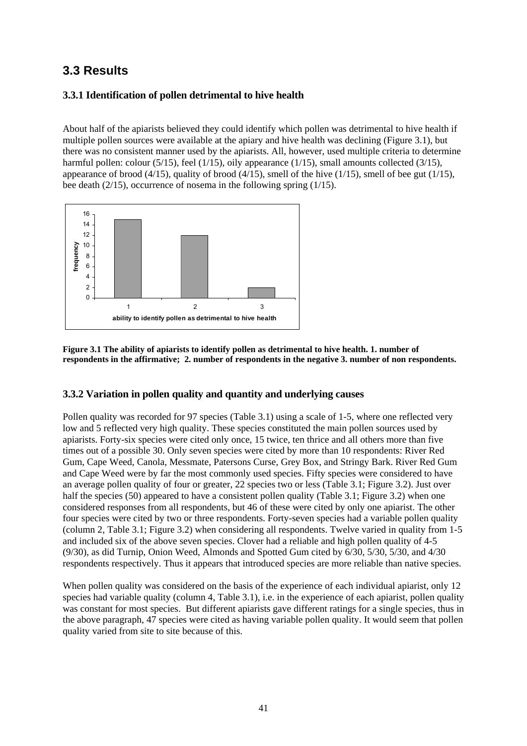# **3.3 Results**

# **3.3.1 Identification of pollen detrimental to hive health**

About half of the apiarists believed they could identify which pollen was detrimental to hive health if multiple pollen sources were available at the apiary and hive health was declining (Figure 3.1), but there was no consistent manner used by the apiarists. All, however, used multiple criteria to determine harmful pollen: colour (5/15), feel (1/15), oily appearance (1/15), small amounts collected (3/15), appearance of brood (4/15), quality of brood (4/15), smell of the hive (1/15), smell of bee gut (1/15), bee death (2/15), occurrence of nosema in the following spring (1/15).



**Figure 3.1 The ability of apiarists to identify pollen as detrimental to hive health. 1. number of respondents in the affirmative; 2. number of respondents in the negative 3. number of non respondents.** 

## **3.3.2 Variation in pollen quality and quantity and underlying causes**

Pollen quality was recorded for 97 species (Table 3.1) using a scale of 1-5, where one reflected very low and 5 reflected very high quality. These species constituted the main pollen sources used by apiarists. Forty-six species were cited only once, 15 twice, ten thrice and all others more than five times out of a possible 30. Only seven species were cited by more than 10 respondents: River Red Gum, Cape Weed, Canola, Messmate, Patersons Curse, Grey Box, and Stringy Bark. River Red Gum and Cape Weed were by far the most commonly used species. Fifty species were considered to have an average pollen quality of four or greater, 22 species two or less (Table 3.1; Figure 3.2). Just over half the species (50) appeared to have a consistent pollen quality (Table 3.1; Figure 3.2) when one considered responses from all respondents, but 46 of these were cited by only one apiarist. The other four species were cited by two or three respondents. Forty-seven species had a variable pollen quality (column 2, Table 3.1; Figure 3.2) when considering all respondents. Twelve varied in quality from 1-5 and included six of the above seven species. Clover had a reliable and high pollen quality of 4-5 (9/30), as did Turnip, Onion Weed, Almonds and Spotted Gum cited by 6/30, 5/30, 5/30, and 4/30 respondents respectively. Thus it appears that introduced species are more reliable than native species.

When pollen quality was considered on the basis of the experience of each individual apiarist, only 12 species had variable quality (column 4, Table 3.1), i.e. in the experience of each apiarist, pollen quality was constant for most species. But different apiarists gave different ratings for a single species, thus in the above paragraph, 47 species were cited as having variable pollen quality. It would seem that pollen quality varied from site to site because of this.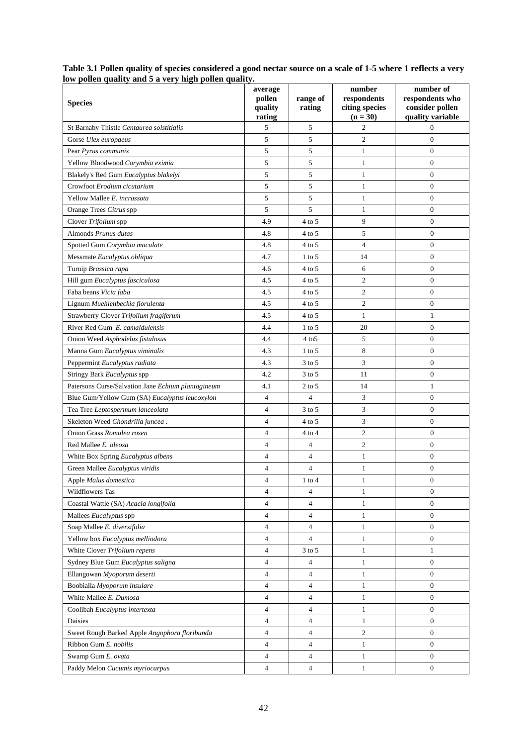| row polich quality and $\sigma$ a very high polich quality.<br><b>Species</b> | average<br>pollen<br>quality<br>rating | range of<br>rating | number<br>respondents<br>citing species<br>$(n = 30)$ | number of<br>respondents who<br>consider pollen<br>quality variable |
|-------------------------------------------------------------------------------|----------------------------------------|--------------------|-------------------------------------------------------|---------------------------------------------------------------------|
| St Barnaby Thistle Centaurea solstitialis                                     | 5                                      | 5                  | $\overline{2}$                                        | 0                                                                   |
| Gorse Ulex europaeus                                                          | 5                                      | 5                  | $\sqrt{2}$                                            | $\mathbf{0}$                                                        |
| Pear Pyrus communis                                                           | 5                                      | 5                  | $\mathbf{1}$                                          | $\mathbf{0}$                                                        |
| Yellow Bloodwood Corymbia eximia                                              | 5                                      | 5                  | $\mathbf{1}$                                          | $\mathbf{0}$                                                        |
| Blakely's Red Gum Eucalyptus blakelyi                                         | 5                                      | 5                  | $\mathbf{1}$                                          | $\mathbf{0}$                                                        |
| Crowfoot Erodium cicutarium                                                   | 5                                      | 5                  | $\mathbf{1}$                                          | $\mathbf{0}$                                                        |
| Yellow Mallee E. incrassata                                                   | 5                                      | 5                  | $\mathbf{1}$                                          | $\mathbf{0}$                                                        |
| Orange Trees Citrus spp                                                       | 5                                      | 5                  | $\mathbf{1}$                                          | $\mathbf{0}$                                                        |
| Clover Trifolium spp                                                          | 4.9                                    | $4$ to 5           | 9                                                     | $\mathbf{0}$                                                        |
| Almonds Prunus dutas                                                          | 4.8                                    | $4$ to 5           | 5                                                     | $\mathbf{0}$                                                        |
| Spotted Gum Corymbia maculate                                                 | 4.8                                    | $4$ to 5           | $\overline{4}$                                        | $\mathbf{0}$                                                        |
| Messmate Eucalyptus obliqua                                                   | 4.7                                    | $1$ to 5           | 14                                                    | $\mathbf{0}$                                                        |
| Turnip Brassica rapa                                                          | 4.6                                    | $4$ to 5           | 6                                                     | $\overline{0}$                                                      |
| Hill gum Eucalyptus fasciculosa                                               | 4.5                                    | $4$ to 5           | $\mathbf{2}$                                          | $\mathbf{0}$                                                        |
| Faba beans Vicia faba                                                         | 4.5                                    | $4$ to 5           | $\sqrt{2}$                                            | $\mathbf{0}$                                                        |
| Lignum Muehlenbeckia florulenta                                               | 4.5                                    | $4$ to 5           | $\mathbf{2}$                                          | $\mathbf{0}$                                                        |
| Strawberry Clover Trifolium fragiferum                                        | 4.5                                    | $4$ to 5           | $\mathbf{1}$                                          | 1                                                                   |
| River Red Gum E. camaldulensis                                                | 4.4                                    | $1$ to 5           | 20                                                    | $\mathbf{0}$                                                        |
| Onion Weed Asphodelus fistulosus                                              | 4.4                                    | $4$ to $5$         | 5                                                     | $\mathbf{0}$                                                        |
| Manna Gum Eucalyptus viminalis                                                | 4.3                                    | $1$ to 5           | 8                                                     | $\mathbf{0}$                                                        |
| Peppermint Eucalyptus radiata                                                 | 4.3                                    | $3$ to $5$         | 3                                                     | $\mathbf{0}$                                                        |
| Stringy Bark Eucalyptus spp                                                   | 4.2                                    | $3$ to $5$         | 11                                                    | $\theta$                                                            |
| Patersons Curse/Salvation Jane Echium plantagineum                            | 4.1                                    | $2$ to 5           | 14                                                    | $\mathbf{1}$                                                        |
| Blue Gum/Yellow Gum (SA) Eucalyptus leucoxylon                                | $\overline{4}$                         | $\overline{4}$     | $\mathfrak{Z}$                                        | $\mathbf{0}$                                                        |
| Tea Tree Leptospermum lanceolata                                              | $\overline{4}$                         | $3$ to $5$         | 3                                                     | $\mathbf{0}$                                                        |
| Skeleton Weed Chondrilla juncea.                                              | $\overline{4}$                         | $4$ to 5           | 3                                                     | $\mathbf{0}$                                                        |
| Onion Grass Romulea rosea                                                     | $\overline{4}$                         | $4$ to $4$         | $\overline{2}$                                        | $\mathbf{0}$                                                        |
| Red Mallee E. oleosa                                                          | $\overline{4}$                         | 4                  | $\sqrt{2}$                                            | $\mathbf{0}$                                                        |
| White Box Spring Eucalyptus albens                                            | 4                                      | $\overline{4}$     | $\mathbf{1}$                                          | $\mathbf{0}$                                                        |
| Green Mallee Eucalyptus viridis                                               | $\overline{4}$                         | $\overline{4}$     | $\mathbf{1}$                                          | $\mathbf{0}$                                                        |
| Apple Malus domestica                                                         | 4                                      | $1$ to $4$         | $\mathbf{1}$                                          | $\boldsymbol{0}$                                                    |
| <b>Wildflowers Tas</b>                                                        | 4                                      | $\overline{4}$     | 1                                                     | $\overline{0}$                                                      |
| Coastal Wattle (SA) Acacia longifolia                                         | $\overline{4}$                         | $\overline{4}$     | $\mathbf{1}$                                          | $\mathbf{0}$                                                        |
| Mallees Eucalyptus spp                                                        | 4                                      | $\overline{4}$     | $\mathbf{1}$                                          | $\mathbf{0}$                                                        |
| Soap Mallee E. diversifolia                                                   | $\overline{4}$                         | $\overline{4}$     | $\mathbf{1}$                                          | $\mathbf{0}$                                                        |
| Yellow box Eucalyptus melliodora                                              | 4                                      | $\overline{4}$     | $\mathbf{1}$                                          | $\mathbf{0}$                                                        |
| White Clover Trifolium repens                                                 | $\overline{4}$                         | $3$ to $5\,$       | $\mathbf{1}$                                          | $\mathbf{1}$                                                        |
| Sydney Blue Gum Eucalyptus saligna                                            | $\overline{4}$                         | $\overline{4}$     | $\mathbf{1}$                                          | $\mathbf{0}$                                                        |
| Ellangowan Myoporum deserti                                                   | 4                                      | $\overline{4}$     | $\mathbf{1}$                                          | $\mathbf{0}$                                                        |
| Boobialla Myoporum insulare                                                   | 4                                      | $\overline{4}$     | $\mathbf{1}$                                          | $\mathbf{0}$                                                        |
| White Mallee E. Dumosa                                                        | 4                                      | $\overline{4}$     | $\mathbf{1}$                                          | $\mathbf{0}$                                                        |
| Coolibah Eucalyptus intertexta                                                | 4                                      | $\overline{4}$     | $\mathbf{1}$                                          | $\mathbf{0}$                                                        |
| Daisies                                                                       | $\overline{4}$                         | $\overline{4}$     | $\mathbf{1}$                                          | $\theta$                                                            |
| Sweet Rough Barked Apple Angophora floribunda                                 | $\overline{4}$                         | $\overline{4}$     | 2                                                     | $\mathbf{0}$                                                        |
| Ribbon Gum E. nobilis                                                         | 4                                      | 4                  | $\mathbf{1}$                                          | $\mathbf{0}$                                                        |
| Swamp Gum E. ovata                                                            | $\overline{4}$                         | $\overline{4}$     | $\mathbf{1}$                                          | $\mathbf{0}$                                                        |
| Paddy Melon Cucumis myriocarpus                                               | 4                                      | $\overline{4}$     | $\mathbf{1}$                                          | $\mathbf{0}$                                                        |

**Table 3.1 Pollen quality of species considered a good nectar source on a scale of 1-5 where 1 reflects a very low pollen quality and 5 a very high pollen quality.**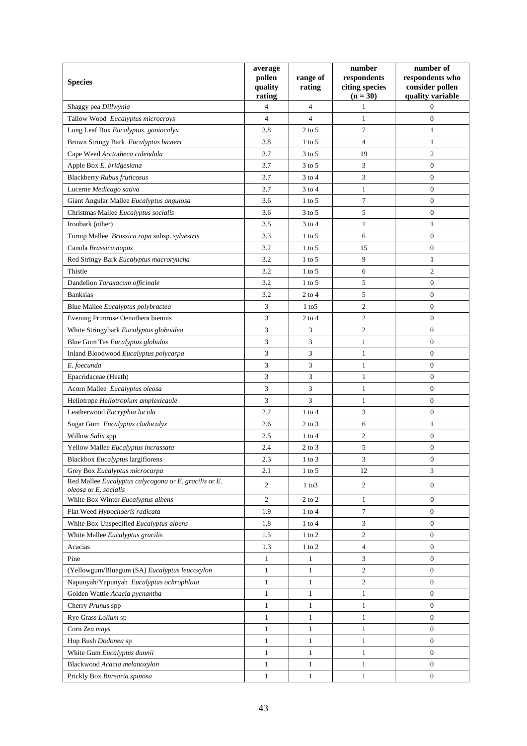| <b>Species</b>                                                                 | average<br>pollen<br>quality<br>rating | range of<br>rating      | number<br>respondents<br>citing species<br>$(n = 30)$ | number of<br>respondents who<br>consider pollen<br>quality variable |
|--------------------------------------------------------------------------------|----------------------------------------|-------------------------|-------------------------------------------------------|---------------------------------------------------------------------|
| Shaggy pea Dillwynia                                                           | 4                                      | 4                       | 1                                                     | $\Omega$                                                            |
| Tallow Wood Eucalyptus microcroys                                              | $\overline{4}$                         | $\overline{\mathbf{4}}$ | $\mathbf{1}$                                          | $\mathbf{0}$                                                        |
| Long Leaf Box Eucalyptus. goniocalyx                                           | 3.8                                    | $2$ to 5                | $\tau$                                                | 1                                                                   |
| Brown Stringy Bark Eucalyptus baxteri                                          | 3.8                                    | $1$ to 5                | $\overline{4}$                                        | 1                                                                   |
| Cape Weed Arctotheca calendula                                                 | 3.7                                    | $3$ to $5$              | 19                                                    | $\boldsymbol{2}$                                                    |
| Apple Box E. bridgesiana                                                       | 3.7                                    | $3$ to $5$              | 3                                                     | $\overline{0}$                                                      |
| <b>Blackberry Rubus fruticosus</b>                                             | 3.7                                    | 3 to 4                  | 3                                                     | 0                                                                   |
| Lucerne Medicago sativa                                                        | 3.7                                    | $3$ to $4$              | $\mathbf{1}$                                          | $\boldsymbol{0}$                                                    |
| Giant Angular Mallee Eucalyptus angulosa                                       | 3.6                                    | $1$ to 5                | $\tau$                                                | $\boldsymbol{0}$                                                    |
| Christmas Mallee Eucalyptus socialis                                           | 3.6                                    | $3$ to $5$              | 5                                                     | $\mathbf{0}$                                                        |
| Ironbark (other)                                                               | 3.5                                    | $3$ to 4                | $\mathbf{1}$                                          | $\mathbf{1}$                                                        |
| Turnip Mallee Brassica rapa subsp. sylvestris                                  | 3.3                                    | $1$ to $5$              | 6                                                     | $\mathbf{0}$                                                        |
| Canola Brassica napus                                                          | 3.2                                    | $1$ to 5                | 15                                                    | $\boldsymbol{0}$                                                    |
| Red Stringy Bark Eucalyptus macroryncha                                        | 3.2                                    | $1$ to 5                | 9                                                     | $\mathbf{1}$                                                        |
| Thistle                                                                        | 3.2                                    | $1$ to 5                | 6                                                     | $\mathfrak{2}$                                                      |
| Dandelion Taraxacum officinale                                                 | 3.2                                    | $1$ to 5                | 5                                                     | $\boldsymbol{0}$                                                    |
| <b>Banksias</b>                                                                | 3.2                                    | $2$ to $4$              | 5                                                     | $\boldsymbol{0}$                                                    |
| Blue Mallee Eucalyptus polybractea                                             | 3                                      | $1$ to $5$              | $\overline{c}$                                        | $\boldsymbol{0}$                                                    |
| Evening Primrose Oenothera biennis                                             | 3                                      | $2$ to $4$              | $\boldsymbol{2}$                                      | $\overline{0}$                                                      |
| White Stringybark Eucalyptus globoidea                                         | 3                                      | 3                       | $\mathfrak{2}$                                        | $\boldsymbol{0}$                                                    |
| Blue Gum Tas Eucalyptus globulus                                               | 3                                      | 3                       | $\mathbf{1}$                                          | $\overline{0}$                                                      |
| Inland Bloodwood Eucalyptus polycarpa                                          | 3                                      | 3                       | $\mathbf{1}$                                          | $\mathbf{0}$                                                        |
| E. foecunda                                                                    | 3                                      | 3                       | $\mathbf{1}$                                          | $\mathbf{0}$                                                        |
| Epacridaceae (Heath)                                                           | 3                                      | 3                       | $\mathbf{1}$                                          | $\theta$                                                            |
| Acorn Mallee Eucalyptus oleosa                                                 | 3                                      | 3                       | $\mathbf{1}$                                          | $\overline{0}$                                                      |
| Heliotrope Heliotropium amplexicaule                                           | 3                                      | 3                       | $\mathbf{1}$                                          | 0                                                                   |
| Leatherwood Eucryphia lucida                                                   | 2.7                                    | $1$ to $4$              | 3                                                     | $\boldsymbol{0}$                                                    |
| Sugar Gum Eucalyptus cladocalyx                                                | 2.6                                    | $2$ to $3$              | 6                                                     | 1                                                                   |
| Willow Salix spp                                                               | 2.5                                    | $1$ to $4$              | $\mathbf{2}$                                          | $\boldsymbol{0}$                                                    |
| Yellow Mallee Eucalyptus incrassata                                            | 2.4                                    | $2$ to $3$              | 5                                                     | $\boldsymbol{0}$                                                    |
| Blackbox Eucalyptus largiflorens                                               | 2.3                                    | $1$ to $3$              | 3                                                     | $\boldsymbol{0}$                                                    |
| Grey Box Eucalyptus microcarpa                                                 | 2.1                                    | $1$ to 5                | 12                                                    | 3                                                                   |
| Red Mallee Eucalyptus calycogona or E. gracilis or E.<br>oleosa or E. socialis | 2                                      | 1 to 3                  | $\overline{c}$                                        | $\boldsymbol{0}$                                                    |
| White Box Winter Eucalyptus albens                                             | $\mathbf{2}$                           | $2$ to $2$              | $\mathbf{1}$                                          | $\overline{0}$                                                      |
| Flat Weed Hypochoeris radicata                                                 | 1.9                                    | $1$ to $4$              | 7                                                     | $\boldsymbol{0}$                                                    |
| White Box Unspecified Eucalyptus albens                                        | 1.8                                    | $1$ to $4$              | 3                                                     | $\overline{0}$                                                      |
| White Mallee Eucalyptus gracilis                                               | 1.5                                    | $1$ to $2$              | $\overline{c}$                                        | $\boldsymbol{0}$                                                    |
| Acacias                                                                        | 1.3                                    | $1$ to $2$              | $\overline{4}$                                        | $\boldsymbol{0}$                                                    |
| Pine                                                                           | $\mathbf{1}$                           | $\mathbf{1}$            | 3                                                     | $\mathbf{0}$                                                        |
| (Yellowgum/Bluegum (SA) Eucalyptus leucoxylon                                  | 1                                      | $\mathbf{1}$            | $\overline{c}$                                        | $\boldsymbol{0}$                                                    |
| Napunyah/Yapunyah Eucalyptus ochrophloia                                       | $\mathbf{1}$                           | $\mathbf{1}$            | $\mathfrak{2}$                                        | $\overline{0}$                                                      |
| Golden Wattle Acacia pycnantha                                                 | $\mathbf{1}$                           | $\mathbf{1}$            | $\mathbf{1}$                                          | $\boldsymbol{0}$                                                    |
| Cherry Prunus spp                                                              | $\mathbf{1}$                           | $\mathbf{1}$            | $\mathbf{1}$                                          | 0                                                                   |
| Rye Grass Lolium sp                                                            | $\mathbf{1}$                           | $\mathbf{1}$            | $\mathbf{1}$                                          | $\boldsymbol{0}$                                                    |
| Corn Zea mays                                                                  | 1                                      | $\mathbf{1}$            | $\mathbf{1}$                                          | 0                                                                   |
| Hop Bush Dodonea sp                                                            | $\mathbf{1}$                           | $\mathbf{1}$            | $\mathbf{1}$                                          | 0                                                                   |
| White Gum Eucalyptus dunnii                                                    | $\mathbf{1}$                           | $\mathbf{1}$            | $\mathbf{1}$                                          | 0                                                                   |
| Blackwood Acacia melanoxylon                                                   | $\mathbf{1}$                           | $\mathbf{1}$            | $\mathbf{1}$                                          | $\boldsymbol{0}$                                                    |
| Prickly Box Bursaria spinosa                                                   | $\mathbf{1}$                           | $\mathbf{1}$            | $\mathbf{1}$                                          | $\boldsymbol{0}$                                                    |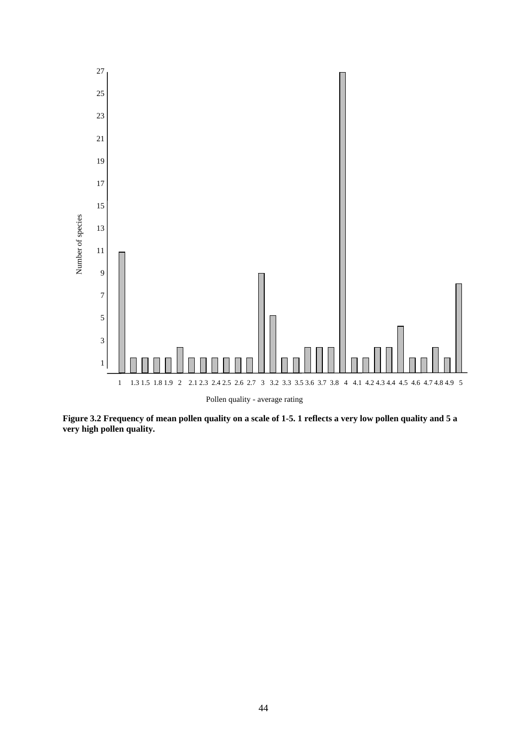

**Figure 3.2 Frequency of mean pollen quality on a scale of 1-5. 1 reflects a very low pollen quality and 5 a very high pollen quality.**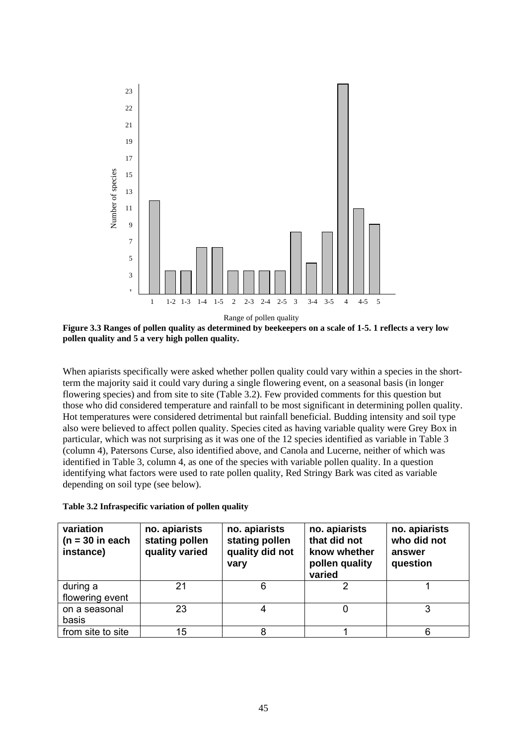

**Figure 3.3 Ranges of pollen quality as determined by beekeepers on a scale of 1-5. 1 reflects a very low pollen quality and 5 a very high pollen quality.** 

When apiarists specifically were asked whether pollen quality could vary within a species in the shortterm the majority said it could vary during a single flowering event, on a seasonal basis (in longer flowering species) and from site to site (Table 3.2). Few provided comments for this question but those who did considered temperature and rainfall to be most significant in determining pollen quality. Hot temperatures were considered detrimental but rainfall beneficial. Budding intensity and soil type also were believed to affect pollen quality. Species cited as having variable quality were Grey Box in particular, which was not surprising as it was one of the 12 species identified as variable in Table 3 (column 4), Patersons Curse, also identified above, and Canola and Lucerne, neither of which was identified in Table 3, column 4, as one of the species with variable pollen quality. In a question identifying what factors were used to rate pollen quality, Red Stringy Bark was cited as variable depending on soil type (see below).

**Table 3.2 Infraspecific variation of pollen quality** 

| variation<br>$(n = 30$ in each<br>instance) | no. apiarists<br>stating pollen<br>quality varied | no. apiarists<br>stating pollen<br>quality did not<br>vary | no. apiarists<br>that did not<br>know whether<br>pollen quality<br>varied | no. apiarists<br>who did not<br>answer<br>question |
|---------------------------------------------|---------------------------------------------------|------------------------------------------------------------|---------------------------------------------------------------------------|----------------------------------------------------|
| during a<br>flowering event                 | 21                                                |                                                            |                                                                           |                                                    |
| on a seasonal<br>basis                      | 23                                                |                                                            |                                                                           |                                                    |
| from site to site                           | 15                                                |                                                            |                                                                           |                                                    |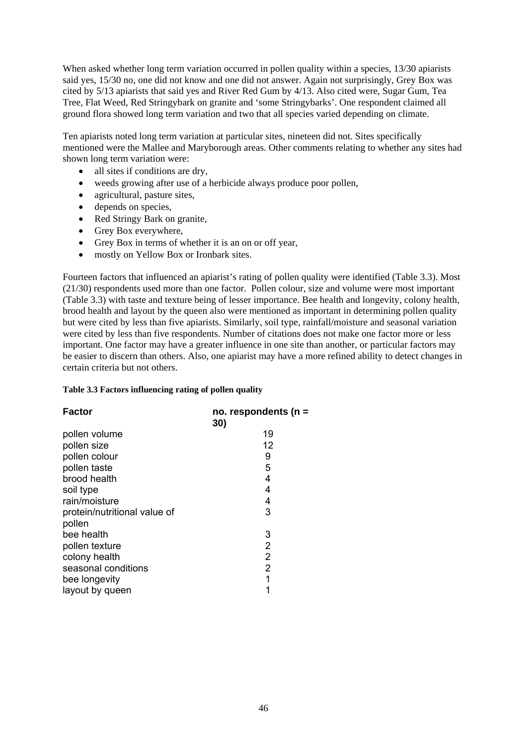When asked whether long term variation occurred in pollen quality within a species, 13/30 apiarists said yes, 15/30 no, one did not know and one did not answer. Again not surprisingly, Grey Box was cited by 5/13 apiarists that said yes and River Red Gum by 4/13. Also cited were, Sugar Gum, Tea Tree, Flat Weed, Red Stringybark on granite and 'some Stringybarks'. One respondent claimed all ground flora showed long term variation and two that all species varied depending on climate.

Ten apiarists noted long term variation at particular sites, nineteen did not. Sites specifically mentioned were the Mallee and Maryborough areas. Other comments relating to whether any sites had shown long term variation were:

- all sites if conditions are dry,
- weeds growing after use of a herbicide always produce poor pollen,
- agricultural, pasture sites,
- depends on species,
- Red Stringy Bark on granite,
- Grey Box everywhere,
- Grey Box in terms of whether it is an on or off year,
- mostly on Yellow Box or Ironbark sites.

Fourteen factors that influenced an apiarist's rating of pollen quality were identified (Table 3.3). Most (21/30) respondents used more than one factor. Pollen colour, size and volume were most important (Table 3.3) with taste and texture being of lesser importance. Bee health and longevity, colony health, brood health and layout by the queen also were mentioned as important in determining pollen quality but were cited by less than five apiarists. Similarly, soil type, rainfall/moisture and seasonal variation were cited by less than five respondents. Number of citations does not make one factor more or less important. One factor may have a greater influence in one site than another, or particular factors may be easier to discern than others. Also, one apiarist may have a more refined ability to detect changes in certain criteria but not others.

#### **Table 3.3 Factors influencing rating of pollen quality**

| <b>Factor</b>                | no. respondents ( $n =$ |
|------------------------------|-------------------------|
|                              | 30)                     |
| pollen volume                | 19                      |
| pollen size                  | 12                      |
| pollen colour                | 9                       |
| pollen taste                 | 5                       |
| brood health                 | 4                       |
| soil type                    | 4                       |
| rain/moisture                | 4                       |
| protein/nutritional value of | 3                       |
| pollen                       |                         |
| bee health                   | 3                       |
| pollen texture               | $\overline{2}$          |
| colony health                | $\overline{2}$          |
| seasonal conditions          | $\overline{2}$          |
| bee longevity                | 1                       |
| layout by queen              |                         |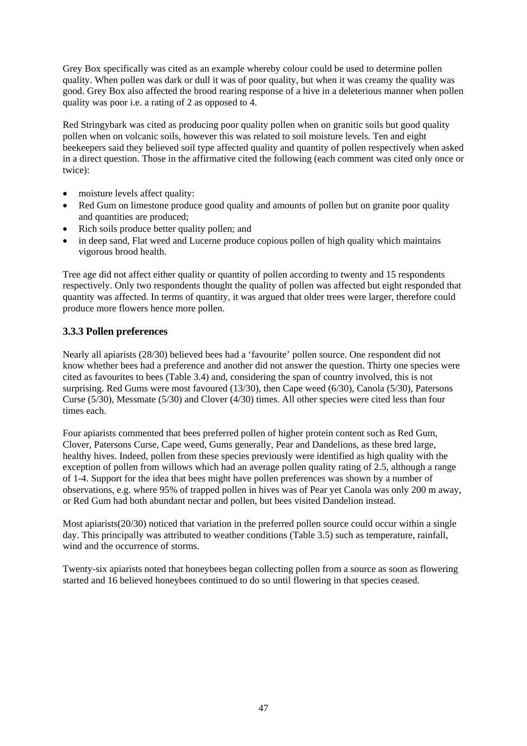Grey Box specifically was cited as an example whereby colour could be used to determine pollen quality. When pollen was dark or dull it was of poor quality, but when it was creamy the quality was good. Grey Box also affected the brood rearing response of a hive in a deleterious manner when pollen quality was poor i.e. a rating of 2 as opposed to 4.

Red Stringybark was cited as producing poor quality pollen when on granitic soils but good quality pollen when on volcanic soils, however this was related to soil moisture levels. Ten and eight beekeepers said they believed soil type affected quality and quantity of pollen respectively when asked in a direct question. Those in the affirmative cited the following (each comment was cited only once or twice):

- moisture levels affect quality:
- Red Gum on limestone produce good quality and amounts of pollen but on granite poor quality and quantities are produced;
- Rich soils produce better quality pollen; and
- in deep sand, Flat weed and Lucerne produce copious pollen of high quality which maintains vigorous brood health.

Tree age did not affect either quality or quantity of pollen according to twenty and 15 respondents respectively. Only two respondents thought the quality of pollen was affected but eight responded that quantity was affected. In terms of quantity, it was argued that older trees were larger, therefore could produce more flowers hence more pollen.

## **3.3.3 Pollen preferences**

Nearly all apiarists (28/30) believed bees had a 'favourite' pollen source. One respondent did not know whether bees had a preference and another did not answer the question. Thirty one species were cited as favourites to bees (Table 3.4) and, considering the span of country involved, this is not surprising. Red Gums were most favoured (13/30), then Cape weed (6/30), Canola (5/30), Patersons Curse (5/30), Messmate (5/30) and Clover (4/30) times. All other species were cited less than four times each.

Four apiarists commented that bees preferred pollen of higher protein content such as Red Gum, Clover, Patersons Curse, Cape weed, Gums generally, Pear and Dandelions, as these bred large, healthy hives. Indeed, pollen from these species previously were identified as high quality with the exception of pollen from willows which had an average pollen quality rating of 2.5, although a range of 1-4. Support for the idea that bees might have pollen preferences was shown by a number of observations, e.g. where 95% of trapped pollen in hives was of Pear yet Canola was only 200 m away, or Red Gum had both abundant nectar and pollen, but bees visited Dandelion instead.

Most apiarists(20/30) noticed that variation in the preferred pollen source could occur within a single day. This principally was attributed to weather conditions (Table 3.5) such as temperature, rainfall, wind and the occurrence of storms.

Twenty-six apiarists noted that honeybees began collecting pollen from a source as soon as flowering started and 16 believed honeybees continued to do so until flowering in that species ceased.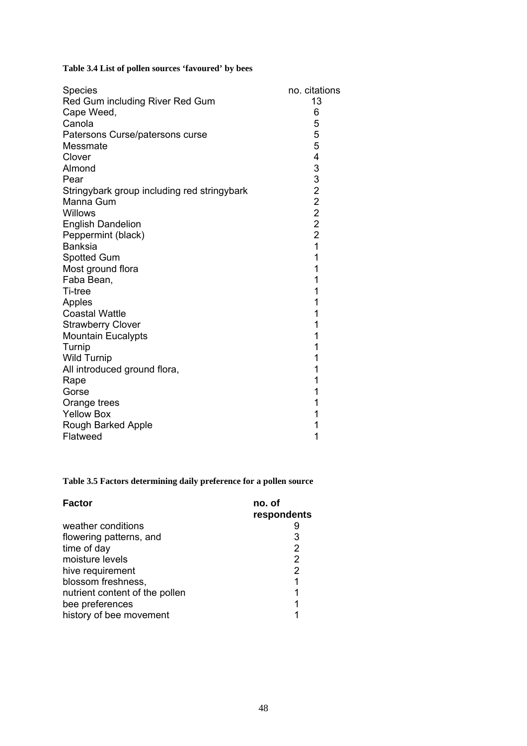# **Table 3.4 List of pollen sources 'favoured' by bees**

| <b>Species</b>                              | no. citations  |
|---------------------------------------------|----------------|
| Red Gum including River Red Gum             | 13             |
| Cape Weed,                                  | 6              |
| Canola                                      | 5              |
| Patersons Curse/patersons curse             | 5              |
| Messmate                                    | 5              |
| Clover                                      |                |
| Almond                                      |                |
| Pear                                        |                |
| Stringybark group including red stringybark |                |
| Manna Gum                                   |                |
| Willows                                     |                |
| <b>English Dandelion</b>                    | 43322222       |
| Peppermint (black)                          |                |
| <b>Banksia</b>                              | $\overline{1}$ |
| Spotted Gum                                 | 1              |
| Most ground flora                           | 1              |
| Faba Bean,                                  | 1              |
| Ti-tree                                     | 1              |
| Apples                                      | 1              |
| <b>Coastal Wattle</b>                       | 1              |
| <b>Strawberry Clover</b>                    | 1              |
| <b>Mountain Eucalypts</b>                   | 1              |
| Turnip                                      | 1              |
| <b>Wild Turnip</b>                          | 1              |
| All introduced ground flora,                | 1              |
| Rape                                        | 1              |
| Gorse                                       | 1              |
| Orange trees                                | 1              |
| <b>Yellow Box</b>                           |                |
| Rough Barked Apple                          | 1              |
| Flatweed                                    | 1              |

# **Table 3.5 Factors determining daily preference for a pollen source**

| <b>Factor</b>                  | no. of      |
|--------------------------------|-------------|
|                                | respondents |
| weather conditions             |             |
| flowering patterns, and        | 3           |
| time of day                    | 2           |
| moisture levels                | 2           |
| hive requirement               | 2           |
| blossom freshness,             |             |
| nutrient content of the pollen |             |
| bee preferences                |             |
| history of bee movement        |             |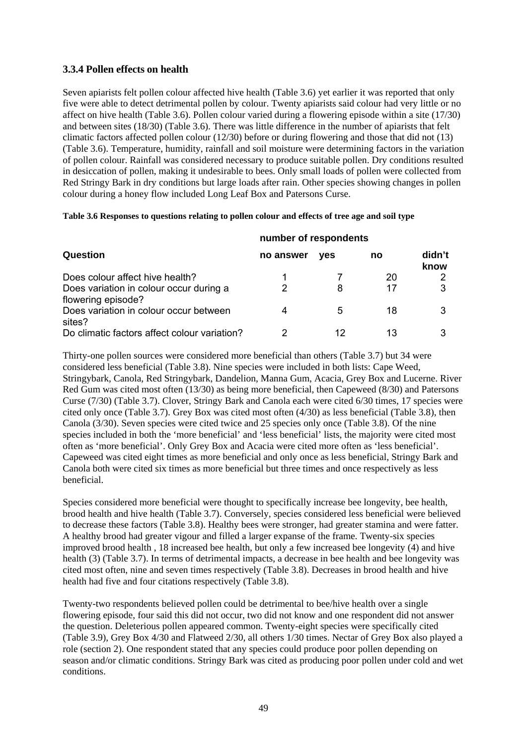### **3.3.4 Pollen effects on health**

Seven apiarists felt pollen colour affected hive health (Table 3.6) yet earlier it was reported that only five were able to detect detrimental pollen by colour. Twenty apiarists said colour had very little or no affect on hive health (Table 3.6). Pollen colour varied during a flowering episode within a site (17/30) and between sites (18/30) (Table 3.6). There was little difference in the number of apiarists that felt climatic factors affected pollen colour (12/30) before or during flowering and those that did not (13) (Table 3.6). Temperature, humidity, rainfall and soil moisture were determining factors in the variation of pollen colour. Rainfall was considered necessary to produce suitable pollen. Dry conditions resulted in desiccation of pollen, making it undesirable to bees. Only small loads of pollen were collected from Red Stringy Bark in dry conditions but large loads after rain. Other species showing changes in pollen colour during a honey flow included Long Leaf Box and Patersons Curse.

#### **Table 3.6 Responses to questions relating to pollen colour and effects of tree age and soil type**

|                                                               | number of respondents |            |    |                |  |
|---------------------------------------------------------------|-----------------------|------------|----|----------------|--|
| Question                                                      | no answer             | <b>ves</b> | no | didn't<br>know |  |
| Does colour affect hive health?                               |                       |            | 20 |                |  |
| Does variation in colour occur during a<br>flowering episode? |                       | 8          | 17 |                |  |
| Does variation in colour occur between<br>sites?              | 4                     | 5          | 18 |                |  |
| Do climatic factors affect colour variation?                  |                       | 12         | 13 |                |  |

Thirty-one pollen sources were considered more beneficial than others (Table 3.7) but 34 were considered less beneficial (Table 3.8). Nine species were included in both lists: Cape Weed, Stringybark, Canola, Red Stringybark, Dandelion, Manna Gum, Acacia, Grey Box and Lucerne. River Red Gum was cited most often (13/30) as being more beneficial, then Capeweed (8/30) and Patersons Curse (7/30) (Table 3.7). Clover, Stringy Bark and Canola each were cited 6/30 times, 17 species were cited only once (Table 3.7). Grey Box was cited most often (4/30) as less beneficial (Table 3.8), then Canola (3/30). Seven species were cited twice and 25 species only once (Table 3.8). Of the nine species included in both the 'more beneficial' and 'less beneficial' lists, the majority were cited most often as 'more beneficial'. Only Grey Box and Acacia were cited more often as 'less beneficial'. Capeweed was cited eight times as more beneficial and only once as less beneficial, Stringy Bark and Canola both were cited six times as more beneficial but three times and once respectively as less beneficial.

Species considered more beneficial were thought to specifically increase bee longevity, bee health, brood health and hive health (Table 3.7). Conversely, species considered less beneficial were believed to decrease these factors (Table 3.8). Healthy bees were stronger, had greater stamina and were fatter. A healthy brood had greater vigour and filled a larger expanse of the frame. Twenty-six species improved brood health , 18 increased bee health, but only a few increased bee longevity (4) and hive health (3) (Table 3.7). In terms of detrimental impacts, a decrease in bee health and bee longevity was cited most often, nine and seven times respectively (Table 3.8). Decreases in brood health and hive health had five and four citations respectively (Table 3.8).

Twenty-two respondents believed pollen could be detrimental to bee/hive health over a single flowering episode, four said this did not occur, two did not know and one respondent did not answer the question. Deleterious pollen appeared common. Twenty-eight species were specifically cited (Table 3.9), Grey Box 4/30 and Flatweed 2/30, all others 1/30 times. Nectar of Grey Box also played a role (section 2). One respondent stated that any species could produce poor pollen depending on season and/or climatic conditions. Stringy Bark was cited as producing poor pollen under cold and wet conditions.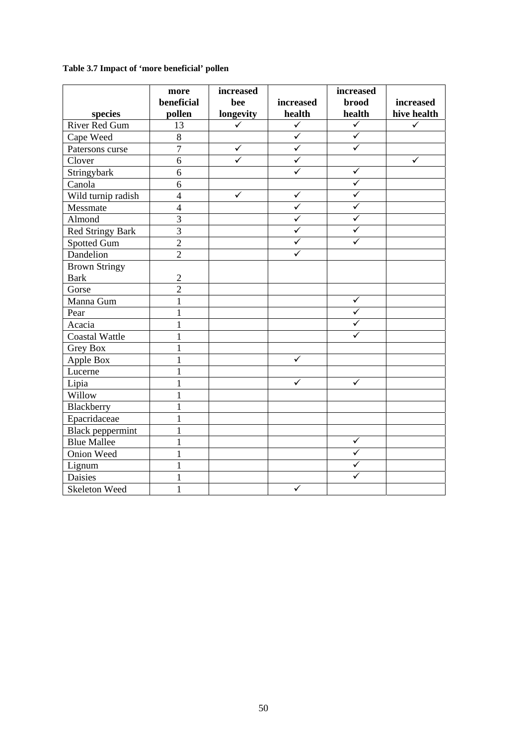# **Table 3.7 Impact of 'more beneficial' pollen**

|                         | more<br>beneficial | increased<br>bee        | increased               | increased<br><b>brood</b> | increased    |
|-------------------------|--------------------|-------------------------|-------------------------|---------------------------|--------------|
| species                 | pollen             | longevity               | health                  | health                    | hive health  |
| River Red Gum           | 13                 | $\checkmark$            | $\overline{\checkmark}$ | $\overline{\checkmark}$   | $\checkmark$ |
| Cape Weed               | $\overline{8}$     |                         | $\overline{\checkmark}$ | $\overline{\checkmark}$   |              |
| Patersons curse         | $\overline{7}$     | $\checkmark$            | $\overline{\checkmark}$ | $\overline{\checkmark}$   |              |
| Clover                  | $\overline{6}$     | $\overline{\checkmark}$ | $\overline{\checkmark}$ |                           | ✓            |
| Stringybark             | 6                  |                         | $\checkmark$            | $\checkmark$              |              |
| Canola                  | 6                  |                         |                         | $\checkmark$              |              |
| Wild turnip radish      | $\overline{4}$     | $\checkmark$            | $\checkmark$            | $\checkmark$              |              |
| Messmate                | $\overline{4}$     |                         | $\checkmark$            | $\overline{\checkmark}$   |              |
| Almond                  | $\overline{3}$     |                         | $\overline{\checkmark}$ | $\checkmark$              |              |
| <b>Red Stringy Bark</b> | $\overline{3}$     |                         | ✓                       | $\checkmark$              |              |
| <b>Spotted Gum</b>      | $\overline{2}$     |                         | ✓                       | $\checkmark$              |              |
| Dandelion               | $\overline{2}$     |                         | ✓                       |                           |              |
| <b>Brown Stringy</b>    |                    |                         |                         |                           |              |
| <b>Bark</b>             | $\overline{2}$     |                         |                         |                           |              |
| Gorse                   | $\overline{2}$     |                         |                         |                           |              |
| Manna Gum               | $\mathbf{1}$       |                         |                         | $\checkmark$              |              |
| Pear                    | $\mathbf{1}$       |                         |                         | $\checkmark$              |              |
| Acacia                  | $\mathbf{1}$       |                         |                         | $\checkmark$              |              |
| <b>Coastal Wattle</b>   | $\mathbf{1}$       |                         |                         | ✓                         |              |
| <b>Grey Box</b>         | $\mathbf{1}$       |                         |                         |                           |              |
| Apple Box               | $\mathbf{1}$       |                         | $\checkmark$            |                           |              |
| Lucerne                 | $\mathbf{1}$       |                         |                         |                           |              |
| Lipia                   | $\mathbf{1}$       |                         | $\checkmark$            | ✓                         |              |
| Willow                  | $\mathbf{1}$       |                         |                         |                           |              |
| Blackberry              | $\mathbf{1}$       |                         |                         |                           |              |
| Epacridaceae            | $\mathbf{1}$       |                         |                         |                           |              |
| <b>Black</b> peppermint | $\mathbf{1}$       |                         |                         |                           |              |
| <b>Blue Mallee</b>      | $\mathbf{1}$       |                         |                         | ✓                         |              |
| Onion Weed              | $\mathbf{1}$       |                         |                         | $\overline{\checkmark}$   |              |
| Lignum                  | $\mathbf{1}$       |                         |                         | ✓                         |              |
| <b>Daisies</b>          | $\mathbf{1}$       |                         |                         | ✓                         |              |
| Skeleton Weed           | $\mathbf{1}$       |                         | $\checkmark$            |                           |              |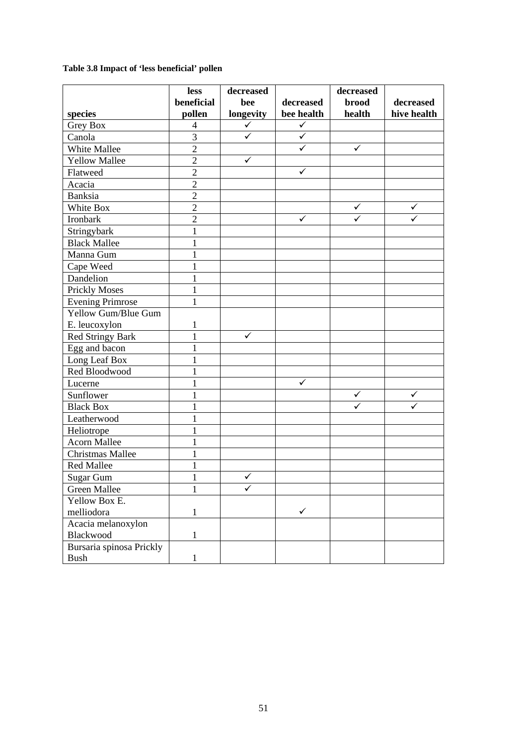# **Table 3.8 Impact of 'less beneficial' pollen**

|                          | less           | decreased    |              | decreased    |             |
|--------------------------|----------------|--------------|--------------|--------------|-------------|
|                          | beneficial     | bee          | decreased    | <b>brood</b> | decreased   |
| species                  | pollen         | longevity    | bee health   | health       | hive health |
| <b>Grey Box</b>          | $\overline{4}$ | $\checkmark$ | $\checkmark$ |              |             |
| Canola                   | 3              | $\checkmark$ | $\checkmark$ |              |             |
| White Mallee             | $\overline{2}$ |              | $\checkmark$ | ✓            |             |
| <b>Yellow Mallee</b>     | $\overline{2}$ | $\checkmark$ |              |              |             |
| Flatweed                 | $\overline{2}$ |              | $\checkmark$ |              |             |
| Acacia                   | $\overline{2}$ |              |              |              |             |
| Banksia                  | $\overline{2}$ |              |              |              |             |
| White Box                | $\overline{2}$ |              |              | ✓            | ✓           |
| Ironbark                 | $\overline{2}$ |              | $\checkmark$ |              |             |
| Stringybark              | $\mathbf{1}$   |              |              |              |             |
| <b>Black Mallee</b>      | 1              |              |              |              |             |
| Manna Gum                | $\mathbf{1}$   |              |              |              |             |
| Cape Weed                | $\mathbf{1}$   |              |              |              |             |
| Dandelion                | $\mathbf{1}$   |              |              |              |             |
| <b>Prickly Moses</b>     | 1              |              |              |              |             |
| <b>Evening Primrose</b>  |                |              |              |              |             |
| Yellow Gum/Blue Gum      |                |              |              |              |             |
| E. leucoxylon            | 1              |              |              |              |             |
| <b>Red Stringy Bark</b>  | $\mathbf{1}$   | $\checkmark$ |              |              |             |
| Egg and bacon            | 1              |              |              |              |             |
| Long Leaf Box            | 1              |              |              |              |             |
| Red Bloodwood            | 1              |              |              |              |             |
| Lucerne                  | $\mathbf{1}$   |              | $\checkmark$ |              |             |
| Sunflower                | $\mathbf{1}$   |              |              | ✓            | ✓           |
| <b>Black Box</b>         | 1              |              |              |              |             |
| Leatherwood              |                |              |              |              |             |
| Heliotrope               | 1              |              |              |              |             |
| <b>Acorn Mallee</b>      | 1              |              |              |              |             |
| <b>Christmas Mallee</b>  | 1              |              |              |              |             |
| <b>Red Mallee</b>        | $\mathbf{1}$   |              |              |              |             |
| <b>Sugar Gum</b>         |                | $\checkmark$ |              |              |             |
| Green Mallee             | 1              | ✓            |              |              |             |
| Yellow Box E.            |                |              |              |              |             |
| melliodora               | $\mathbf{1}$   |              | $\checkmark$ |              |             |
| Acacia melanoxylon       |                |              |              |              |             |
| Blackwood                | $\mathbf{1}$   |              |              |              |             |
| Bursaria spinosa Prickly |                |              |              |              |             |
| <b>Bush</b>              | 1              |              |              |              |             |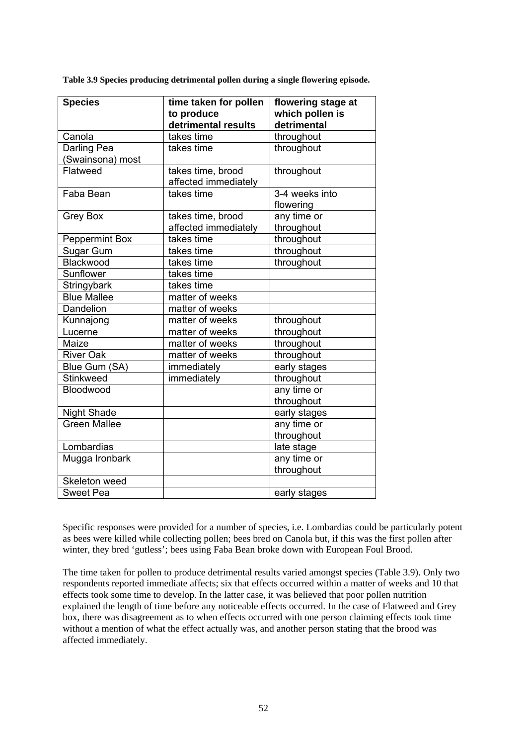**Table 3.9 Species producing detrimental pollen during a single flowering episode.** 

| <b>Species</b>                  | time taken for pollen<br>to produce       | flowering stage at<br>which pollen is |  |
|---------------------------------|-------------------------------------------|---------------------------------------|--|
|                                 | detrimental results                       | detrimental                           |  |
| Canola                          | takes time                                | throughout                            |  |
| Darling Pea<br>(Swainsona) most | takes time                                | throughout                            |  |
| Flatweed                        | takes time, brood<br>affected immediately | throughout                            |  |
| Faba Bean                       | takes time                                | 3-4 weeks into<br>flowering           |  |
| Grey Box                        | takes time, brood<br>affected immediately | any time or<br>throughout             |  |
| <b>Peppermint Box</b>           | takes time                                | throughout                            |  |
| Sugar Gum                       | takes time                                | throughout                            |  |
| Blackwood                       | takes time                                | throughout                            |  |
| Sunflower                       | takes time                                |                                       |  |
| Stringybark                     | takes time                                |                                       |  |
| <b>Blue Mallee</b>              | matter of weeks                           |                                       |  |
| Dandelion                       | matter of weeks                           |                                       |  |
| Kunnajong                       | matter of weeks                           | throughout                            |  |
| Lucerne                         | matter of weeks                           | throughout                            |  |
| Maize                           | matter of weeks                           | throughout                            |  |
| <b>River Oak</b>                | matter of weeks                           | throughout                            |  |
| Blue Gum (SA)                   | immediately                               | early stages                          |  |
| Stinkweed                       | immediately                               | throughout                            |  |
| Bloodwood                       |                                           | any time or<br>throughout             |  |
| <b>Night Shade</b>              |                                           | early stages                          |  |
| Green Mallee                    |                                           | any time or                           |  |
|                                 |                                           | throughout                            |  |
| Lombardias                      |                                           | late stage                            |  |
| Mugga Ironbark                  |                                           | any time or                           |  |
|                                 |                                           | throughout                            |  |
| Skeleton weed                   |                                           |                                       |  |
| <b>Sweet Pea</b>                |                                           | early stages                          |  |

Specific responses were provided for a number of species, i.e. Lombardias could be particularly potent as bees were killed while collecting pollen; bees bred on Canola but, if this was the first pollen after winter, they bred 'gutless'; bees using Faba Bean broke down with European Foul Brood.

The time taken for pollen to produce detrimental results varied amongst species (Table 3.9). Only two respondents reported immediate affects; six that effects occurred within a matter of weeks and 10 that effects took some time to develop. In the latter case, it was believed that poor pollen nutrition explained the length of time before any noticeable effects occurred. In the case of Flatweed and Grey box, there was disagreement as to when effects occurred with one person claiming effects took time without a mention of what the effect actually was, and another person stating that the brood was affected immediately.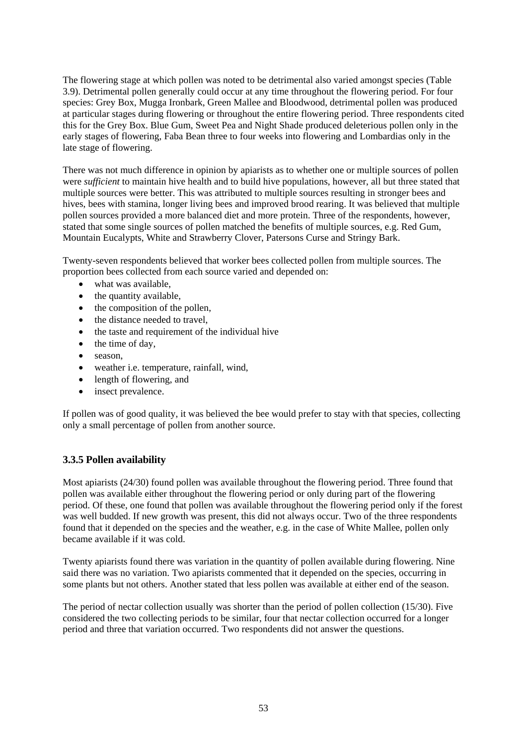The flowering stage at which pollen was noted to be detrimental also varied amongst species (Table 3.9). Detrimental pollen generally could occur at any time throughout the flowering period. For four species: Grey Box, Mugga Ironbark, Green Mallee and Bloodwood, detrimental pollen was produced at particular stages during flowering or throughout the entire flowering period. Three respondents cited this for the Grey Box. Blue Gum, Sweet Pea and Night Shade produced deleterious pollen only in the early stages of flowering, Faba Bean three to four weeks into flowering and Lombardias only in the late stage of flowering.

There was not much difference in opinion by apiarists as to whether one or multiple sources of pollen were *sufficient* to maintain hive health and to build hive populations, however, all but three stated that multiple sources were better. This was attributed to multiple sources resulting in stronger bees and hives, bees with stamina, longer living bees and improved brood rearing. It was believed that multiple pollen sources provided a more balanced diet and more protein. Three of the respondents, however, stated that some single sources of pollen matched the benefits of multiple sources, e.g. Red Gum, Mountain Eucalypts, White and Strawberry Clover, Patersons Curse and Stringy Bark.

Twenty-seven respondents believed that worker bees collected pollen from multiple sources. The proportion bees collected from each source varied and depended on:

- what was available.
- the quantity available,
- the composition of the pollen,
- the distance needed to travel.
- the taste and requirement of the individual hive
- the time of day,
- season.
- weather i.e. temperature, rainfall, wind,
- length of flowering, and
- insect prevalence.

If pollen was of good quality, it was believed the bee would prefer to stay with that species, collecting only a small percentage of pollen from another source.

### **3.3.5 Pollen availability**

Most apiarists (24/30) found pollen was available throughout the flowering period. Three found that pollen was available either throughout the flowering period or only during part of the flowering period. Of these, one found that pollen was available throughout the flowering period only if the forest was well budded. If new growth was present, this did not always occur. Two of the three respondents found that it depended on the species and the weather, e.g. in the case of White Mallee, pollen only became available if it was cold.

Twenty apiarists found there was variation in the quantity of pollen available during flowering. Nine said there was no variation. Two apiarists commented that it depended on the species, occurring in some plants but not others. Another stated that less pollen was available at either end of the season.

The period of nectar collection usually was shorter than the period of pollen collection (15/30). Five considered the two collecting periods to be similar, four that nectar collection occurred for a longer period and three that variation occurred. Two respondents did not answer the questions.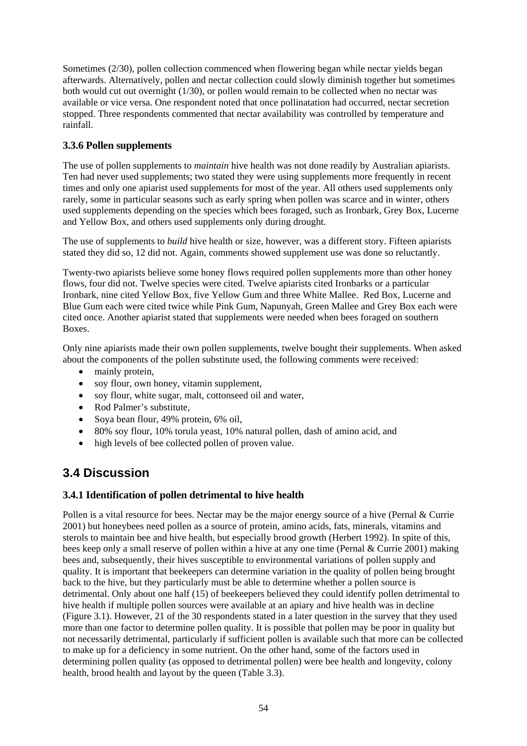Sometimes (2/30), pollen collection commenced when flowering began while nectar yields began afterwards. Alternatively, pollen and nectar collection could slowly diminish together but sometimes both would cut out overnight (1/30), or pollen would remain to be collected when no nectar was available or vice versa. One respondent noted that once pollinatation had occurred, nectar secretion stopped. Three respondents commented that nectar availability was controlled by temperature and rainfall.

# **3.3.6 Pollen supplements**

The use of pollen supplements to *maintain* hive health was not done readily by Australian apiarists. Ten had never used supplements; two stated they were using supplements more frequently in recent times and only one apiarist used supplements for most of the year. All others used supplements only rarely, some in particular seasons such as early spring when pollen was scarce and in winter, others used supplements depending on the species which bees foraged, such as Ironbark, Grey Box, Lucerne and Yellow Box, and others used supplements only during drought.

The use of supplements to *build* hive health or size, however, was a different story. Fifteen apiarists stated they did so, 12 did not. Again, comments showed supplement use was done so reluctantly.

Twenty-two apiarists believe some honey flows required pollen supplements more than other honey flows, four did not. Twelve species were cited. Twelve apiarists cited Ironbarks or a particular Ironbark, nine cited Yellow Box, five Yellow Gum and three White Mallee. Red Box, Lucerne and Blue Gum each were cited twice while Pink Gum, Napunyah, Green Mallee and Grey Box each were cited once. Another apiarist stated that supplements were needed when bees foraged on southern Boxes.

Only nine apiarists made their own pollen supplements, twelve bought their supplements. When asked about the components of the pollen substitute used, the following comments were received:

- mainly protein,
- soy flour, own honey, vitamin supplement,
- soy flour, white sugar, malt, cottonseed oil and water,
- Rod Palmer's substitute,
- Soya bean flour, 49% protein, 6% oil,
- 80% soy flour, 10% torula yeast, 10% natural pollen, dash of amino acid, and
- high levels of bee collected pollen of proven value.

# **3.4 Discussion**

## **3.4.1 Identification of pollen detrimental to hive health**

Pollen is a vital resource for bees. Nectar may be the major energy source of a hive (Pernal & Currie 2001) but honeybees need pollen as a source of protein, amino acids, fats, minerals, vitamins and sterols to maintain bee and hive health, but especially brood growth (Herbert 1992). In spite of this, bees keep only a small reserve of pollen within a hive at any one time (Pernal & Currie 2001) making bees and, subsequently, their hives susceptible to environmental variations of pollen supply and quality. It is important that beekeepers can determine variation in the quality of pollen being brought back to the hive, but they particularly must be able to determine whether a pollen source is detrimental. Only about one half (15) of beekeepers believed they could identify pollen detrimental to hive health if multiple pollen sources were available at an apiary and hive health was in decline (Figure 3.1). However, 21 of the 30 respondents stated in a later question in the survey that they used more than one factor to determine pollen quality. It is possible that pollen may be poor in quality but not necessarily detrimental, particularly if sufficient pollen is available such that more can be collected to make up for a deficiency in some nutrient. On the other hand, some of the factors used in determining pollen quality (as opposed to detrimental pollen) were bee health and longevity, colony health, brood health and layout by the queen (Table 3.3).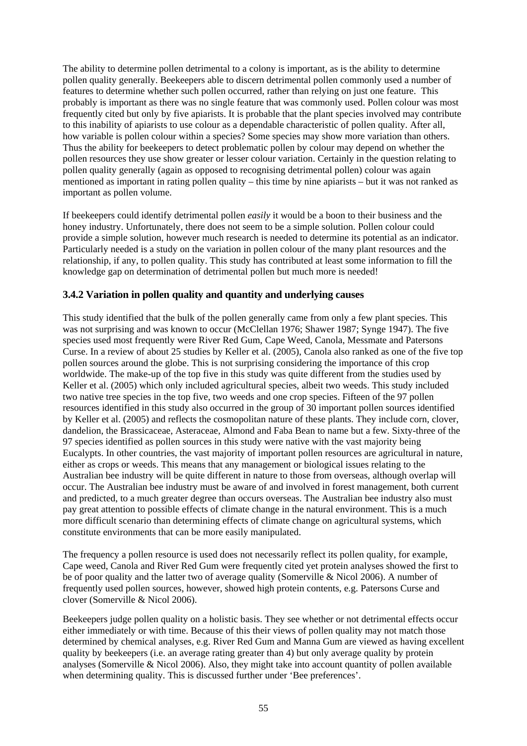The ability to determine pollen detrimental to a colony is important, as is the ability to determine pollen quality generally. Beekeepers able to discern detrimental pollen commonly used a number of features to determine whether such pollen occurred, rather than relying on just one feature. This probably is important as there was no single feature that was commonly used. Pollen colour was most frequently cited but only by five apiarists. It is probable that the plant species involved may contribute to this inability of apiarists to use colour as a dependable characteristic of pollen quality. After all, how variable is pollen colour within a species? Some species may show more variation than others. Thus the ability for beekeepers to detect problematic pollen by colour may depend on whether the pollen resources they use show greater or lesser colour variation. Certainly in the question relating to pollen quality generally (again as opposed to recognising detrimental pollen) colour was again mentioned as important in rating pollen quality – this time by nine apiarists – but it was not ranked as important as pollen volume.

If beekeepers could identify detrimental pollen *easily* it would be a boon to their business and the honey industry. Unfortunately, there does not seem to be a simple solution. Pollen colour could provide a simple solution, however much research is needed to determine its potential as an indicator. Particularly needed is a study on the variation in pollen colour of the many plant resources and the relationship, if any, to pollen quality. This study has contributed at least some information to fill the knowledge gap on determination of detrimental pollen but much more is needed!

### **3.4.2 Variation in pollen quality and quantity and underlying causes**

This study identified that the bulk of the pollen generally came from only a few plant species. This was not surprising and was known to occur (McClellan 1976; Shawer 1987; Synge 1947). The five species used most frequently were River Red Gum, Cape Weed, Canola, Messmate and Patersons Curse. In a review of about 25 studies by Keller et al. (2005), Canola also ranked as one of the five top pollen sources around the globe. This is not surprising considering the importance of this crop worldwide. The make-up of the top five in this study was quite different from the studies used by Keller et al. (2005) which only included agricultural species, albeit two weeds. This study included two native tree species in the top five, two weeds and one crop species. Fifteen of the 97 pollen resources identified in this study also occurred in the group of 30 important pollen sources identified by Keller et al. (2005) and reflects the cosmopolitan nature of these plants. They include corn, clover, dandelion, the Brassicaceae, Asteraceae, Almond and Faba Bean to name but a few. Sixty-three of the 97 species identified as pollen sources in this study were native with the vast majority being Eucalypts. In other countries, the vast majority of important pollen resources are agricultural in nature, either as crops or weeds. This means that any management or biological issues relating to the Australian bee industry will be quite different in nature to those from overseas, although overlap will occur. The Australian bee industry must be aware of and involved in forest management, both current and predicted, to a much greater degree than occurs overseas. The Australian bee industry also must pay great attention to possible effects of climate change in the natural environment. This is a much more difficult scenario than determining effects of climate change on agricultural systems, which constitute environments that can be more easily manipulated.

The frequency a pollen resource is used does not necessarily reflect its pollen quality, for example, Cape weed, Canola and River Red Gum were frequently cited yet protein analyses showed the first to be of poor quality and the latter two of average quality (Somerville & Nicol 2006). A number of frequently used pollen sources, however, showed high protein contents, e.g. Patersons Curse and clover (Somerville & Nicol 2006).

Beekeepers judge pollen quality on a holistic basis. They see whether or not detrimental effects occur either immediately or with time. Because of this their views of pollen quality may not match those determined by chemical analyses, e.g. River Red Gum and Manna Gum are viewed as having excellent quality by beekeepers (i.e. an average rating greater than 4) but only average quality by protein analyses (Somerville & Nicol 2006). Also, they might take into account quantity of pollen available when determining quality. This is discussed further under 'Bee preferences'.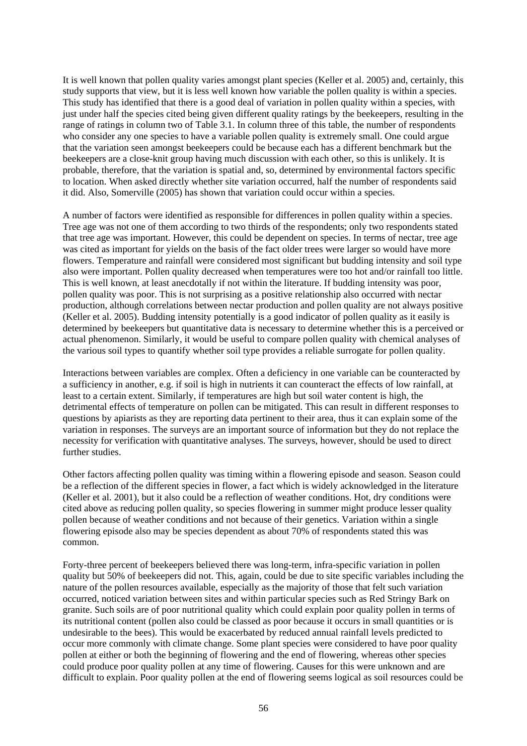It is well known that pollen quality varies amongst plant species (Keller et al. 2005) and, certainly, this study supports that view, but it is less well known how variable the pollen quality is within a species. This study has identified that there is a good deal of variation in pollen quality within a species, with just under half the species cited being given different quality ratings by the beekeepers, resulting in the range of ratings in column two of Table 3.1. In column three of this table, the number of respondents who consider any one species to have a variable pollen quality is extremely small. One could argue that the variation seen amongst beekeepers could be because each has a different benchmark but the beekeepers are a close-knit group having much discussion with each other, so this is unlikely. It is probable, therefore, that the variation is spatial and, so, determined by environmental factors specific to location. When asked directly whether site variation occurred, half the number of respondents said it did. Also, Somerville (2005) has shown that variation could occur within a species.

A number of factors were identified as responsible for differences in pollen quality within a species. Tree age was not one of them according to two thirds of the respondents; only two respondents stated that tree age was important. However, this could be dependent on species. In terms of nectar, tree age was cited as important for yields on the basis of the fact older trees were larger so would have more flowers. Temperature and rainfall were considered most significant but budding intensity and soil type also were important. Pollen quality decreased when temperatures were too hot and/or rainfall too little. This is well known, at least anecdotally if not within the literature. If budding intensity was poor, pollen quality was poor. This is not surprising as a positive relationship also occurred with nectar production, although correlations between nectar production and pollen quality are not always positive (Keller et al. 2005). Budding intensity potentially is a good indicator of pollen quality as it easily is determined by beekeepers but quantitative data is necessary to determine whether this is a perceived or actual phenomenon. Similarly, it would be useful to compare pollen quality with chemical analyses of the various soil types to quantify whether soil type provides a reliable surrogate for pollen quality.

Interactions between variables are complex. Often a deficiency in one variable can be counteracted by a sufficiency in another, e.g. if soil is high in nutrients it can counteract the effects of low rainfall, at least to a certain extent. Similarly, if temperatures are high but soil water content is high, the detrimental effects of temperature on pollen can be mitigated. This can result in different responses to questions by apiarists as they are reporting data pertinent to their area, thus it can explain some of the variation in responses. The surveys are an important source of information but they do not replace the necessity for verification with quantitative analyses. The surveys, however, should be used to direct further studies.

Other factors affecting pollen quality was timing within a flowering episode and season. Season could be a reflection of the different species in flower, a fact which is widely acknowledged in the literature (Keller et al. 2001), but it also could be a reflection of weather conditions. Hot, dry conditions were cited above as reducing pollen quality, so species flowering in summer might produce lesser quality pollen because of weather conditions and not because of their genetics. Variation within a single flowering episode also may be species dependent as about 70% of respondents stated this was common.

Forty-three percent of beekeepers believed there was long-term, infra-specific variation in pollen quality but 50% of beekeepers did not. This, again, could be due to site specific variables including the nature of the pollen resources available, especially as the majority of those that felt such variation occurred, noticed variation between sites and within particular species such as Red Stringy Bark on granite. Such soils are of poor nutritional quality which could explain poor quality pollen in terms of its nutritional content (pollen also could be classed as poor because it occurs in small quantities or is undesirable to the bees). This would be exacerbated by reduced annual rainfall levels predicted to occur more commonly with climate change. Some plant species were considered to have poor quality pollen at either or both the beginning of flowering and the end of flowering, whereas other species could produce poor quality pollen at any time of flowering. Causes for this were unknown and are difficult to explain. Poor quality pollen at the end of flowering seems logical as soil resources could be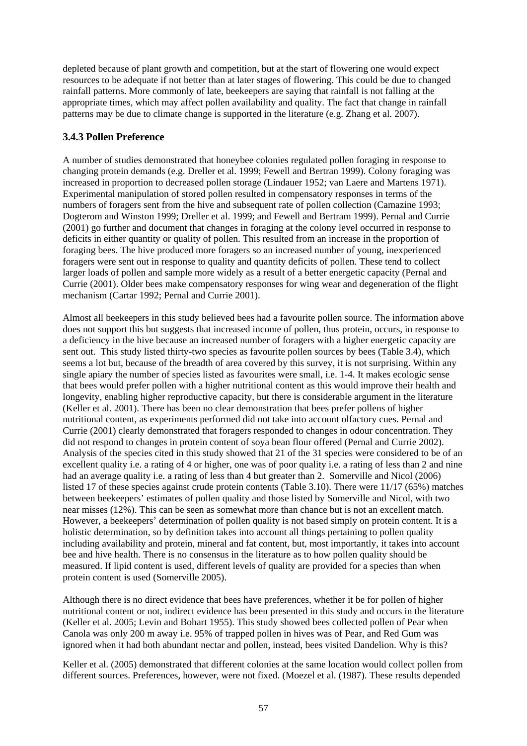depleted because of plant growth and competition, but at the start of flowering one would expect resources to be adequate if not better than at later stages of flowering. This could be due to changed rainfall patterns. More commonly of late, beekeepers are saying that rainfall is not falling at the appropriate times, which may affect pollen availability and quality. The fact that change in rainfall patterns may be due to climate change is supported in the literature (e.g. Zhang et al. 2007).

### **3.4.3 Pollen Preference**

A number of studies demonstrated that honeybee colonies regulated pollen foraging in response to changing protein demands (e.g. Dreller et al. 1999; Fewell and Bertran 1999). Colony foraging was increased in proportion to decreased pollen storage (Lindauer 1952; van Laere and Martens 1971). Experimental manipulation of stored pollen resulted in compensatory responses in terms of the numbers of foragers sent from the hive and subsequent rate of pollen collection (Camazine 1993; Dogterom and Winston 1999; Dreller et al. 1999; and Fewell and Bertram 1999). Pernal and Currie (2001) go further and document that changes in foraging at the colony level occurred in response to deficits in either quantity or quality of pollen. This resulted from an increase in the proportion of foraging bees. The hive produced more foragers so an increased number of young, inexperienced foragers were sent out in response to quality and quantity deficits of pollen. These tend to collect larger loads of pollen and sample more widely as a result of a better energetic capacity (Pernal and Currie (2001). Older bees make compensatory responses for wing wear and degeneration of the flight mechanism (Cartar 1992; Pernal and Currie 2001).

Almost all beekeepers in this study believed bees had a favourite pollen source. The information above does not support this but suggests that increased income of pollen, thus protein, occurs, in response to a deficiency in the hive because an increased number of foragers with a higher energetic capacity are sent out. This study listed thirty-two species as favourite pollen sources by bees (Table 3.4), which seems a lot but, because of the breadth of area covered by this survey, it is not surprising. Within any single apiary the number of species listed as favourites were small, i.e. 1-4. It makes ecologic sense that bees would prefer pollen with a higher nutritional content as this would improve their health and longevity, enabling higher reproductive capacity, but there is considerable argument in the literature (Keller et al. 2001). There has been no clear demonstration that bees prefer pollens of higher nutritional content, as experiments performed did not take into account olfactory cues. Pernal and Currie (2001) clearly demonstrated that foragers responded to changes in odour concentration. They did not respond to changes in protein content of soya bean flour offered (Pernal and Currie 2002). Analysis of the species cited in this study showed that 21 of the 31 species were considered to be of an excellent quality i.e. a rating of 4 or higher, one was of poor quality i.e. a rating of less than 2 and nine had an average quality i.e. a rating of less than 4 but greater than 2. Somerville and Nicol (2006) listed 17 of these species against crude protein contents (Table 3.10). There were 11/17 (65%) matches between beekeepers' estimates of pollen quality and those listed by Somerville and Nicol, with two near misses (12%). This can be seen as somewhat more than chance but is not an excellent match. However, a beekeepers' determination of pollen quality is not based simply on protein content. It is a holistic determination, so by definition takes into account all things pertaining to pollen quality including availability and protein, mineral and fat content, but, most importantly, it takes into account bee and hive health. There is no consensus in the literature as to how pollen quality should be measured. If lipid content is used, different levels of quality are provided for a species than when protein content is used (Somerville 2005).

Although there is no direct evidence that bees have preferences, whether it be for pollen of higher nutritional content or not, indirect evidence has been presented in this study and occurs in the literature (Keller et al. 2005; Levin and Bohart 1955). This study showed bees collected pollen of Pear when Canola was only 200 m away i.e. 95% of trapped pollen in hives was of Pear, and Red Gum was ignored when it had both abundant nectar and pollen, instead, bees visited Dandelion. Why is this?

Keller et al. (2005) demonstrated that different colonies at the same location would collect pollen from different sources. Preferences, however, were not fixed. (Moezel et al. (1987). These results depended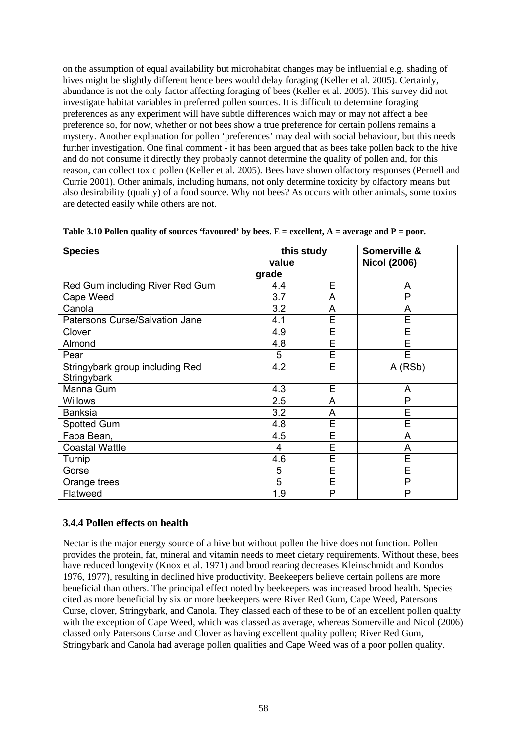on the assumption of equal availability but microhabitat changes may be influential e.g. shading of hives might be slightly different hence bees would delay foraging (Keller et al. 2005). Certainly, abundance is not the only factor affecting foraging of bees (Keller et al. 2005). This survey did not investigate habitat variables in preferred pollen sources. It is difficult to determine foraging preferences as any experiment will have subtle differences which may or may not affect a bee preference so, for now, whether or not bees show a true preference for certain pollens remains a mystery. Another explanation for pollen 'preferences' may deal with social behaviour, but this needs further investigation. One final comment - it has been argued that as bees take pollen back to the hive and do not consume it directly they probably cannot determine the quality of pollen and, for this reason, can collect toxic pollen (Keller et al. 2005). Bees have shown olfactory responses (Pernell and Currie 2001). Other animals, including humans, not only determine toxicity by olfactory means but also desirability (quality) of a food source. Why not bees? As occurs with other animals, some toxins are detected easily while others are not.

| <b>Species</b>                  | this study |   | Somerville &        |
|---------------------------------|------------|---|---------------------|
|                                 | value      |   | <b>Nicol (2006)</b> |
|                                 | grade      |   |                     |
| Red Gum including River Red Gum | 4.4        | E | A                   |
| Cape Weed                       | 3.7        | A | Р                   |
| Canola                          | 3.2        | A | A                   |
| Patersons Curse/Salvation Jane  | 4.1        | E | E                   |
| Clover                          | 4.9        | E | E                   |
| Almond                          | 4.8        | E | E                   |
| Pear                            | 5          | E | E                   |
| Stringybark group including Red | 4.2        | E | A (RSb)             |
| Stringybark                     |            |   |                     |
| Manna Gum                       | 4.3        | E | A                   |
| <b>Willows</b>                  | 2.5        | A | P                   |
| <b>Banksia</b>                  | 3.2        | A | E                   |
| Spotted Gum                     | 4.8        | E | E                   |
| Faba Bean,                      | 4.5        | E | A                   |
| <b>Coastal Wattle</b>           | 4          | E | A                   |
| Turnip                          | 4.6        | E | E                   |
| Gorse                           | 5          | E | E                   |
| Orange trees                    | 5          | E | P                   |
| Flatweed                        | 1.9        | P | P                   |

| Table 3.10 Pollen quality of sources 'favoured' by bees. $E =$ excellent, $A =$ average and $P =$ poor. |  |  |  |  |  |
|---------------------------------------------------------------------------------------------------------|--|--|--|--|--|
|---------------------------------------------------------------------------------------------------------|--|--|--|--|--|

### **3.4.4 Pollen effects on health**

Nectar is the major energy source of a hive but without pollen the hive does not function. Pollen provides the protein, fat, mineral and vitamin needs to meet dietary requirements. Without these, bees have reduced longevity (Knox et al. 1971) and brood rearing decreases Kleinschmidt and Kondos 1976, 1977), resulting in declined hive productivity. Beekeepers believe certain pollens are more beneficial than others. The principal effect noted by beekeepers was increased brood health. Species cited as more beneficial by six or more beekeepers were River Red Gum, Cape Weed, Patersons Curse, clover, Stringybark, and Canola. They classed each of these to be of an excellent pollen quality with the exception of Cape Weed, which was classed as average, whereas Somerville and Nicol (2006) classed only Patersons Curse and Clover as having excellent quality pollen; River Red Gum, Stringybark and Canola had average pollen qualities and Cape Weed was of a poor pollen quality.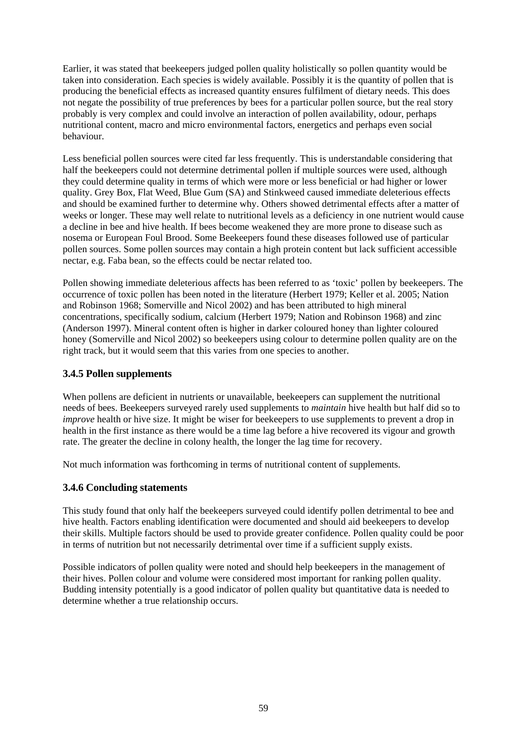Earlier, it was stated that beekeepers judged pollen quality holistically so pollen quantity would be taken into consideration. Each species is widely available. Possibly it is the quantity of pollen that is producing the beneficial effects as increased quantity ensures fulfilment of dietary needs. This does not negate the possibility of true preferences by bees for a particular pollen source, but the real story probably is very complex and could involve an interaction of pollen availability, odour, perhaps nutritional content, macro and micro environmental factors, energetics and perhaps even social behaviour.

Less beneficial pollen sources were cited far less frequently. This is understandable considering that half the beekeepers could not determine detrimental pollen if multiple sources were used, although they could determine quality in terms of which were more or less beneficial or had higher or lower quality. Grey Box, Flat Weed, Blue Gum (SA) and Stinkweed caused immediate deleterious effects and should be examined further to determine why. Others showed detrimental effects after a matter of weeks or longer. These may well relate to nutritional levels as a deficiency in one nutrient would cause a decline in bee and hive health. If bees become weakened they are more prone to disease such as nosema or European Foul Brood. Some Beekeepers found these diseases followed use of particular pollen sources. Some pollen sources may contain a high protein content but lack sufficient accessible nectar, e.g. Faba bean, so the effects could be nectar related too.

Pollen showing immediate deleterious affects has been referred to as 'toxic' pollen by beekeepers. The occurrence of toxic pollen has been noted in the literature (Herbert 1979; Keller et al. 2005; Nation and Robinson 1968; Somerville and Nicol 2002) and has been attributed to high mineral concentrations, specifically sodium, calcium (Herbert 1979; Nation and Robinson 1968) and zinc (Anderson 1997). Mineral content often is higher in darker coloured honey than lighter coloured honey (Somerville and Nicol 2002) so beekeepers using colour to determine pollen quality are on the right track, but it would seem that this varies from one species to another.

### **3.4.5 Pollen supplements**

When pollens are deficient in nutrients or unavailable, beekeepers can supplement the nutritional needs of bees. Beekeepers surveyed rarely used supplements to *maintain* hive health but half did so to *improve* health or hive size. It might be wiser for beekeepers to use supplements to prevent a drop in health in the first instance as there would be a time lag before a hive recovered its vigour and growth rate. The greater the decline in colony health, the longer the lag time for recovery.

Not much information was forthcoming in terms of nutritional content of supplements.

### **3.4.6 Concluding statements**

This study found that only half the beekeepers surveyed could identify pollen detrimental to bee and hive health. Factors enabling identification were documented and should aid beekeepers to develop their skills. Multiple factors should be used to provide greater confidence. Pollen quality could be poor in terms of nutrition but not necessarily detrimental over time if a sufficient supply exists.

Possible indicators of pollen quality were noted and should help beekeepers in the management of their hives. Pollen colour and volume were considered most important for ranking pollen quality. Budding intensity potentially is a good indicator of pollen quality but quantitative data is needed to determine whether a true relationship occurs.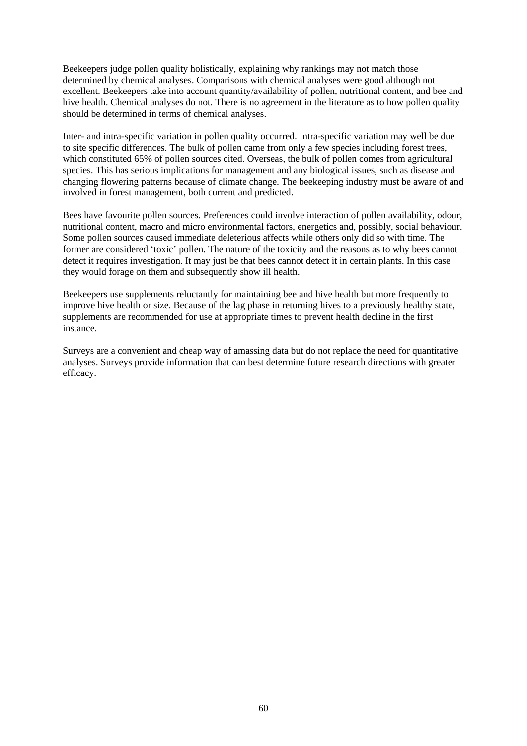Beekeepers judge pollen quality holistically, explaining why rankings may not match those determined by chemical analyses. Comparisons with chemical analyses were good although not excellent. Beekeepers take into account quantity/availability of pollen, nutritional content, and bee and hive health. Chemical analyses do not. There is no agreement in the literature as to how pollen quality should be determined in terms of chemical analyses.

Inter- and intra-specific variation in pollen quality occurred. Intra-specific variation may well be due to site specific differences. The bulk of pollen came from only a few species including forest trees, which constituted 65% of pollen sources cited. Overseas, the bulk of pollen comes from agricultural species. This has serious implications for management and any biological issues, such as disease and changing flowering patterns because of climate change. The beekeeping industry must be aware of and involved in forest management, both current and predicted.

Bees have favourite pollen sources. Preferences could involve interaction of pollen availability, odour, nutritional content, macro and micro environmental factors, energetics and, possibly, social behaviour. Some pollen sources caused immediate deleterious affects while others only did so with time. The former are considered 'toxic' pollen. The nature of the toxicity and the reasons as to why bees cannot detect it requires investigation. It may just be that bees cannot detect it in certain plants. In this case they would forage on them and subsequently show ill health.

Beekeepers use supplements reluctantly for maintaining bee and hive health but more frequently to improve hive health or size. Because of the lag phase in returning hives to a previously healthy state, supplements are recommended for use at appropriate times to prevent health decline in the first instance.

Surveys are a convenient and cheap way of amassing data but do not replace the need for quantitative analyses. Surveys provide information that can best determine future research directions with greater efficacy.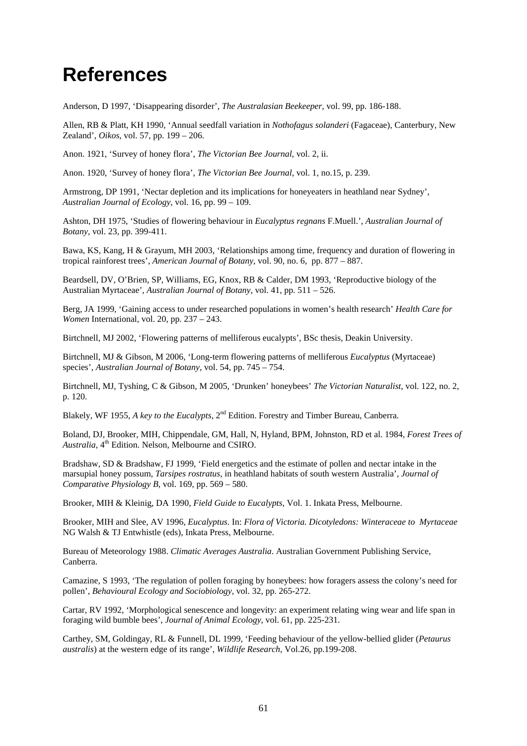## **References**

Anderson, D 1997, 'Disappearing disorder', *The Australasian Beekeeper,* vol. 99, pp. 186-188.

Allen, RB & Platt, KH 1990, 'Annual seedfall variation in *Nothofagus solanderi* (Fagaceae), Canterbury, New Zealand', *Oikos*, vol. 57, pp. 199 – 206.

Anon. 1921, 'Survey of honey flora', *The Victorian Bee Journal,* vol. 2, ii.

Anon. 1920, 'Survey of honey flora', *The Victorian Bee Journal*, vol. 1, no.15, p. 239.

Armstrong, DP 1991, 'Nectar depletion and its implications for honeyeaters in heathland near Sydney', *Australian Journal of Ecology*, vol. 16, pp. 99 – 109.

Ashton, DH 1975, 'Studies of flowering behaviour in *Eucalyptus regnans* F.Muell.', *Australian Journal of Botany*, vol. 23, pp. 399-411.

Bawa, KS, Kang, H & Grayum, MH 2003, 'Relationships among time, frequency and duration of flowering in tropical rainforest trees', *American Journal of Botany*, vol. 90, no. 6, pp. 877 – 887.

Beardsell, DV, O'Brien, SP, Williams, EG, Knox, RB & Calder, DM 1993, 'Reproductive biology of the Australian Myrtaceae', *Australian Journal of Botany*, vol. 41, pp. 511 – 526.

Berg, JA 1999, 'Gaining access to under researched populations in women's health research' *Health Care for Women* International, vol. 20, pp. 237 – 243.

Birtchnell, MJ 2002, 'Flowering patterns of melliferous eucalypts', BSc thesis, Deakin University.

Birtchnell, MJ & Gibson, M 2006, 'Long-term flowering patterns of melliferous *Eucalyptus* (Myrtaceae) species', *Australian Journal of Botany*, vol. 54, pp. 745 – 754.

Birtchnell, MJ, Tyshing, C & Gibson, M 2005, 'Drunken' honeybees' *The Victorian Naturalist*, vol. 122, no. 2, p. 120.

Blakely, WF 1955, *A key to the Eucalypts,* 2nd Edition. Forestry and Timber Bureau, Canberra.

Boland, DJ, Brooker, MIH, Chippendale, GM, Hall, N, Hyland, BPM, Johnston, RD et al. 1984, *Forest Trees of*  Australia, 4<sup>th</sup> Edition. Nelson, Melbourne and CSIRO.

Bradshaw, SD & Bradshaw, FJ 1999, 'Field energetics and the estimate of pollen and nectar intake in the marsupial honey possum, *Tarsipes rostratus*, in heathland habitats of south western Australia', *Journal of Comparative Physiology B*, vol. 169, pp. 569 – 580.

Brooker, MIH & Kleinig, DA 1990, *Field Guide to Eucalypts*, Vol. 1. Inkata Press, Melbourne.

Brooker, MIH and Slee, AV 1996, *Eucalyptus*. In: *Flora of Victoria. Dicotyledons: Winteraceae to Myrtaceae* NG Walsh & TJ Entwhistle (eds), Inkata Press, Melbourne.

Bureau of Meteorology 1988. *Climatic Averages Australia*. Australian Government Publishing Service, Canberra.

Camazine, S 1993, 'The regulation of pollen foraging by honeybees: how foragers assess the colony's need for pollen', *Behavioural Ecology and Sociobiology*, vol. 32, pp. 265-272.

Cartar, RV 1992, 'Morphological senescence and longevity: an experiment relating wing wear and life span in foraging wild bumble bees', *Journal of Animal Ecology*, vol. 61, pp. 225-231.

Carthey, SM, Goldingay, RL & Funnell, DL 1999, 'Feeding behaviour of the yellow-bellied glider (*Petaurus australis*) at the western edge of its range', *Wildlife Research*, Vol.26, pp.199-208.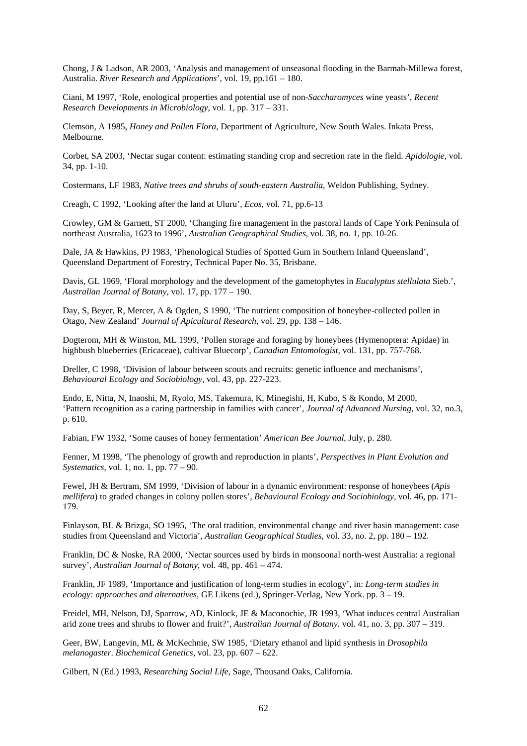Chong, J & Ladson, AR 2003, 'Analysis and management of unseasonal flooding in the Barmah-Millewa forest, Australia. *River Research and Applications*', vol. 19, pp.161 – 180.

Ciani, M 1997, 'Role, enological properties and potential use of non-*Saccharomyces* wine yeasts', *Recent Research Developments in Microbiology*, vol. 1, pp. 317 – 331.

Clemson, A 1985, *Honey and Pollen Flora*, Department of Agriculture, New South Wales. Inkata Press, Melbourne.

Corbet, SA 2003, 'Nectar sugar content: estimating standing crop and secretion rate in the field. *Apidologie*, vol. 34, pp. 1-10.

Costermans, LF 1983, *Native trees and shrubs of south-eastern Australia*, Weldon Publishing, Sydney.

Creagh, C 1992, 'Looking after the land at Uluru', *Ecos*, vol. 71, pp.6-13

Crowley, GM & Garnett, ST 2000, 'Changing fire management in the pastoral lands of Cape York Peninsula of northeast Australia, 1623 to 1996', *Australian Geographical Studies*, vol. 38, no. 1, pp. 10-26.

Dale, JA & Hawkins, PJ 1983, 'Phenological Studies of Spotted Gum in Southern Inland Queensland', Queensland Department of Forestry, Technical Paper No. 35, Brisbane.

Davis, GL 1969, 'Floral morphology and the development of the gametophytes in *Eucalyptus stellulata* Sieb.', *Australian Journal of Botany*, vol. 17, pp. 177 – 190.

Day, S, Beyer, R, Mercer, A & Ogden, S 1990, 'The nutrient composition of honeybee-collected pollen in Otago, New Zealand' *Journal of Apicultural Research*, vol. 29, pp. 138 – 146.

Dogterom, MH & Winston, ML 1999, 'Pollen storage and foraging by honeybees (Hymenoptera: Apidae) in highbush blueberries (Ericaceae), cultivar Bluecorp', *Canadian Entomologist*, vol. 131, pp. 757-768.

Dreller, C 1998, 'Division of labour between scouts and recruits: genetic influence and mechanisms', *Behavioural Ecology and Sociobiology*, vol. 43, pp. 227-223.

Endo, E, Nitta, N, Inaoshi, M, Ryolo, MS, Takemura, K, Minegishi, H, Kubo, S & Kondo, M 2000, 'Pattern recognition as a caring partnership in families with cancer', *Journal of Advanced Nursing*, vol. 32, no.3, p. 610.

Fabian, FW 1932, 'Some causes of honey fermentation' *American Bee Journal*, July, p. 280.

Fenner, M 1998, 'The phenology of growth and reproduction in plants', *Perspectives in Plant Evolution and Systematics*, vol. 1, no. 1, pp. 77 – 90.

Fewel, JH & Bertram, SM 1999, 'Division of labour in a dynamic environment: response of honeybees (*Apis mellifera*) to graded changes in colony pollen stores', *Behavioural Ecology and Sociobiology*, vol. 46, pp. 171- 179.

Finlayson, BL & Brizga, SO 1995, 'The oral tradition, environmental change and river basin management: case studies from Queensland and Victoria', *Australian Geographical Studies*, vol. 33, no. 2, pp. 180 – 192.

Franklin, DC & Noske, RA 2000, 'Nectar sources used by birds in monsoonal north-west Australia: a regional survey', *Australian Journal of Botany*, vol. 48, pp. 461 – 474.

Franklin, JF 1989, 'Importance and justification of long-term studies in ecology', in: *Long-term studies in ecology: approaches and alternatives*, GE Likens (ed.), Springer-Verlag, New York. pp. 3 – 19.

Freidel, MH, Nelson, DJ, Sparrow, AD, Kinlock, JE & Maconochie, JR 1993, 'What induces central Australian arid zone trees and shrubs to flower and fruit?', *Australian Journal of Botany*. vol. 41, no. 3, pp. 307 – 319.

Geer, BW, Langevin, ML & McKechnie, SW 1985, 'Dietary ethanol and lipid synthesis in *Drosophila melanogaster*. *Biochemical Genetics*, vol. 23, pp. 607 – 622.

Gilbert, N (Ed.) 1993, *Researching Social Life*, Sage, Thousand Oaks, California.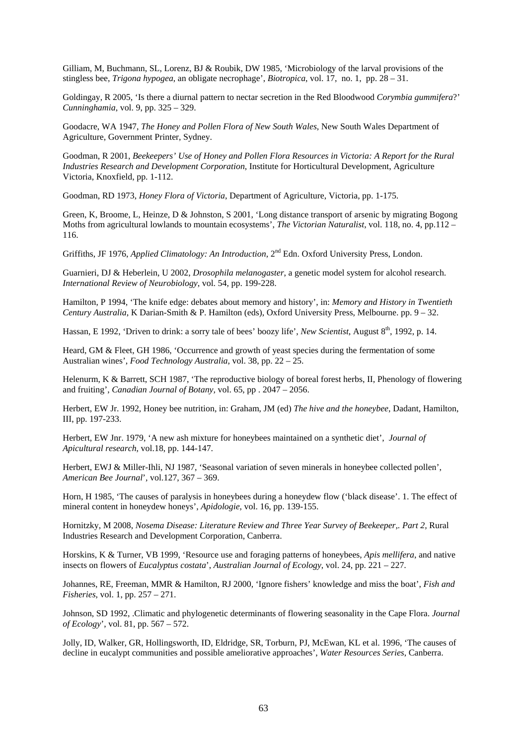Gilliam, M, Buchmann, SL, Lorenz, BJ & Roubik, DW 1985, 'Microbiology of the larval provisions of the stingless bee, *Trigona hypogea*, an obligate necrophage', *Biotropica*, vol. 17, no. 1, pp. 28 – 31.

Goldingay, R 2005, 'Is there a diurnal pattern to nectar secretion in the Red Bloodwood *Corymbia gummifera*?' *Cunninghamia*, vol. 9, pp. 325 – 329.

Goodacre, WA 1947, *The Honey and Pollen Flora of New South Wales*, New South Wales Department of Agriculture, Government Printer, Sydney.

Goodman, R 2001, *Beekeepers' Use of Honey and Pollen Flora Resources in Victoria: A Report for the Rural Industries Research and Development Corporation*, Institute for Horticultural Development, Agriculture Victoria, Knoxfield, pp. 1-112.

Goodman, RD 1973, *Honey Flora of Victoria*, Department of Agriculture, Victoria, pp. 1-175.

Green, K, Broome, L, Heinze, D & Johnston, S 2001, 'Long distance transport of arsenic by migrating Bogong Moths from agricultural lowlands to mountain ecosystems', *The Victorian Naturalist*, vol. 118, no. 4, pp.112 – 116.

Griffiths, JF 1976, *Applied Climatology: An Introduction*, 2nd Edn. Oxford University Press, London.

Guarnieri, DJ & Heberlein, U 2002, *Drosophila melanogaster*, a genetic model system for alcohol research. *International Review of Neurobiology*, vol. 54, pp. 199-228.

Hamilton, P 1994, 'The knife edge: debates about memory and history', in: *Memory and History in Twentieth Century Australia*, K Darian-Smith & P. Hamilton (eds), Oxford University Press, Melbourne. pp. 9 – 32.

Hassan, E 1992, 'Driven to drink: a sorry tale of bees' boozy life', *New Scientist*, August 8th, 1992, p. 14.

Heard, GM & Fleet, GH 1986, 'Occurrence and growth of yeast species during the fermentation of some Australian wines', *Food Technology Australia*, vol. 38, pp. 22 – 25.

Helenurm, K & Barrett, SCH 1987, 'The reproductive biology of boreal forest herbs, II, Phenology of flowering and fruiting', *Canadian Journal of Botany,* vol. 65, pp . 2047 – 2056.

Herbert, EW Jr. 1992, Honey bee nutrition, in: Graham, JM (ed) *The hive and the honeybee*, Dadant, Hamilton, III, pp. 197-233.

Herbert, EW Jnr. 1979, 'A new ash mixture for honeybees maintained on a synthetic diet', *Journal of Apicultural research*, vol.18, pp. 144-147.

Herbert, EWJ & Miller-Ihli, NJ 1987, 'Seasonal variation of seven minerals in honeybee collected pollen', *American Bee Journal*'*,* vol.127, 367 – 369.

Horn, H 1985, 'The causes of paralysis in honeybees during a honeydew flow ('black disease'. 1. The effect of mineral content in honeydew honeys', *Apidologie*, vol. 16, pp. 139-155.

Hornitzky, M 2008, *Nosema Disease: Literature Review and Three Year Survey of Beekeeper,. Part 2,* Rural Industries Research and Development Corporation, Canberra.

Horskins, K & Turner, VB 1999, 'Resource use and foraging patterns of honeybees, *Apis mellifera*, and native insects on flowers of *Eucalyptus costata*', *Australian Journal of Ecology*, vol. 24, pp. 221 – 227.

Johannes, RE, Freeman, MMR & Hamilton, RJ 2000, 'Ignore fishers' knowledge and miss the boat', *Fish and Fisheries*, vol. 1, pp. 257 – 271.

Johnson, SD 1992, .Climatic and phylogenetic determinants of flowering seasonality in the Cape Flora. *Journal of Ecology*', vol. 81, pp. 567 – 572.

Jolly, ID, Walker, GR, Hollingsworth, ID, Eldridge, SR, Torburn, PJ, McEwan, KL et al. 1996, 'The causes of decline in eucalypt communities and possible ameliorative approaches', *Water Resources Series*, Canberra.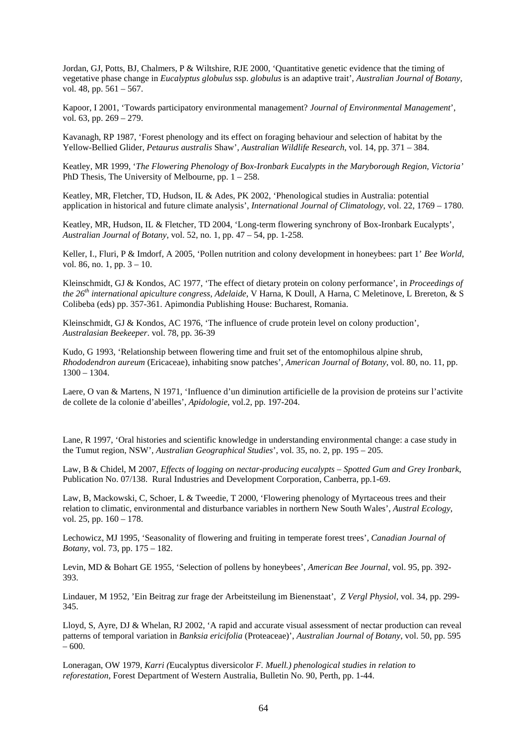Jordan, GJ, Potts, BJ, Chalmers, P & Wiltshire, RJE 2000, 'Quantitative genetic evidence that the timing of vegetative phase change in *Eucalyptus globulus* ssp. *globulus* is an adaptive trait', *Australian Journal of Botany*, vol. 48, pp. 561 – 567.

Kapoor, I 2001, 'Towards participatory environmental management? *Journal of Environmental Management*', vol. 63, pp. 269 – 279.

Kavanagh, RP 1987, 'Forest phenology and its effect on foraging behaviour and selection of habitat by the Yellow-Bellied Glider, *Petaurus australis* Shaw', *Australian Wildlife Research*, vol. 14, pp. 371 – 384.

Keatley, MR 1999, '*The Flowering Phenology of Box-Ironbark Eucalypts in the Maryborough Region, Victoria'* PhD Thesis, The University of Melbourne, pp.  $1 - 258$ .

Keatley, MR, Fletcher, TD, Hudson, IL & Ades, PK 2002, 'Phenological studies in Australia: potential application in historical and future climate analysis', *International Journal of Climatology*, vol. 22, 1769 – 1780.

Keatley, MR, Hudson, IL & Fletcher, TD 2004, 'Long-term flowering synchrony of Box-Ironbark Eucalypts', *Australian Journal of Botany*, vol. 52, no. 1, pp. 47 – 54, pp. 1-258.

Keller, I., Fluri, P & Imdorf, A 2005, 'Pollen nutrition and colony development in honeybees: part 1' *Bee World*, vol. 86, no. 1, pp. 3 – 10.

Kleinschmidt, GJ & Kondos, AC 1977, 'The effect of dietary protein on colony performance', in *Proceedings of the 26th international apiculture congress, Adelaide*, V Harna, K Doull, A Harna, C Meletinove, L Brereton, & S Colibeba (eds) pp. 357-361. Apimondia Publishing House: Bucharest, Romania.

Kleinschmidt, GJ & Kondos, AC 1976, 'The influence of crude protein level on colony production', *Australasian Beekeeper*. vol. 78, pp. 36-39

Kudo, G 1993, 'Relationship between flowering time and fruit set of the entomophilous alpine shrub, *Rhododendron aureum* (Ericaceae), inhabiting snow patches', *American Journal of Botany*, vol. 80, no. 11, pp. 1300 – 1304.

Laere, O van & Martens, N 1971, 'Influence d'un diminution artificielle de la provision de proteins sur l'activite de collete de la colonie d'abeilles', *Apidologie*, vol.2, pp. 197-204.

Lane, R 1997, 'Oral histories and scientific knowledge in understanding environmental change: a case study in the Tumut region, NSW', *Australian Geographical Studies*', vol. 35, no. 2, pp. 195 – 205.

Law, B & Chidel, M 2007, *Effects of logging on nectar-producing eucalypts – Spotted Gum and Grey Ironbark*, Publication No. 07/138. Rural Industries and Development Corporation, Canberra, pp.1-69.

Law, B, Mackowski, C, Schoer, L & Tweedie, T 2000, 'Flowering phenology of Myrtaceous trees and their relation to climatic, environmental and disturbance variables in northern New South Wales', *Austral Ecology*, vol. 25, pp. 160 – 178.

Lechowicz, MJ 1995, 'Seasonality of flowering and fruiting in temperate forest trees', *Canadian Journal of Botany*, vol. 73, pp. 175 – 182.

Levin, MD & Bohart GE 1955, 'Selection of pollens by honeybees', *American Bee Journal*, vol. 95, pp. 392- 393.

Lindauer, M 1952, 'Ein Beitrag zur frage der Arbeitsteilung im Bienenstaat', *Z Vergl Physiol,* vol. 34, pp. 299- 345.

Lloyd, S, Ayre, DJ & Whelan, RJ 2002, 'A rapid and accurate visual assessment of nectar production can reveal patterns of temporal variation in *Banksia ericifolia* (Proteaceae)', *Australian Journal of Botany*, vol. 50, pp. 595  $-600.$ 

Loneragan, OW 1979, *Karri (*Eucalyptus diversicolor *F. Muell.) phenological studies in relation to reforestation*, Forest Department of Western Australia, Bulletin No. 90, Perth, pp. 1-44.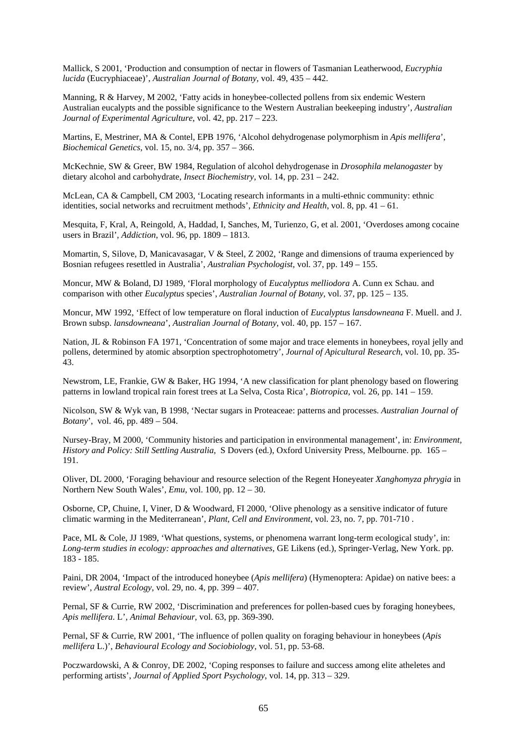Mallick, S 2001, 'Production and consumption of nectar in flowers of Tasmanian Leatherwood, *Eucryphia lucida* (Eucryphiaceae)', *Australian Journal of Botany*, vol. 49, 435 – 442.

Manning, R & Harvey, M 2002, 'Fatty acids in honeybee-collected pollens from six endemic Western Australian eucalypts and the possible significance to the Western Australian beekeeping industry', *Australian Journal of Experimental Agriculture*, vol. 42, pp. 217 – 223.

Martins, E, Mestriner, MA & Contel, EPB 1976, 'Alcohol dehydrogenase polymorphism in *Apis mellifera*', *Biochemical Genetics*, vol. 15, no. 3/4, pp. 357 – 366.

McKechnie, SW & Greer, BW 1984, Regulation of alcohol dehydrogenase in *Drosophila melanogaster* by dietary alcohol and carbohydrate, *Insect Biochemistry*, vol. 14, pp. 231 – 242.

McLean, CA & Campbell, CM 2003, 'Locating research informants in a multi-ethnic community: ethnic identities, social networks and recruitment methods', *Ethnicity and Health*, vol. 8, pp. 41 – 61.

Mesquita, F, Kral, A, Reingold, A, Haddad, I, Sanches, M, Turienzo, G, et al. 2001, 'Overdoses among cocaine users in Brazil', *Addiction*, vol. 96, pp. 1809 – 1813.

Momartin, S, Silove, D, Manicavasagar, V & Steel, Z 2002, 'Range and dimensions of trauma experienced by Bosnian refugees resettled in Australia', *Australian Psychologist*, vol. 37, pp. 149 – 155.

Moncur, MW & Boland, DJ 1989, 'Floral morphology of *Eucalyptus melliodora* A. Cunn ex Schau. and comparison with other *Eucalyptus* species', *Australian Journal of Botany*, vol. 37, pp. 125 – 135.

Moncur, MW 1992, 'Effect of low temperature on floral induction of *Eucalyptus lansdowneana* F. Muell. and J. Brown subsp. *lansdowneana*', *Australian Journal of Botany*, vol. 40, pp. 157 – 167.

Nation, JL & Robinson FA 1971, 'Concentration of some major and trace elements in honeybees, royal jelly and pollens, determined by atomic absorption spectrophotometry', *Journal of Apicultural Research*, vol. 10, pp. 35- 43.

Newstrom, LE, Frankie, GW & Baker, HG 1994, 'A new classification for plant phenology based on flowering patterns in lowland tropical rain forest trees at La Selva, Costa Rica', *Biotropica*, vol. 26, pp. 141 – 159.

Nicolson, SW & Wyk van, B 1998, 'Nectar sugars in Proteaceae: patterns and processes. *Australian Journal of Botany*', vol. 46, pp. 489 – 504.

Nursey-Bray, M 2000, 'Community histories and participation in environmental management', in: *Environment, History and Policy: Still Settling Australia*, S Dovers (ed.), Oxford University Press, Melbourne. pp. 165 – 191.

Oliver, DL 2000, 'Foraging behaviour and resource selection of the Regent Honeyeater *Xanghomyza phrygia* in Northern New South Wales', *Emu*, vol. 100, pp. 12 – 30.

Osborne, CP, Chuine, I, Viner, D & Woodward, FI 2000, 'Olive phenology as a sensitive indicator of future climatic warming in the Mediterranean', *Plant, Cell and Environment*, vol. 23, no. 7, pp. 701-710 .

Pace, ML & Cole, JJ 1989, 'What questions, systems, or phenomena warrant long-term ecological study', in: *Long-term studies in ecology: approaches and alternatives*, GE Likens (ed.), Springer-Verlag, New York. pp. 183 - 185.

Paini, DR 2004, 'Impact of the introduced honeybee (*Apis mellifera*) (Hymenoptera: Apidae) on native bees: a review', *Austral Ecology*, vol. 29, no. 4, pp. 399 – 407.

Pernal, SF & Currie, RW 2002, 'Discrimination and preferences for pollen-based cues by foraging honeybees, *Apis mellifera*. L', *Animal Behaviour*, vol. 63, pp. 369-390.

Pernal, SF & Currie, RW 2001, 'The influence of pollen quality on foraging behaviour in honeybees (*Apis mellifera* L.)', *Behavioural Ecology and Sociobiology*, vol. 51, pp. 53-68.

Poczwardowski, A & Conroy, DE 2002, 'Coping responses to failure and success among elite atheletes and performing artists', *Journal of Applied Sport Psychology*, vol. 14, pp. 313 – 329.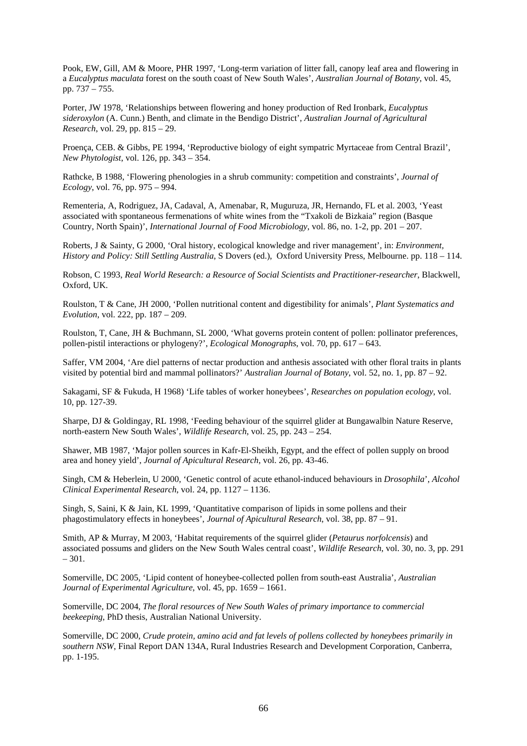Pook, EW, Gill, AM & Moore, PHR 1997, 'Long-term variation of litter fall, canopy leaf area and flowering in a *Eucalyptus maculata* forest on the south coast of New South Wales', *Australian Journal of Botany*, vol. 45, pp. 737 – 755.

Porter, JW 1978, 'Relationships between flowering and honey production of Red Ironbark, *Eucalyptus sideroxylon* (A. Cunn.) Benth, and climate in the Bendigo District', *Australian Journal of Agricultural Research*, vol. 29, pp. 815 – 29.

Proença, CEB. & Gibbs, PE 1994, 'Reproductive biology of eight sympatric Myrtaceae from Central Brazil', *New Phytologist*, vol. 126, pp. 343 – 354.

Rathcke, B 1988, 'Flowering phenologies in a shrub community: competition and constraints', *Journal of Ecology*, vol. 76, pp. 975 – 994.

Rementeria, A, Rodriguez, JA, Cadaval, A, Amenabar, R, Muguruza, JR, Hernando, FL et al. 2003, 'Yeast associated with spontaneous fermenations of white wines from the "Txakoli de Bizkaia" region (Basque Country, North Spain)', *International Journal of Food Microbiology*, vol. 86, no. 1-2, pp. 201 – 207.

Roberts, J & Sainty, G 2000, 'Oral history, ecological knowledge and river management', in: *Environment, History and Policy: Still Settling Australia*, S Dovers (ed.), Oxford University Press, Melbourne. pp. 118 – 114.

Robson, C 1993, *Real World Research: a Resource of Social Scientists and Practitioner-researcher*, Blackwell, Oxford, UK.

Roulston, T & Cane, JH 2000, 'Pollen nutritional content and digestibility for animals', *Plant Systematics and Evolution*, vol. 222, pp. 187 – 209.

Roulston, T, Cane, JH & Buchmann, SL 2000, 'What governs protein content of pollen: pollinator preferences, pollen-pistil interactions or phylogeny?', *Ecological Monographs*, vol. 70, pp. 617 – 643.

Saffer, VM 2004, 'Are diel patterns of nectar production and anthesis associated with other floral traits in plants visited by potential bird and mammal pollinators?' *Australian Journal of Botany*, vol. 52, no. 1, pp. 87 – 92.

Sakagami, SF & Fukuda, H 1968) 'Life tables of worker honeybees', *Researches on population ecology*, vol. 10, pp. 127-39.

Sharpe, DJ & Goldingay, RL 1998, 'Feeding behaviour of the squirrel glider at Bungawalbin Nature Reserve, north-eastern New South Wales', *Wildlife Research*, vol. 25, pp. 243 – 254.

Shawer, MB 1987, 'Major pollen sources in Kafr-El-Sheikh, Egypt, and the effect of pollen supply on brood area and honey yield', *Journal of Apicultural Research*, vol. 26, pp. 43-46.

Singh, CM & Heberlein, U 2000, 'Genetic control of acute ethanol-induced behaviours in *Drosophila*', *Alcohol Clinical Experimental Research*, vol. 24, pp. 1127 – 1136.

Singh, S, Saini, K & Jain, KL 1999, 'Quantitative comparison of lipids in some pollens and their phagostimulatory effects in honeybees', *Journal of Apicultural Research*, vol. 38, pp. 87 – 91.

Smith, AP & Murray, M 2003, 'Habitat requirements of the squirrel glider (*Petaurus norfolcensis*) and associated possums and gliders on the New South Wales central coast', *Wildlife Research*, vol. 30, no. 3, pp. 291  $-301.$ 

Somerville, DC 2005, 'Lipid content of honeybee-collected pollen from south-east Australia', *Australian Journal of Experimental Agriculture*, vol. 45, pp. 1659 – 1661.

Somerville, DC 2004, *The floral resources of New South Wales of primary importance to commercial beekeeping*, PhD thesis, Australian National University.

Somerville, DC 2000, *Crude protein, amino acid and fat levels of pollens collected by honeybees primarily in southern NSW*, Final Report DAN 134A, Rural Industries Research and Development Corporation, Canberra, pp. 1-195.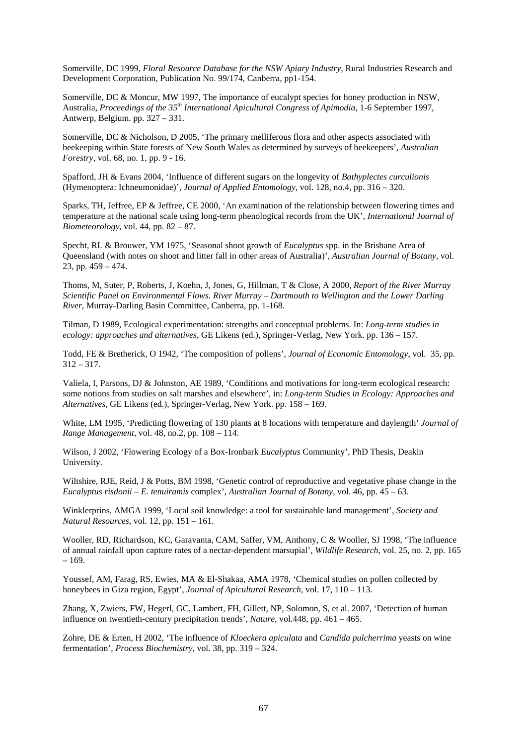Somerville, DC 1999, *Floral Resource Database for the NSW Apiary Industry*, Rural Industries Research and Development Corporation, Publication No. 99/174, Canberra, pp1-154.

Somerville, DC & Moncur, MW 1997, The importance of eucalypt species for honey production in NSW, Australia, *Proceedings of the 35th International Apicultural Congress of Apimodia*, 1-6 September 1997, Antwerp, Belgium. pp. 327 – 331.

Somerville, DC & Nicholson, D 2005, 'The primary melliferous flora and other aspects associated with beekeeping within State forests of New South Wales as determined by surveys of beekeepers', *Australian Forestry*, vol. 68, no. 1, pp. 9 - 16.

Spafford, JH & Evans 2004, 'Influence of different sugars on the longevity of *Bathyplectes curculionis* (Hymenoptera: Ichneumonidae)', *Journal of Applied Entomology*, vol. 128, no.4, pp. 316 – 320.

Sparks, TH, Jeffree, EP & Jeffree, CE 2000, 'An examination of the relationship between flowering times and temperature at the national scale using long-term phenological records from the UK', *International Journal of Biometeorology*, vol. 44, pp. 82 – 87.

Specht, RL & Brouwer, YM 1975, 'Seasonal shoot growth of *Eucalyptus* spp. in the Brisbane Area of Queensland (with notes on shoot and litter fall in other areas of Australia)', *Australian Journal of Botany*, vol. 23, pp. 459 – 474.

Thoms, M, Suter, P, Roberts, J, Koehn, J, Jones, G, Hillman, T & Close, A 2000, *Report of the River Murray Scientific Panel on Environmental Flows. River Murray – Dartmouth to Wellington and the Lower Darling River*, Murray-Darling Basin Committee, Canberra, pp. 1-168.

Tilman, D 1989, Ecological experimentation: strengths and conceptual problems. In: *Long-term studies in ecology: approaches and alternatives*, GE Likens (ed.), Springer-Verlag, New York. pp. 136 – 157.

Todd, FE & Bretherick, O 1942, 'The composition of pollens', *Journal of Economic Entomology*, vol. 35, pp.  $312 - 317.$ 

Valiela, I, Parsons, DJ & Johnston, AE 1989, 'Conditions and motivations for long-term ecological research: some notions from studies on salt marshes and elsewhere', in: *Long-term Studies in Ecology: Approaches and Alternatives,* GE Likens (ed.), Springer-Verlag, New York. pp. 158 – 169.

White, LM 1995, 'Predicting flowering of 130 plants at 8 locations with temperature and daylength' *Journal of Range Management*, vol. 48, no.2, pp. 108 – 114.

Wilson, J 2002, 'Flowering Ecology of a Box-Ironbark *Eucalyptus* Community', PhD Thesis, Deakin University.

Wiltshire, RJE, Reid, J & Potts, BM 1998, 'Genetic control of reproductive and vegetative phase change in the *Eucalyptus risdonii – E. tenuiramis* complex', *Australian Journal of Botany*, vol. 46, pp. 45 – 63.

Winklerprins, AMGA 1999, 'Local soil knowledge: a tool for sustainable land management', *Society and Natural Resources*, vol. 12, pp. 151 – 161.

Wooller, RD, Richardson, KC, Garavanta, CAM, Saffer, VM, Anthony, C & Wooller, SJ 1998, 'The influence of annual rainfall upon capture rates of a nectar-dependent marsupial', *Wildlife Research*, vol. 25, no. 2, pp. 165 – 169.

Youssef, AM, Farag, RS, Ewies, MA & El-Shakaa, AMA 1978, 'Chemical studies on pollen collected by honeybees in Giza region, Egypt', *Journal of Apicultural Research*, vol. 17, 110 – 113.

Zhang, X, Zwiers, FW, Hegerl, GC, Lambert, FH, Gillett, NP, Solomon, S, et al. 2007, 'Detection of human influence on twentieth-century precipitation trends', *Nature,* vol.448, pp. 461 – 465.

Zohre, DE & Erten, H 2002, 'The influence of *Kloeckera apiculata* and *Candida pulcherrima* yeasts on wine fermentation', *Process Biochemistry,* vol. 38, pp. 319 – 324.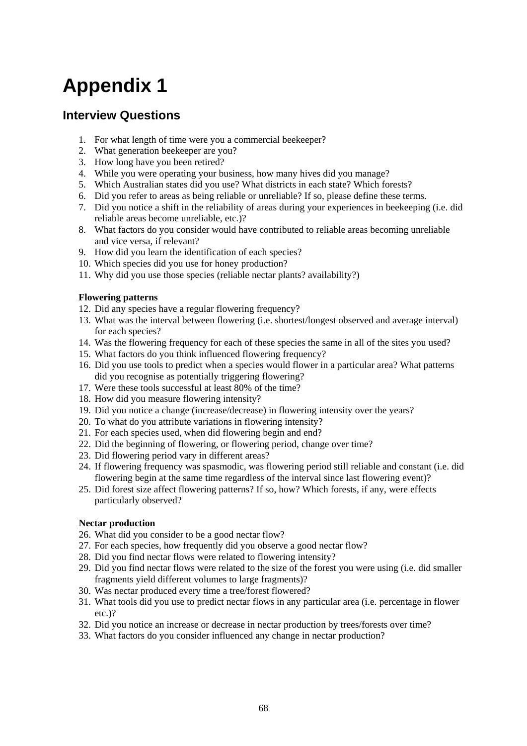# **Appendix 1**

### **Interview Questions**

- 1. For what length of time were you a commercial beekeeper?
- 2. What generation beekeeper are you?
- 3. How long have you been retired?
- 4. While you were operating your business, how many hives did you manage?
- 5. Which Australian states did you use? What districts in each state? Which forests?
- 6. Did you refer to areas as being reliable or unreliable? If so, please define these terms.
- 7. Did you notice a shift in the reliability of areas during your experiences in beekeeping (i.e. did reliable areas become unreliable, etc.)?
- 8. What factors do you consider would have contributed to reliable areas becoming unreliable and vice versa, if relevant?
- 9. How did you learn the identification of each species?
- 10. Which species did you use for honey production?
- 11. Why did you use those species (reliable nectar plants? availability?)

### **Flowering patterns**

- 12. Did any species have a regular flowering frequency?
- 13. What was the interval between flowering (i.e. shortest/longest observed and average interval) for each species?
- 14. Was the flowering frequency for each of these species the same in all of the sites you used?
- 15. What factors do you think influenced flowering frequency?
- 16. Did you use tools to predict when a species would flower in a particular area? What patterns did you recognise as potentially triggering flowering?
- 17. Were these tools successful at least 80% of the time?
- 18. How did you measure flowering intensity?
- 19. Did you notice a change (increase/decrease) in flowering intensity over the years?
- 20. To what do you attribute variations in flowering intensity?
- 21. For each species used, when did flowering begin and end?
- 22. Did the beginning of flowering, or flowering period, change over time?
- 23. Did flowering period vary in different areas?
- 24. If flowering frequency was spasmodic, was flowering period still reliable and constant (i.e. did flowering begin at the same time regardless of the interval since last flowering event)?
- 25. Did forest size affect flowering patterns? If so, how? Which forests, if any, were effects particularly observed?

### **Nectar production**

- 26. What did you consider to be a good nectar flow?
- 27. For each species, how frequently did you observe a good nectar flow?
- 28. Did you find nectar flows were related to flowering intensity?
- 29. Did you find nectar flows were related to the size of the forest you were using (i.e. did smaller fragments yield different volumes to large fragments)?
- 30. Was nectar produced every time a tree/forest flowered?
- 31. What tools did you use to predict nectar flows in any particular area (i.e. percentage in flower etc.)?
- 32. Did you notice an increase or decrease in nectar production by trees/forests over time?
- 33. What factors do you consider influenced any change in nectar production?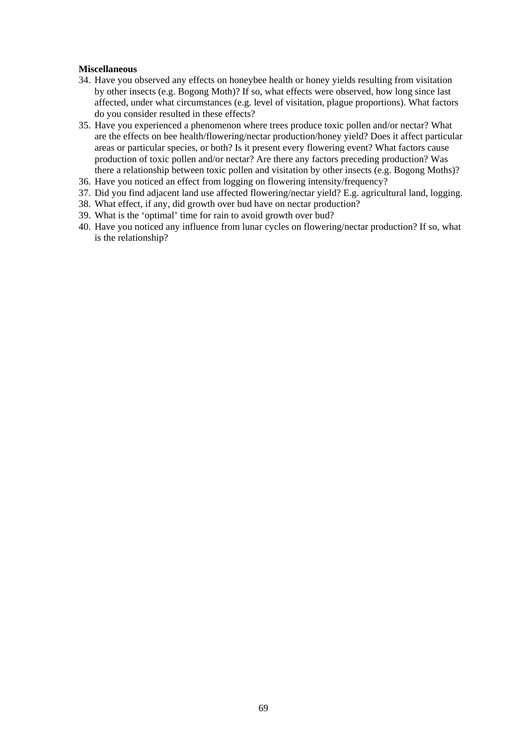### **Miscellaneous**

- 34. Have you observed any effects on honeybee health or honey yields resulting from visitation by other insects (e.g. Bogong Moth)? If so, what effects were observed, how long since last affected, under what circumstances (e.g. level of visitation, plague proportions). What factors do you consider resulted in these effects?
- 35. Have you experienced a phenomenon where trees produce toxic pollen and/or nectar? What are the effects on bee health/flowering/nectar production/honey yield? Does it affect particular areas or particular species, or both? Is it present every flowering event? What factors cause production of toxic pollen and/or nectar? Are there any factors preceding production? Was there a relationship between toxic pollen and visitation by other insects (e.g. Bogong Moths)?
- 36. Have you noticed an effect from logging on flowering intensity/frequency?
- 37. Did you find adjacent land use affected flowering/nectar yield? E.g. agricultural land, logging.
- 38. What effect, if any, did growth over bud have on nectar production?
- 39. What is the 'optimal' time for rain to avoid growth over bud?
- 40. Have you noticed any influence from lunar cycles on flowering/nectar production? If so, what is the relationship?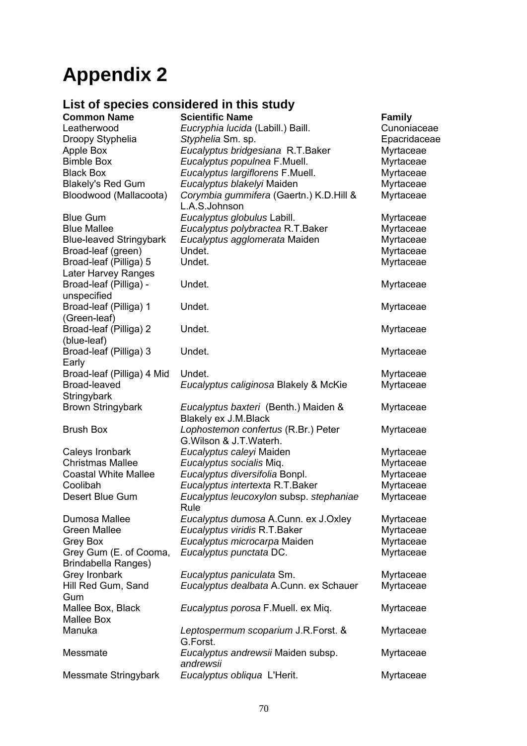# **Appendix 2**

## **List of species considered in this study**

|                                 | List of species considered in this study                         |               |
|---------------------------------|------------------------------------------------------------------|---------------|
| <b>Common Name</b>              | <b>Scientific Name</b>                                           | <b>Family</b> |
| Leatherwood                     | Eucryphia lucida (Labill.) Baill.                                | Cunoniaceae   |
| Droopy Styphelia                | Styphelia Sm. sp.                                                | Epacridaceae  |
| Apple Box                       | Eucalyptus bridgesiana R.T.Baker                                 | Myrtaceae     |
| <b>Bimble Box</b>               | Eucalyptus populnea F.Muell.                                     | Myrtaceae     |
| <b>Black Box</b>                | Eucalyptus largiflorens F.Muell.                                 | Myrtaceae     |
| <b>Blakely's Red Gum</b>        | Eucalyptus blakelyi Maiden                                       | Myrtaceae     |
| Bloodwood (Mallacoota)          | Corymbia gummifera (Gaertn.) K.D.Hill &<br>L.A.S.Johnson         | Myrtaceae     |
| <b>Blue Gum</b>                 | Eucalyptus globulus Labill.                                      | Myrtaceae     |
| <b>Blue Mallee</b>              | Eucalyptus polybractea R.T.Baker                                 | Myrtaceae     |
| <b>Blue-leaved Stringybark</b>  | Eucalyptus agglomerata Maiden                                    | Myrtaceae     |
| Broad-leaf (green)              | Undet.                                                           | Myrtaceae     |
| Broad-leaf (Pilliga) 5          | Undet.                                                           | Myrtaceae     |
| Later Harvey Ranges             |                                                                  |               |
| Broad-leaf (Pilliga) -          | Undet.                                                           | Myrtaceae     |
| unspecified                     |                                                                  |               |
| Broad-leaf (Pilliga) 1          | Undet.                                                           | Myrtaceae     |
| (Green-leaf)                    |                                                                  |               |
| Broad-leaf (Pilliga) 2          | Undet.                                                           | Myrtaceae     |
| (blue-leaf)                     |                                                                  |               |
| Broad-leaf (Pilliga) 3          | Undet.                                                           | Myrtaceae     |
| Early                           |                                                                  |               |
| Broad-leaf (Pilliga) 4 Mid      | Undet.                                                           | Myrtaceae     |
| Broad-leaved                    | Eucalyptus caliginosa Blakely & McKie                            | Myrtaceae     |
| Stringybark                     |                                                                  |               |
| <b>Brown Stringybark</b>        | Eucalyptus baxteri (Benth.) Maiden &<br>Blakely ex J.M.Black     | Myrtaceae     |
| <b>Brush Box</b>                | Lophostemon confertus (R.Br.) Peter<br>G. Wilson & J. T. Waterh. | Myrtaceae     |
| Caleys Ironbark                 | Eucalyptus caleyi Maiden                                         | Myrtaceae     |
| <b>Christmas Mallee</b>         | Eucalyptus socialis Miq.                                         | Myrtaceae     |
| <b>Coastal White Mallee</b>     | Eucalyptus diversifolia Bonpl.                                   | Myrtaceae     |
| Coolibah                        | Eucalyptus intertexta R.T. Baker                                 | Myrtaceae     |
| Desert Blue Gum                 | Eucalyptus leucoxylon subsp. stephaniae<br>Rule                  | Myrtaceae     |
| Dumosa Mallee                   | Eucalyptus dumosa A.Cunn. ex J.Oxley                             | Myrtaceae     |
| <b>Green Mallee</b>             | Eucalyptus viridis R.T. Baker                                    | Myrtaceae     |
| Grey Box                        | Eucalyptus microcarpa Maiden                                     | Myrtaceae     |
| Grey Gum (E. of Cooma,          | Eucalyptus punctata DC.                                          | Myrtaceae     |
| Brindabella Ranges)             |                                                                  |               |
| Grey Ironbark                   | Eucalyptus paniculata Sm.                                        | Myrtaceae     |
| Hill Red Gum, Sand              | Eucalyptus dealbata A.Cunn. ex Schauer                           | Myrtaceae     |
| Gum                             |                                                                  |               |
| Mallee Box, Black<br>Mallee Box | Eucalyptus porosa F.Muell. ex Miq.                               | Myrtaceae     |
| Manuka                          | Leptospermum scoparium J.R.Forst. &<br>G.Forst.                  | Myrtaceae     |
| Messmate                        | Eucalyptus andrewsii Maiden subsp.<br>andrewsii                  | Myrtaceae     |
| Messmate Stringybark            | Eucalyptus obliqua L'Herit.                                      | Myrtaceae     |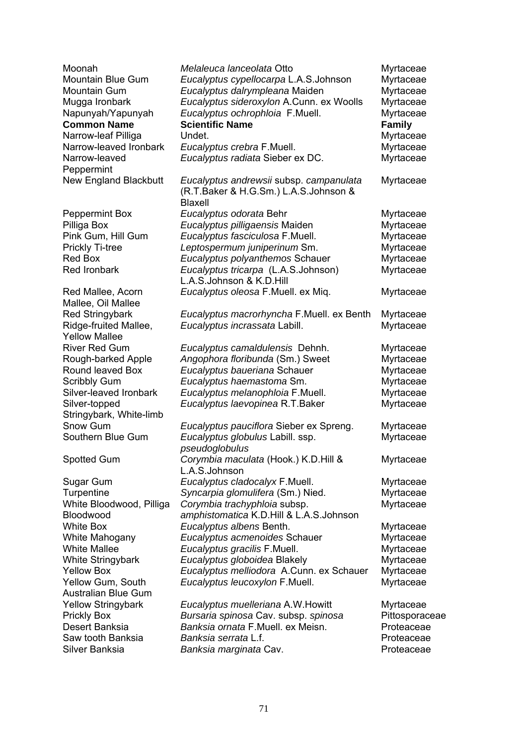| Moonah<br>Mountain Blue Gum  | Melaleuca lanceolata Otto                 | Myrtaceae<br>Myrtaceae |
|------------------------------|-------------------------------------------|------------------------|
|                              | Eucalyptus cypellocarpa L.A.S.Johnson     |                        |
| <b>Mountain Gum</b>          | Eucalyptus dalrympleana Maiden            | Myrtaceae              |
| Mugga Ironbark               | Eucalyptus sideroxylon A.Cunn. ex Woolls  | Myrtaceae              |
| Napunyah/Yapunyah            | Eucalyptus ochrophloia F.Muell.           | Myrtaceae              |
| <b>Common Name</b>           | <b>Scientific Name</b>                    | <b>Family</b>          |
| Narrow-leaf Pilliga          | Undet.                                    | Myrtaceae              |
| Narrow-leaved Ironbark       | Eucalyptus crebra F.Muell.                | Myrtaceae              |
| Narrow-leaved                | Eucalyptus radiata Sieber ex DC.          | Myrtaceae              |
| Peppermint                   |                                           |                        |
| <b>New England Blackbutt</b> | Eucalyptus andrewsii subsp. campanulata   | Myrtaceae              |
|                              | (R.T.Baker & H.G.Sm.) L.A.S.Johnson &     |                        |
|                              | <b>Blaxell</b>                            |                        |
| <b>Peppermint Box</b>        | Eucalyptus odorata Behr                   | Myrtaceae              |
| Pilliga Box                  | Eucalyptus pilligaensis Maiden            | Myrtaceae              |
| Pink Gum, Hill Gum           | Eucalyptus fasciculosa F.Muell.           | Myrtaceae              |
| Prickly Ti-tree              | Leptospermum juniperinum Sm.              | Myrtaceae              |
| <b>Red Box</b>               | Eucalyptus polyanthemos Schauer           | Myrtaceae              |
| Red Ironbark                 | Eucalyptus tricarpa (L.A.S.Johnson)       | Myrtaceae              |
|                              | L.A.S.Johnson & K.D.Hill                  |                        |
| Red Mallee, Acorn            | Eucalyptus oleosa F.Muell. ex Miq.        | Myrtaceae              |
| Mallee, Oil Mallee           |                                           |                        |
| <b>Red Stringybark</b>       | Eucalyptus macrorhyncha F.Muell. ex Benth | Myrtaceae              |
| Ridge-fruited Mallee,        | Eucalyptus incrassata Labill.             | Myrtaceae              |
| <b>Yellow Mallee</b>         |                                           |                        |
| <b>River Red Gum</b>         | Eucalyptus camaldulensis Dehnh.           | Myrtaceae              |
| Rough-barked Apple           | Angophora floribunda (Sm.) Sweet          | Myrtaceae              |
| Round leaved Box             | Eucalyptus baueriana Schauer              | Myrtaceae              |
| <b>Scribbly Gum</b>          | Eucalyptus haemastoma Sm.                 | Myrtaceae              |
| Silver-leaved Ironbark       | Eucalyptus melanophloia F.Muell.          | Myrtaceae              |
| Silver-topped                | Eucalyptus laevopinea R.T.Baker           | Myrtaceae              |
| Stringybark, White-limb      |                                           |                        |
| Snow Gum                     | Eucalyptus pauciflora Sieber ex Spreng.   | Myrtaceae              |
| Southern Blue Gum            | Eucalyptus globulus Labill. ssp.          | Myrtaceae              |
|                              | pseudoglobulus                            |                        |
| Spotted Gum                  | Corymbia maculata (Hook.) K.D.Hill &      | Myrtaceae              |
|                              | L.A.S.Johnson                             |                        |
| Sugar Gum                    | Eucalyptus cladocalyx F.Muell.            | Myrtaceae              |
| Turpentine                   | Syncarpia glomulifera (Sm.) Nied.         | Myrtaceae              |
| White Bloodwood, Pilliga     | Corymbia trachyphloia subsp.              | Myrtaceae              |
| Bloodwood                    | amphistomatica K.D.Hill & L.A.S.Johnson   |                        |
| <b>White Box</b>             | Eucalyptus albens Benth.                  | Myrtaceae              |
| White Mahogany               | Eucalyptus acmenoides Schauer             | Myrtaceae              |
| <b>White Mallee</b>          | Eucalyptus gracilis F.Muell.              | Myrtaceae              |
| White Stringybark            | Eucalyptus globoidea Blakely              | Myrtaceae              |
| <b>Yellow Box</b>            | Eucalyptus melliodora A.Cunn. ex Schauer  | Myrtaceae              |
| Yellow Gum, South            | Eucalyptus leucoxylon F.Muell.            | Myrtaceae              |
| <b>Australian Blue Gum</b>   |                                           |                        |
| <b>Yellow Stringybark</b>    | Eucalyptus muelleriana A.W. Howitt        | Myrtaceae              |
| <b>Prickly Box</b>           | Bursaria spinosa Cav. subsp. spinosa      | Pittosporaceae         |
| Desert Banksia               | Banksia ornata F.Muell. ex Meisn.         | Proteaceae             |
| Saw tooth Banksia            | Banksia serrata L.f.                      | Proteaceae             |
| Silver Banksia               | Banksia marginata Cav.                    | Proteaceae             |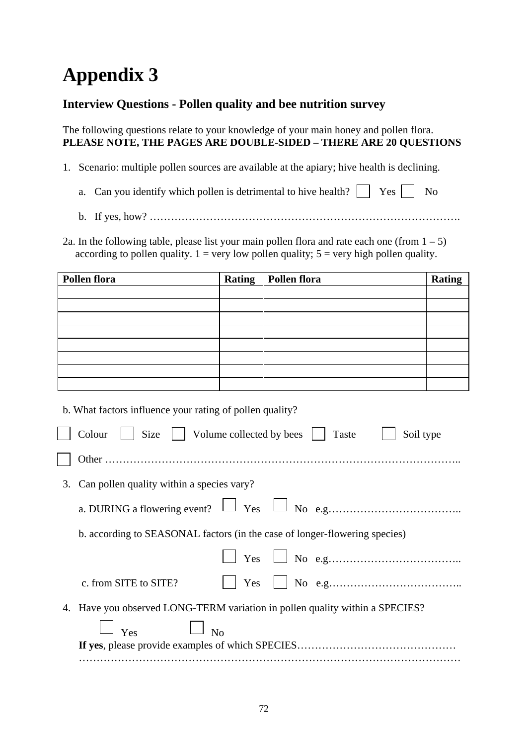# **Appendix 3**

## **Interview Questions - Pollen quality and bee nutrition survey**

The following questions relate to your knowledge of your main honey and pollen flora. **PLEASE NOTE, THE PAGES ARE DOUBLE-SIDED – THERE ARE 20 QUESTIONS** 

- 1. Scenario: multiple pollen sources are available at the apiary; hive health is declining.
	- a. Can you identify which pollen is detrimental to hive health?  $\Box$  Yes  $\Box$  No
	- b. If yes, how? …………………………………………………………………………….

2a. In the following table, please list your main pollen flora and rate each one (from  $1 - 5$ ) according to pollen quality.  $1 = \text{very low pollen quality}; 5 = \text{very high pollen quality}.$ 

| <b>Pollen flora</b> | <b>Rating</b> | <b>Pollen flora</b> | <b>Rating</b> |
|---------------------|---------------|---------------------|---------------|
|                     |               |                     |               |
|                     |               |                     |               |
|                     |               |                     |               |
|                     |               |                     |               |
|                     |               |                     |               |
|                     |               |                     |               |
|                     |               |                     |               |
|                     |               |                     |               |

b. What factors influence your rating of pollen quality?

|    | Colour     Size     Volume collected by bees    <br>Taste<br>Soil type     |
|----|----------------------------------------------------------------------------|
|    |                                                                            |
| 3. | Can pollen quality within a species vary?                                  |
|    |                                                                            |
|    | b. according to SEASONAL factors (in the case of longer-flowering species) |
|    |                                                                            |
|    | Yes<br>c. from SITE to SITE?                                               |
| 4. | Have you observed LONG-TERM variation in pollen quality within a SPECIES?  |
|    | $\Box$ $_{\text{Yes}}$ $\Box$ $_{\text{No}}$                               |
|    |                                                                            |
|    |                                                                            |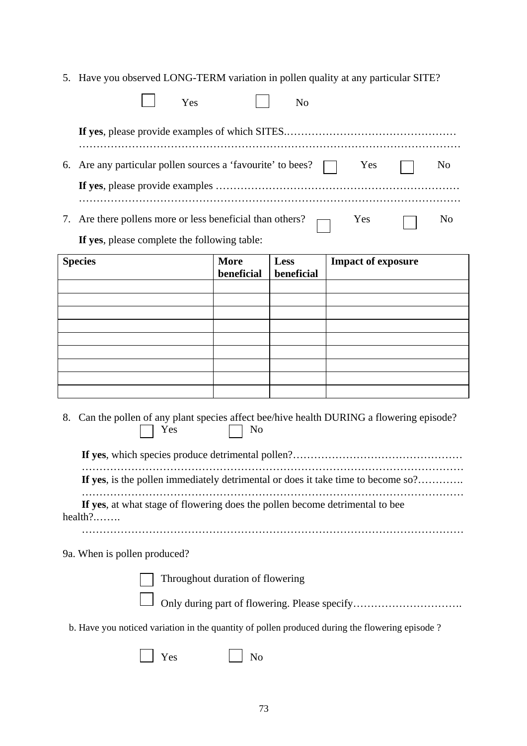5. Have you observed LONG-TERM variation in pollen quality at any particular SITE?

|    | Yes                                                                                                    |                                  | N <sub>o</sub>     |                                                                                        |
|----|--------------------------------------------------------------------------------------------------------|----------------------------------|--------------------|----------------------------------------------------------------------------------------|
|    |                                                                                                        |                                  |                    |                                                                                        |
| 6. | Are any particular pollen sources a 'favourite' to bees? $\Box$                                        |                                  |                    | Yes<br>N <sub>0</sub>                                                                  |
|    |                                                                                                        |                                  |                    |                                                                                        |
| 7. | Are there pollens more or less beneficial than others?<br>If yes, please complete the following table: |                                  |                    | Yes<br>N <sub>0</sub>                                                                  |
|    | <b>Species</b>                                                                                         | <b>More</b><br>beneficial        | Less<br>beneficial | <b>Impact of exposure</b>                                                              |
|    |                                                                                                        |                                  |                    |                                                                                        |
|    |                                                                                                        |                                  |                    |                                                                                        |
|    |                                                                                                        |                                  |                    |                                                                                        |
|    |                                                                                                        |                                  |                    |                                                                                        |
|    |                                                                                                        |                                  |                    |                                                                                        |
| 8. | Yes                                                                                                    | No                               |                    | Can the pollen of any plant species affect bee/hive health DURING a flowering episode? |
|    |                                                                                                        |                                  |                    | If yes, is the pollen immediately detrimental or does it take time to become so?       |
|    | If yes, at what stage of flowering does the pollen become detrimental to bee<br>health?                |                                  |                    |                                                                                        |
|    | 9a. When is pollen produced?                                                                           |                                  |                    |                                                                                        |
|    |                                                                                                        | Throughout duration of flowering |                    | Only during part of flowering. Please specify                                          |
|    | b. Have you noticed variation in the quantity of pollen produced during the flowering episode ?        |                                  |                    |                                                                                        |
|    | Yes                                                                                                    | No                               |                    |                                                                                        |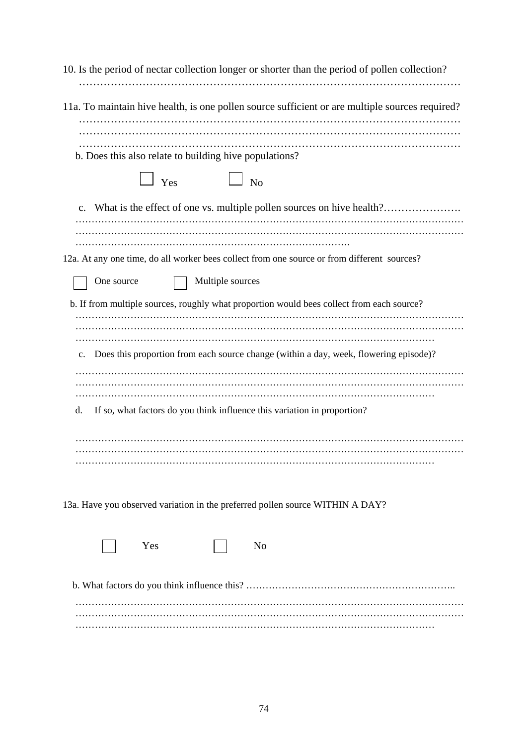| 10. Is the period of nectar collection longer or shorter than the period of pollen collection?  |
|-------------------------------------------------------------------------------------------------|
| 11a. To maintain hive health, is one pollen source sufficient or are multiple sources required? |
| b. Does this also relate to building hive populations?                                          |
| $\Box$ Yes<br>$\Box$ No                                                                         |
| What is the effect of one vs. multiple pollen sources on hive health?<br>$\mathbf{c}$ .         |
|                                                                                                 |
| 12a. At any one time, do all worker bees collect from one source or from different sources?     |
| Multiple sources<br>One source                                                                  |
| b. If from multiple sources, roughly what proportion would bees collect from each source?       |
| Does this proportion from each source change (within a day, week, flowering episode)?<br>c.     |
| If so, what factors do you think influence this variation in proportion?<br>d.                  |
|                                                                                                 |
| 13a. Have you observed variation in the preferred pollen source WITHIN A DAY?                   |
| Yes<br>N <sub>o</sub>                                                                           |
|                                                                                                 |
|                                                                                                 |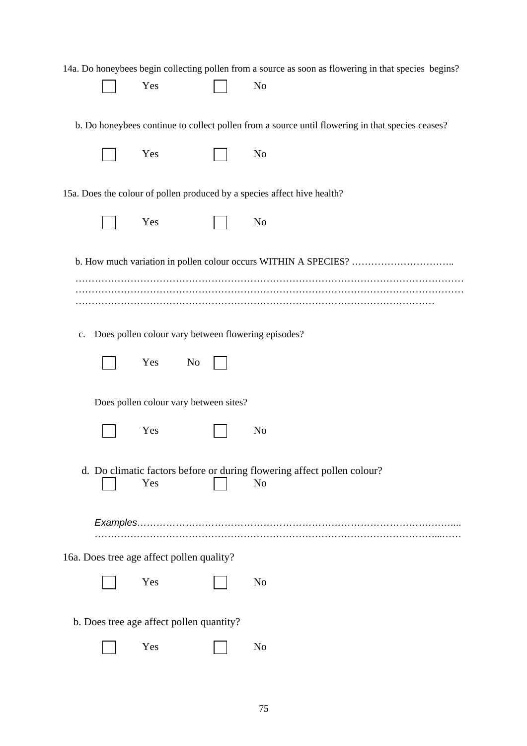|    |                                                     | 14a. Do honeybees begin collecting pollen from a source as soon as flowering in that species begins? |
|----|-----------------------------------------------------|------------------------------------------------------------------------------------------------------|
|    | Yes                                                 | N <sub>0</sub>                                                                                       |
|    |                                                     |                                                                                                      |
|    |                                                     | b. Do honeybees continue to collect pollen from a source until flowering in that species ceases?     |
|    | Yes                                                 | N <sub>o</sub>                                                                                       |
|    |                                                     |                                                                                                      |
|    |                                                     | 15a. Does the colour of pollen produced by a species affect hive health?                             |
|    | Yes                                                 | N <sub>o</sub>                                                                                       |
|    |                                                     |                                                                                                      |
|    |                                                     |                                                                                                      |
|    |                                                     |                                                                                                      |
|    |                                                     |                                                                                                      |
|    |                                                     |                                                                                                      |
| c. | Does pollen colour vary between flowering episodes? |                                                                                                      |
|    |                                                     |                                                                                                      |
|    | Yes<br>N <sub>0</sub>                               |                                                                                                      |
|    |                                                     |                                                                                                      |
|    | Does pollen colour vary between sites?              |                                                                                                      |
|    | Yes                                                 | N <sub>0</sub>                                                                                       |
|    |                                                     |                                                                                                      |
|    |                                                     |                                                                                                      |
|    | Yes                                                 | d. Do climatic factors before or during flowering affect pollen colour?<br>N <sub>o</sub>            |
|    |                                                     |                                                                                                      |
|    |                                                     |                                                                                                      |
|    |                                                     |                                                                                                      |
|    | 16a. Does tree age affect pollen quality?           |                                                                                                      |
|    | Yes                                                 | N <sub>o</sub>                                                                                       |
|    |                                                     |                                                                                                      |
|    | b. Does tree age affect pollen quantity?            |                                                                                                      |
|    | Yes                                                 | N <sub>o</sub>                                                                                       |
|    |                                                     |                                                                                                      |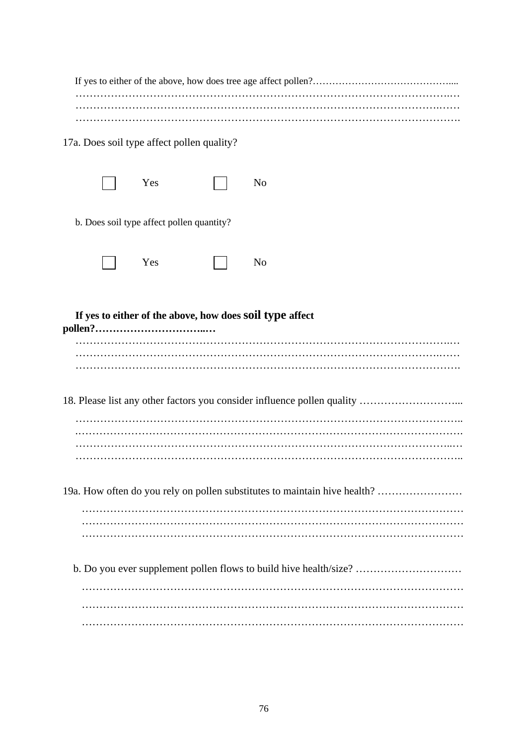| 17a. Does soil type affect pollen quality?                                |                                           |  |                                                                         |  |  |
|---------------------------------------------------------------------------|-------------------------------------------|--|-------------------------------------------------------------------------|--|--|
|                                                                           | Yes                                       |  | N <sub>o</sub>                                                          |  |  |
|                                                                           | b. Does soil type affect pollen quantity? |  |                                                                         |  |  |
|                                                                           | Yes                                       |  | N <sub>o</sub>                                                          |  |  |
| If yes to either of the above, how does soil type affect                  |                                           |  |                                                                         |  |  |
|                                                                           |                                           |  | 18. Please list any other factors you consider influence pollen quality |  |  |
|                                                                           |                                           |  |                                                                         |  |  |
| 19a. How often do you rely on pollen substitutes to maintain hive health? |                                           |  |                                                                         |  |  |
|                                                                           |                                           |  |                                                                         |  |  |
| b. Do you ever supplement pollen flows to build hive health/size?         |                                           |  |                                                                         |  |  |
|                                                                           |                                           |  |                                                                         |  |  |
|                                                                           |                                           |  |                                                                         |  |  |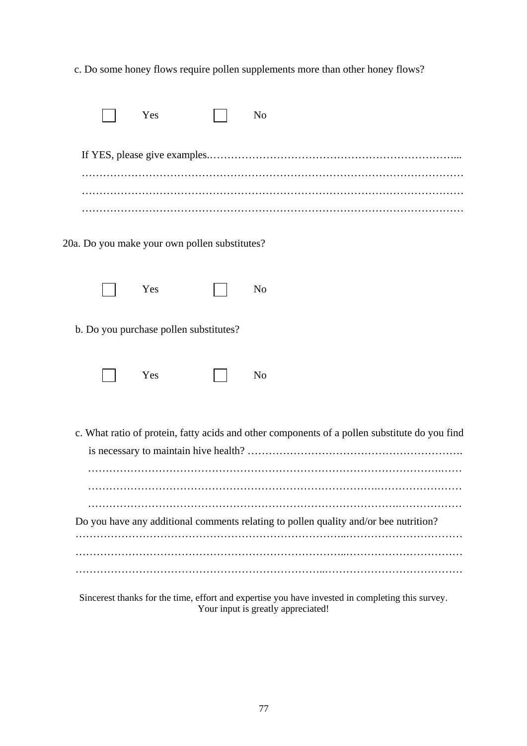c. Do some honey flows require pollen supplements more than other honey flows?

|  | Yes                                           | N <sub>o</sub>                                                                                   |
|--|-----------------------------------------------|--------------------------------------------------------------------------------------------------|
|  |                                               |                                                                                                  |
|  |                                               |                                                                                                  |
|  |                                               |                                                                                                  |
|  | 20a. Do you make your own pollen substitutes? |                                                                                                  |
|  | Yes                                           | N <sub>o</sub>                                                                                   |
|  | b. Do you purchase pollen substitutes?        |                                                                                                  |
|  | Yes                                           | N <sub>o</sub>                                                                                   |
|  |                                               | c. What ratio of protein, fatty acids and other components of a pollen substitute do you find    |
|  |                                               |                                                                                                  |
|  |                                               | Do you have any additional comments relating to pollen quality and/or bee nutrition?             |
|  |                                               |                                                                                                  |
|  |                                               | Sincerest thanks for the time, effort and expertise you have invested in completing this survey. |

Your input is greatly appreciated!